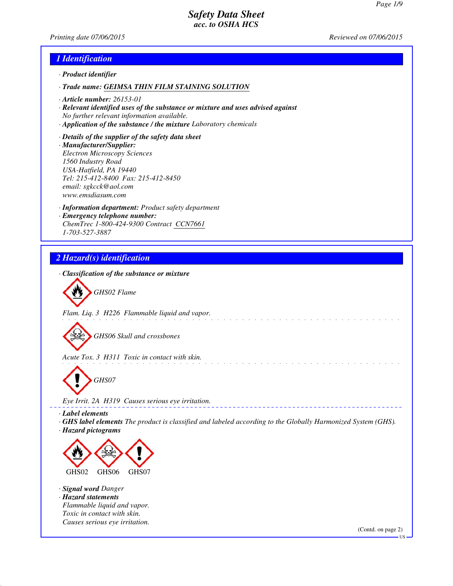*Printing date 07/06/2015 Reviewed on 07/06/2015*

### *1 Identification*

- *· Product identifier*
- *· Trade name: GEIMSA THIN FILM STAINING SOLUTION*
- *· Article number: 26153-01*
- *· Relevant identified uses of the substance or mixture and uses advised against No further relevant information available.*
- *· Application of the substance / the mixture Laboratory chemicals*
- *· Details of the supplier of the safety data sheet · Manufacturer/Supplier: Electron Microscopy Sciences 1560 Industry Road USA-Hatfield, PA 19440 Tel: 215-412-8400 Fax: 215-412-8450 email: sgkcck@aol.com www.emsdiasum.com*
- *· Information department: Product safety department · Emergency telephone number: ChemTrec 1-800-424-9300 Contract CCN7661 1-703-527-3887*

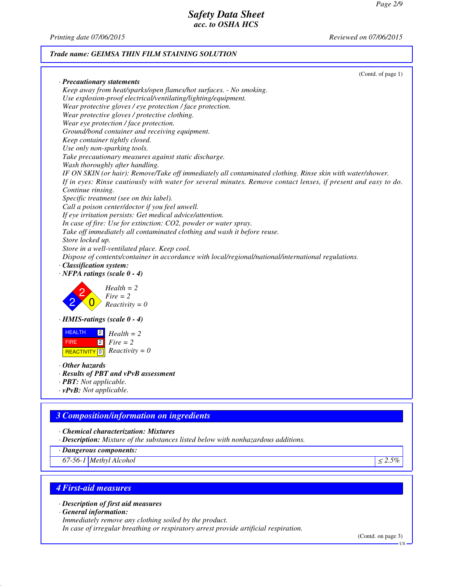*Printing date 07/06/2015 Reviewed on 07/06/2015*

### *Trade name: GEIMSA THIN FILM STAINING SOLUTION*

|                                                                                                                | (Contd. of page 1) |
|----------------------------------------------------------------------------------------------------------------|--------------------|
| · Precautionary statements                                                                                     |                    |
| Keep away from heat/sparks/open flames/hot surfaces. - No smoking.                                             |                    |
| Use explosion-proof electrical/ventilating/lighting/equipment.                                                 |                    |
| Wear protective gloves / eye protection / face protection.                                                     |                    |
| Wear protective gloves / protective clothing.                                                                  |                    |
| Wear eye protection / face protection.                                                                         |                    |
| Ground/bond container and receiving equipment.                                                                 |                    |
| Keep container tightly closed.                                                                                 |                    |
| Use only non-sparking tools.                                                                                   |                    |
| Take precautionary measures against static discharge.                                                          |                    |
| Wash thoroughly after handling.                                                                                |                    |
| IF ON SKIN (or hair): Remove/Take off immediately all contaminated clothing. Rinse skin with water/shower.     |                    |
| If in eyes: Rinse cautiously with water for several minutes. Remove contact lenses, if present and easy to do. |                    |
| Continue rinsing.                                                                                              |                    |
| Specific treatment (see on this label).                                                                        |                    |
| Call a poison center/doctor if you feel unwell.                                                                |                    |
| If eye irritation persists: Get medical advice/attention.                                                      |                    |
| In case of fire: Use for extinction: CO2, powder or water spray.                                               |                    |
| Take off immediately all contaminated clothing and wash it before reuse.                                       |                    |
| Store locked up.                                                                                               |                    |
| Store in a well-ventilated place. Keep cool.                                                                   |                    |
| Dispose of contents/container in accordance with local/regional/national/international regulations.            |                    |
| · Classification system:                                                                                       |                    |
| $\cdot$ NFPA ratings (scale 0 - 4)                                                                             |                    |
| $Health = 2$                                                                                                   |                    |
| $Fire = 2$                                                                                                     |                    |
| $Reactivity = 0$                                                                                               |                    |
|                                                                                                                |                    |
| $\cdot$ HMIS-ratings (scale 0 - 4)                                                                             |                    |
| <b>HEALTH</b><br>$Health = 2$                                                                                  |                    |
| $\boxed{2}$<br>$Fire = 2$<br><b>FIRE</b>                                                                       |                    |
|                                                                                                                |                    |
| $\boxed{0}$ Reactivity = 0<br>REACTIVITY                                                                       |                    |
| $\cdot$ Other hazards                                                                                          |                    |
| · Results of PBT and vPvB assessment                                                                           |                    |
| · <b>PBT</b> : Not applicable.                                                                                 |                    |
| $\cdot v$ PvB: Not applicable.                                                                                 |                    |
|                                                                                                                |                    |
|                                                                                                                |                    |
| <b>3 Composition/information on ingredients</b>                                                                |                    |
| Chemical characterization: Mixtures                                                                            |                    |
| · Description: Mixture of the substances listed below with nonhazardous additions.                             |                    |
| · Dangerous components:                                                                                        |                    |
| 67-56-1 Methyl Alcohol                                                                                         | $\leq 2.5\%$       |
|                                                                                                                |                    |
|                                                                                                                |                    |
| <b>4 First-aid measures</b>                                                                                    |                    |
| · Description of first aid measures                                                                            |                    |
| $\cdot$ General information:                                                                                   |                    |
| Immediately remove any clothing soiled by the product.                                                         |                    |
|                                                                                                                |                    |

*In case of irregular breathing or respiratory arrest provide artificial respiration.*

(Contd. on page 3)

US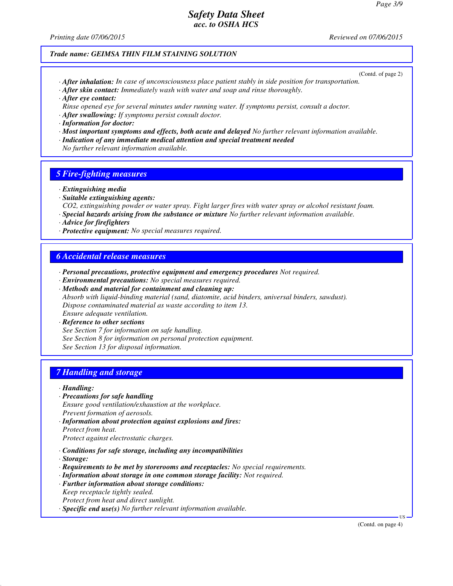*Printing date 07/06/2015 Reviewed on 07/06/2015*

#### *Trade name: GEIMSA THIN FILM STAINING SOLUTION*

- (Contd. of page 2) *· After inhalation: In case of unconsciousness place patient stably in side position for transportation.*
- *· After skin contact: Immediately wash with water and soap and rinse thoroughly.*
- *· After eye contact:*
- *Rinse opened eye for several minutes under running water. If symptoms persist, consult a doctor.*
- *· After swallowing: If symptoms persist consult doctor.*
- *· Information for doctor:*
- *· Most important symptoms and effects, both acute and delayed No further relevant information available.*
- *· Indication of any immediate medical attention and special treatment needed*
- *No further relevant information available.*

### *5 Fire-fighting measures*

- *· Extinguishing media*
- *· Suitable extinguishing agents:*
- *CO2, extinguishing powder or water spray. Fight larger fires with water spray or alcohol resistant foam.*
- *· Special hazards arising from the substance or mixture No further relevant information available.*
- *· Advice for firefighters*
- *· Protective equipment: No special measures required.*

### *6 Accidental release measures*

- *· Personal precautions, protective equipment and emergency procedures Not required.*
- *· Environmental precautions: No special measures required.*
- *· Methods and material for containment and cleaning up:*
- *Absorb with liquid-binding material (sand, diatomite, acid binders, universal binders, sawdust). Dispose contaminated material as waste according to item 13. Ensure adequate ventilation.*
- *· Reference to other sections*
- *See Section 7 for information on safe handling.*
- *See Section 8 for information on personal protection equipment.*
- *See Section 13 for disposal information.*

### *7 Handling and storage*

- *· Handling:*
- *· Precautions for safe handling Ensure good ventilation/exhaustion at the workplace. Prevent formation of aerosols.*
- *· Information about protection against explosions and fires: Protect from heat. Protect against electrostatic charges.*
- 
- *· Conditions for safe storage, including any incompatibilities*
- *· Storage:*
- *· Requirements to be met by storerooms and receptacles: No special requirements.*
- *· Information about storage in one common storage facility: Not required.*
- *· Further information about storage conditions:*
- *Keep receptacle tightly sealed.*
- *Protect from heat and direct sunlight.*
- *· Specific end use(s) No further relevant information available.*

US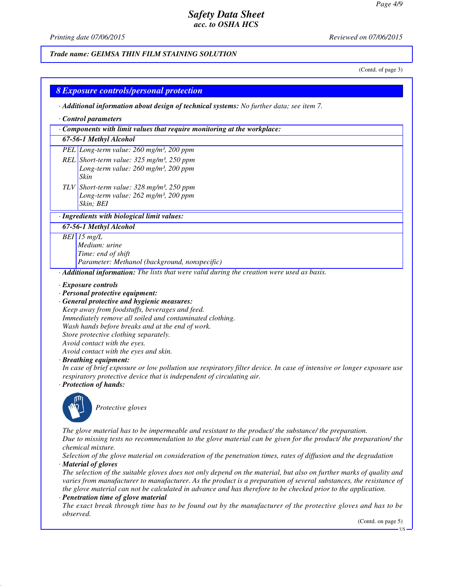*Printing date 07/06/2015 Reviewed on 07/06/2015*

*Trade name: GEIMSA THIN FILM STAINING SOLUTION*

(Contd. of page 3)

| Control parameters<br>Components with limit values that require monitoring at the workplace:<br>67-56-1 Methyl Alcohol<br>PEL Long-term value: 260 mg/m <sup>3</sup> , 200 ppm                                                                                                                                                                                                                                                                                                                                                                                                                                                                   |
|--------------------------------------------------------------------------------------------------------------------------------------------------------------------------------------------------------------------------------------------------------------------------------------------------------------------------------------------------------------------------------------------------------------------------------------------------------------------------------------------------------------------------------------------------------------------------------------------------------------------------------------------------|
|                                                                                                                                                                                                                                                                                                                                                                                                                                                                                                                                                                                                                                                  |
|                                                                                                                                                                                                                                                                                                                                                                                                                                                                                                                                                                                                                                                  |
|                                                                                                                                                                                                                                                                                                                                                                                                                                                                                                                                                                                                                                                  |
|                                                                                                                                                                                                                                                                                                                                                                                                                                                                                                                                                                                                                                                  |
| REL Short-term value: $325$ mg/m <sup>3</sup> , $250$ ppm<br>Long-term value: 260 mg/m <sup>3</sup> , 200 ppm<br>Skin                                                                                                                                                                                                                                                                                                                                                                                                                                                                                                                            |
| TLV Short-term value: $328 \text{ mg/m}^3$ , 250 ppm<br>Long-term value: 262 mg/m <sup>3</sup> , 200 ppm<br>Skin: BEI                                                                                                                                                                                                                                                                                                                                                                                                                                                                                                                            |
| · Ingredients with biological limit values:                                                                                                                                                                                                                                                                                                                                                                                                                                                                                                                                                                                                      |
| 67-56-1 Methyl Alcohol                                                                                                                                                                                                                                                                                                                                                                                                                                                                                                                                                                                                                           |
| $BEI$ 15 mg/L<br>Medium: urine<br>Time: end of shift<br>Parameter: Methanol (background, nonspecific)                                                                                                                                                                                                                                                                                                                                                                                                                                                                                                                                            |
| Additional information: The lists that were valid during the creation were used as basis.                                                                                                                                                                                                                                                                                                                                                                                                                                                                                                                                                        |
| · Exposure controls<br>· Personal protective equipment:<br>· General protective and hygienic measures:<br>Keep away from foodstuffs, beverages and feed.<br>Immediately remove all soiled and contaminated clothing.<br>Wash hands before breaks and at the end of work.<br>Store protective clothing separately.<br>Avoid contact with the eyes.<br>Avoid contact with the eyes and skin.<br>· Breathing equipment:<br>In case of brief exposure or low pollution use respiratory filter device. In case of intensive or longer exposure use<br>respiratory protective device that is independent of circulating air.<br>· Protection of hands: |
|                                                                                                                                                                                                                                                                                                                                                                                                                                                                                                                                                                                                                                                  |

*The glove material has to be impermeable and resistant to the product/ the substance/ the preparation. Due to missing tests no recommendation to the glove material can be given for the product/ the preparation/ the chemical mixture.*

*Selection of the glove material on consideration of the penetration times, rates of diffusion and the degradation · Material of gloves*

*The selection of the suitable gloves does not only depend on the material, but also on further marks of quality and varies from manufacturer to manufacturer. As the product is a preparation of several substances, the resistance of the glove material can not be calculated in advance and has therefore to be checked prior to the application.*

#### *· Penetration time of glove material*

*The exact break through time has to be found out by the manufacturer of the protective gloves and has to be observed.*

(Contd. on page 5)

US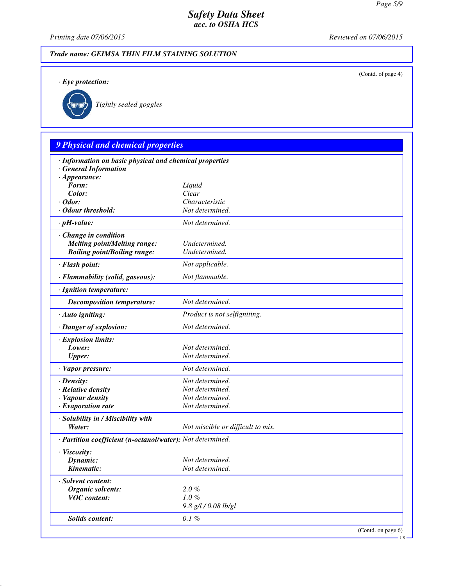(Contd. of page 4)

# *Safety Data Sheet acc. to OSHA HCS*

*Printing date 07/06/2015 Reviewed on 07/06/2015*

# *Trade name: GEIMSA THIN FILM STAINING SOLUTION*

*· Eye protection:*



*Tightly sealed goggles*

# *9 Physical and chemical properties*

| · Information on basic physical and chemical properties    |                                   |                    |
|------------------------------------------------------------|-----------------------------------|--------------------|
| <b>General Information</b>                                 |                                   |                    |
| $\cdot$ Appearance:<br>Form:                               |                                   |                    |
|                                                            | Liquid                            |                    |
| Color:<br>$\cdot$ Odor:                                    | Clear                             |                    |
|                                                            | Characteristic<br>Not determined. |                    |
| · Odour threshold:                                         |                                   |                    |
| $\cdot$ pH-value:                                          | Not determined.                   |                    |
| · Change in condition                                      |                                   |                    |
| <b>Melting point/Melting range:</b>                        | Undetermined.                     |                    |
| <b>Boiling point/Boiling range:</b>                        | Undetermined.                     |                    |
| · Flash point:                                             | Not applicable.                   |                    |
| · Flammability (solid, gaseous):                           | Not flammable.                    |                    |
| · Ignition temperature:                                    |                                   |                    |
| <b>Decomposition temperature:</b>                          | Not determined.                   |                    |
| · Auto igniting:                                           | Product is not selfigniting.      |                    |
| · Danger of explosion:                                     | Not determined.                   |                    |
| $\cdot$ Explosion limits:                                  |                                   |                    |
| Lower:                                                     | Not determined.                   |                    |
| <b>Upper:</b>                                              | Not determined.                   |                    |
| · Vapor pressure:                                          | Not determined.                   |                    |
| $\cdot$ Density:                                           | Not determined.                   |                    |
| · Relative density                                         | Not determined.                   |                    |
| · Vapour density                                           | Not determined.                   |                    |
| $\cdot$ Evaporation rate                                   | Not determined.                   |                    |
| · Solubility in / Miscibility with                         |                                   |                    |
| Water:                                                     | Not miscible or difficult to mix. |                    |
| · Partition coefficient (n-octanol/water): Not determined. |                                   |                    |
| · Viscosity:                                               |                                   |                    |
| Dynamic:                                                   | Not determined.                   |                    |
| Kinematic:                                                 | Not determined.                   |                    |
| · Solvent content:                                         |                                   |                    |
| <b>Organic solvents:</b>                                   | $2.0 \%$                          |                    |
| <b>VOC</b> content:                                        | $1.0\%$                           |                    |
|                                                            | 9.8 g/l / 0.08 lb/gl              |                    |
| <b>Solids content:</b>                                     | $0.1\%$                           |                    |
|                                                            |                                   | (Contd. on page 6) |

US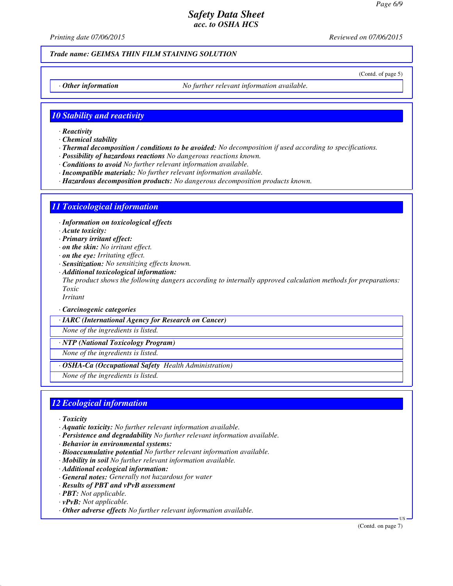*Printing date 07/06/2015 Reviewed on 07/06/2015*

### *Trade name: GEIMSA THIN FILM STAINING SOLUTION*

(Contd. of page 5)

*· Other information No further relevant information available.*

### *10 Stability and reactivity*

- *· Reactivity*
- *· Chemical stability*
- *· Thermal decomposition / conditions to be avoided: No decomposition if used according to specifications.*
- *· Possibility of hazardous reactions No dangerous reactions known.*
- *· Conditions to avoid No further relevant information available.*
- *· Incompatible materials: No further relevant information available.*
- *· Hazardous decomposition products: No dangerous decomposition products known.*

### *11 Toxicological information*

*· Information on toxicological effects*

- *· Acute toxicity:*
- *· Primary irritant effect:*
- *· on the skin: No irritant effect.*
- *· on the eye: Irritating effect.*
- *· Sensitization: No sensitizing effects known.*
- *· Additional toxicological information: The product shows the following dangers according to internally approved calculation methods for preparations: Toxic*

*Irritant*

*· Carcinogenic categories*

*· IARC (International Agency for Research on Cancer)*

*None of the ingredients is listed.*

*· NTP (National Toxicology Program)*

*None of the ingredients is listed.*

*· OSHA-Ca (Occupational Safety Health Administration)*

*None of the ingredients is listed.*

### *12 Ecological information*

- *· Toxicity*
- *· Aquatic toxicity: No further relevant information available.*
- *· Persistence and degradability No further relevant information available.*
- *· Behavior in environmental systems:*
- *· Bioaccumulative potential No further relevant information available.*
- *· Mobility in soil No further relevant information available.*
- *· Additional ecological information:*
- *· General notes: Generally not hazardous for water*
- *· Results of PBT and vPvB assessment*
- *· PBT: Not applicable.*
- *· vPvB: Not applicable.*
- *· Other adverse effects No further relevant information available.*

(Contd. on page 7)

US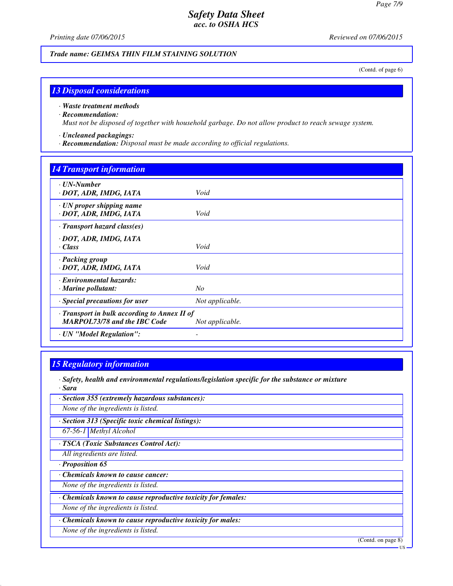*Printing date 07/06/2015 Reviewed on 07/06/2015*

*Trade name: GEIMSA THIN FILM STAINING SOLUTION*

(Contd. of page 6)

### *13 Disposal considerations*

#### *· Waste treatment methods*

#### *· Recommendation:*

*Must not be disposed of together with household garbage. Do not allow product to reach sewage system.*

#### *· Uncleaned packagings:*

*· Recommendation: Disposal must be made according to official regulations.*

# *14 Transport information · UN-Number · DOT, ADR, IMDG, IATA Void · UN proper shipping name · DOT, ADR, IMDG, IATA Void · Transport hazard class(es) · DOT, ADR, IMDG, IATA · Class Void · Packing group · DOT, ADR, IMDG, IATA Void · Environmental hazards: · Marine pollutant: No · Special precautions for user Not applicable. · Transport in bulk according to Annex II of MARPOL73/78 and the IBC Code Not applicable. · UN "Model Regulation": -*

### *15 Regulatory information*

*· Safety, health and environmental regulations/legislation specific for the substance or mixture · Sara*

*· Section 355 (extremely hazardous substances):*

*None of the ingredients is listed.*

*· Section 313 (Specific toxic chemical listings):*

*67-56-1 Methyl Alcohol*

*· TSCA (Toxic Substances Control Act):*

*All ingredients are listed.*

*· Proposition 65*

*· Chemicals known to cause cancer:*

*None of the ingredients is listed.*

*· Chemicals known to cause reproductive toxicity for females:*

*None of the ingredients is listed.*

*· Chemicals known to cause reproductive toxicity for males:*

*None of the ingredients is listed.*

(Contd. on page 8)

US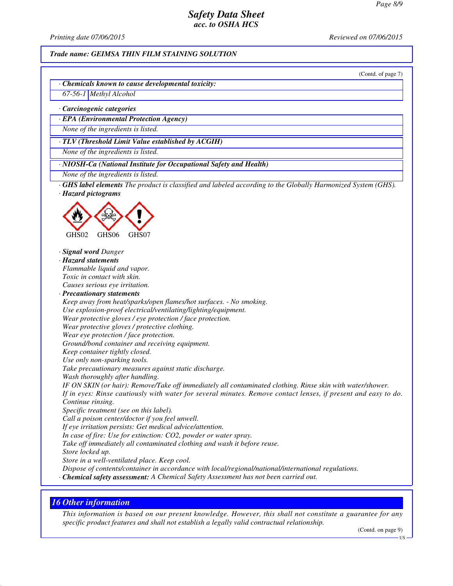*Printing date 07/06/2015 Reviewed on 07/06/2015*

#### *Trade name: GEIMSA THIN FILM STAINING SOLUTION*

(Contd. of page 7)

*· Chemicals known to cause developmental toxicity:*

*67-56-1 Methyl Alcohol*

*· Carcinogenic categories*

*· EPA (Environmental Protection Agency)*

*None of the ingredients is listed.*

*· TLV (Threshold Limit Value established by ACGIH)*

*None of the ingredients is listed.*

*· NIOSH-Ca (National Institute for Occupational Safety and Health)*

*None of the ingredients is listed.*

*· GHS label elements The product is classified and labeled according to the Globally Harmonized System (GHS). · Hazard pictograms*



*· Signal word Danger*

*· Hazard statements*

*Flammable liquid and vapor. Toxic in contact with skin. Causes serious eye irritation.*

*· Precautionary statements*

*Keep away from heat/sparks/open flames/hot surfaces. - No smoking.*

*Use explosion-proof electrical/ventilating/lighting/equipment.*

*Wear protective gloves / eye protection / face protection.*

*Wear protective gloves / protective clothing.*

*Wear eye protection / face protection.*

*Ground/bond container and receiving equipment.*

*Keep container tightly closed.*

*Use only non-sparking tools.*

*Take precautionary measures against static discharge.*

*Wash thoroughly after handling.*

*IF ON SKIN (or hair): Remove/Take off immediately all contaminated clothing. Rinse skin with water/shower. If in eyes: Rinse cautiously with water for several minutes. Remove contact lenses, if present and easy to do. Continue rinsing.*

*Specific treatment (see on this label).*

*Call a poison center/doctor if you feel unwell.*

*If eye irritation persists: Get medical advice/attention.*

*In case of fire: Use for extinction: CO2, powder or water spray.*

*Take off immediately all contaminated clothing and wash it before reuse.*

*Store locked up.*

*Store in a well-ventilated place. Keep cool.*

*Dispose of contents/container in accordance with local/regional/national/international regulations.*

*· Chemical safety assessment: A Chemical Safety Assessment has not been carried out.*

### *16 Other information*

*This information is based on our present knowledge. However, this shall not constitute a guarantee for any specific product features and shall not establish a legally valid contractual relationship.*

(Contd. on page 9)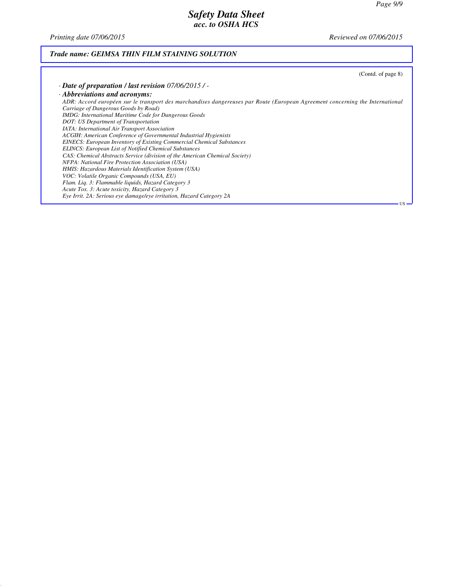*Printing date 07/06/2015 Reviewed on 07/06/2015*

# *Trade name: GEIMSA THIN FILM STAINING SOLUTION*

| (Contd. of page 8)                                                                                                            |
|-------------------------------------------------------------------------------------------------------------------------------|
| $\cdot$ Date of preparation / last revision 07/06/2015 / -                                                                    |
| · Abbreviations and acronyms:                                                                                                 |
| ADR: Accord européen sur le transport des marchandises dangereuses par Route (European Agreement concerning the International |
| Carriage of Dangerous Goods by Road)                                                                                          |
| <b>IMDG:</b> International Maritime Code for Dangerous Goods                                                                  |
| DOT: US Department of Transportation                                                                                          |
| <b>IATA</b> : International Air Transport Association                                                                         |
| ACGIH: American Conference of Governmental Industrial Hygienists                                                              |
| <b>EINECS:</b> European Inventory of Existing Commercial Chemical Substances                                                  |
| <b>ELINCS: European List of Notified Chemical Substances</b>                                                                  |
| CAS: Chemical Abstracts Service (division of the American Chemical Society)                                                   |
| NFPA: National Fire Protection Association (USA)                                                                              |
| HMIS: Hazardous Materials Identification System (USA)                                                                         |
| VOC: Volatile Organic Compounds (USA, EU)                                                                                     |
| Flam. Liq. 3: Flammable liquids, Hazard Category 3                                                                            |
| Acute Tox. 3: Acute toxicity, Hazard Category 3                                                                               |
| Eye Irrit. 2A: Serious eye damage/eye irritation, Hazard Category 2A                                                          |
| US -                                                                                                                          |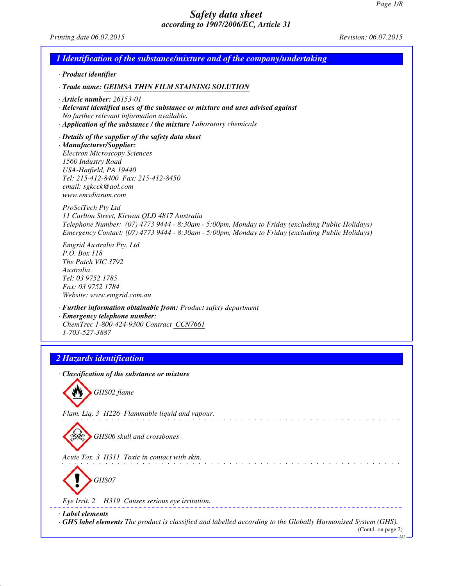*Printing date 06.07.2015 Revision: 06.07.2015*

| 1 Identification of the substance/mixture and of the company/undertaking                                                                                                                                                                                                    |
|-----------------------------------------------------------------------------------------------------------------------------------------------------------------------------------------------------------------------------------------------------------------------------|
| · Product identifier                                                                                                                                                                                                                                                        |
| · Trade name: GEIMSA THIN FILM STAINING SOLUTION                                                                                                                                                                                                                            |
| $\cdot$ Article number: 26153-01<br>· Relevant identified uses of the substance or mixture and uses advised against<br>No further relevant information available.<br>· Application of the substance / the mixture Laboratory chemicals                                      |
| $\cdot$ Details of the supplier of the safety data sheet<br>· Manufacturer/Supplier:<br><b>Electron Microscopy Sciences</b><br>1560 Industry Road<br>USA-Hatfield, PA 19440<br>Tel: 215-412-8400 Fax: 215-412-8450<br>email: sgkcck@aol.com<br>www.emsdiasum.com            |
| ProSciTech Pty Ltd<br>11 Carlton Street, Kirwan QLD 4817 Australia<br>Telephone Number: (07) 4773 9444 - 8:30am - 5:00pm, Monday to Friday (excluding Public Holidays)<br>Emergency Contact: (07) 4773 9444 - 8:30am - 5:00pm, Monday to Friday (excluding Public Holidays) |
| Emgrid Australia Pty. Ltd.<br>P.O. Box 118<br>The Patch VIC 3792<br>Australia<br>Tel: 03 9752 1785<br>Fax: 03 9752 1784<br>Website: www.emgrid.com.au                                                                                                                       |
| · Further information obtainable from: Product safety department<br>· Emergency telephone number:<br>ChemTrec 1-800-424-9300 Contract CCN7661<br>1-703-527-3887                                                                                                             |
| 2 Hazards identification                                                                                                                                                                                                                                                    |
| · Classification of the substance or mixture                                                                                                                                                                                                                                |
| GHS02 flame                                                                                                                                                                                                                                                                 |
| Flam. Liq. 3 H226 Flammable liquid and vapour.                                                                                                                                                                                                                              |
| GHS06 skull and crossbones                                                                                                                                                                                                                                                  |
| Acute Tox. 3 H311 Toxic in contact with skin.                                                                                                                                                                                                                               |
| GHS07                                                                                                                                                                                                                                                                       |
| Eye Irrit. 2 H319 Causes serious eye irritation.                                                                                                                                                                                                                            |
| · Label elements<br><b>GHS label elements</b> The product is classified and labelled according to the Globally Harmonised System (GHS).<br>(Contd. on page 2)<br>AU                                                                                                         |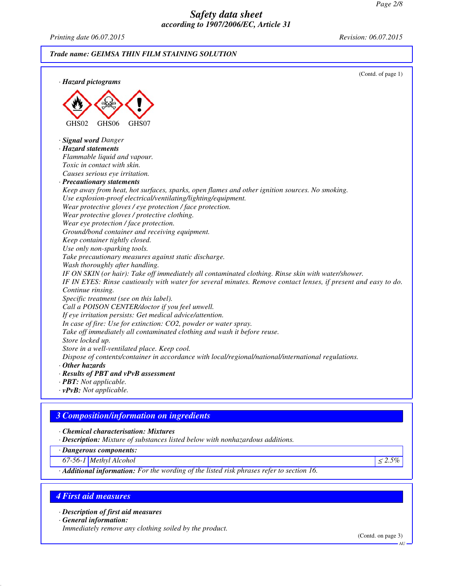*Printing date 06.07.2015 Revision: 06.07.2015*

*Trade name: GEIMSA THIN FILM STAINING SOLUTION*



### *3 Composition/information on ingredients*

*· Chemical characterisation: Mixtures*

*· Description: Mixture of substances listed below with nonhazardous additions.*

*· Dangerous components:*

*67-56-1 Methyl Alcohol* <sup>≤</sup> *2.5%*

*· Additional information: For the wording of the listed risk phrases refer to section 16.*

### *4 First aid measures*

*· Description of first aid measures*

*· General information:*

*Immediately remove any clothing soiled by the product.*

(Contd. on page 3)

AU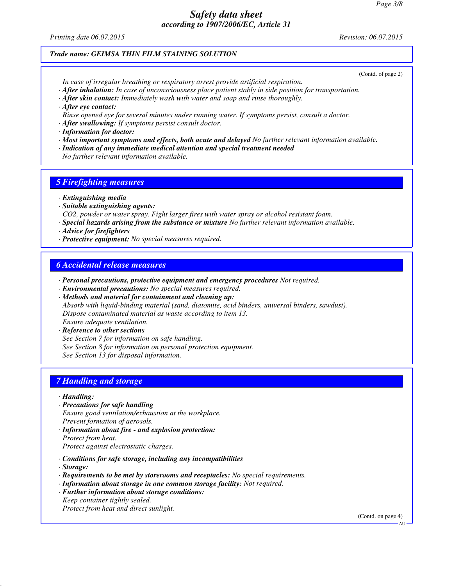*Printing date 06.07.2015 Revision: 06.07.2015*

#### *Trade name: GEIMSA THIN FILM STAINING SOLUTION*

(Contd. of page 2)

*In case of irregular breathing or respiratory arrest provide artificial respiration.*

- *· After inhalation: In case of unconsciousness place patient stably in side position for transportation.*
- *· After skin contact: Immediately wash with water and soap and rinse thoroughly.*
- *· After eye contact:*
- *Rinse opened eye for several minutes under running water. If symptoms persist, consult a doctor.*
- *· After swallowing: If symptoms persist consult doctor.*

*· Information for doctor:*

- *· Most important symptoms and effects, both acute and delayed No further relevant information available.*
- *· Indication of any immediate medical attention and special treatment needed*

*No further relevant information available.*

### *5 Firefighting measures*

*· Extinguishing media*

- *· Suitable extinguishing agents:*
- *CO2, powder or water spray. Fight larger fires with water spray or alcohol resistant foam.*
- *· Special hazards arising from the substance or mixture No further relevant information available.*
- *· Advice for firefighters*
- *· Protective equipment: No special measures required.*

### *6 Accidental release measures*

- *· Personal precautions, protective equipment and emergency procedures Not required.*
- *· Environmental precautions: No special measures required.*

*· Methods and material for containment and cleaning up: Absorb with liquid-binding material (sand, diatomite, acid binders, universal binders, sawdust). Dispose contaminated material as waste according to item 13. Ensure adequate ventilation.*

*· Reference to other sections See Section 7 for information on safe handling. See Section 8 for information on personal protection equipment. See Section 13 for disposal information.*

# *7 Handling and storage*

- *· Handling:*
- *· Precautions for safe handling Ensure good ventilation/exhaustion at the workplace. Prevent formation of aerosols.*
- *· Information about fire and explosion protection: Protect from heat. Protect against electrostatic charges.*
- *· Conditions for safe storage, including any incompatibilities*
- *· Storage:*
- *· Requirements to be met by storerooms and receptacles: No special requirements.*
- *· Information about storage in one common storage facility: Not required.*
- *· Further information about storage conditions: Keep container tightly sealed.*

*Protect from heat and direct sunlight.*

(Contd. on page 4)

**AU**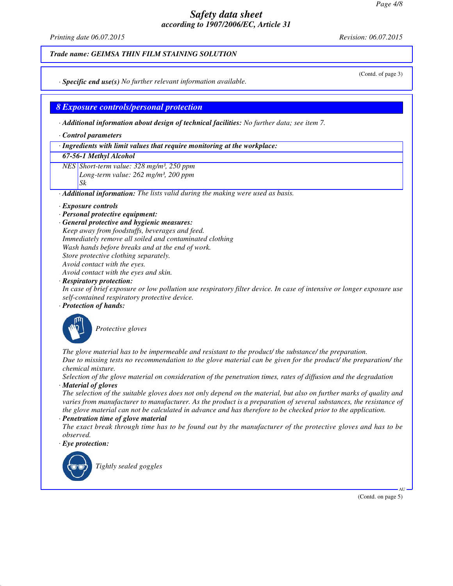*Printing date 06.07.2015 Revision: 06.07.2015*

#### *Trade name: GEIMSA THIN FILM STAINING SOLUTION*

*· Specific end use(s) No further relevant information available.*

### *8 Exposure controls/personal protection*

*· Additional information about design of technical facilities: No further data; see item 7.*

*· Control parameters*

#### *· Ingredients with limit values that require monitoring at the workplace:*

#### *67-56-1 Methyl Alcohol*

*NES Short-term value: 328 mg/m³, 250 ppm Long-term value: 262 mg/m³, 200 ppm Sk*

*· Additional information: The lists valid during the making were used as basis.*

#### *· Exposure controls*

- *· Personal protective equipment:*
- *· General protective and hygienic measures:*

*Keep away from foodstuffs, beverages and feed. Immediately remove all soiled and contaminated clothing Wash hands before breaks and at the end of work. Store protective clothing separately. Avoid contact with the eyes. Avoid contact with the eyes and skin.*

#### *· Respiratory protection:*

*In case of brief exposure or low pollution use respiratory filter device. In case of intensive or longer exposure use self-contained respiratory protective device.*

#### *· Protection of hands:*



*Protective gloves*

*The glove material has to be impermeable and resistant to the product/ the substance/ the preparation. Due to missing tests no recommendation to the glove material can be given for the product/ the preparation/ the chemical mixture.*

*Selection of the glove material on consideration of the penetration times, rates of diffusion and the degradation · Material of gloves*

*The selection of the suitable gloves does not only depend on the material, but also on further marks of quality and varies from manufacturer to manufacturer. As the product is a preparation of several substances, the resistance of the glove material can not be calculated in advance and has therefore to be checked prior to the application.*

#### *· Penetration time of glove material*

*The exact break through time has to be found out by the manufacturer of the protective gloves and has to be observed.*

#### *· Eye protection:*



*Tightly sealed goggles*

(Contd. of page 3)

(Contd. on page 5)

AU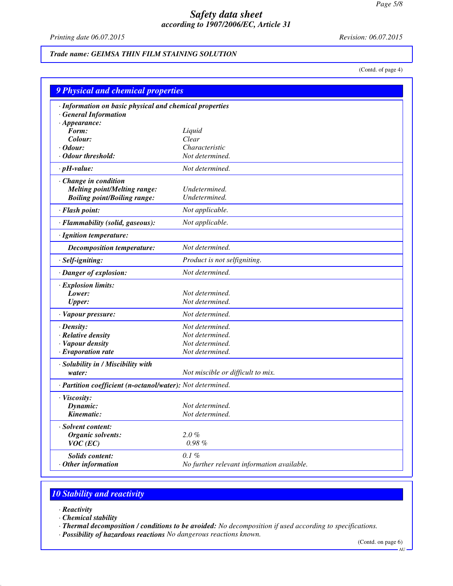*Printing date 06.07.2015 Revision: 06.07.2015*

*Trade name: GEIMSA THIN FILM STAINING SOLUTION*

(Contd. of page 4)

| <b>9 Physical and chemical properties</b>                                             |                                            |
|---------------------------------------------------------------------------------------|--------------------------------------------|
| · Information on basic physical and chemical properties<br><b>General Information</b> |                                            |
| $\cdot$ Appearance:                                                                   |                                            |
| Form:                                                                                 | Liquid                                     |
| Colour:<br>$\cdot$ Odour:                                                             | Clear<br>Characteristic                    |
| Odour threshold:                                                                      | Not determined.                            |
|                                                                                       |                                            |
| $\cdot$ pH-value:                                                                     | Not determined.                            |
| Change in condition                                                                   |                                            |
| <b>Melting point/Melting range:</b>                                                   | Undetermined.                              |
| <b>Boiling point/Boiling range:</b>                                                   | Undetermined.                              |
| · Flash point:                                                                        | Not applicable.                            |
| · Flammability (solid, gaseous):                                                      | Not applicable.                            |
| · Ignition temperature:                                                               |                                            |
| Decomposition temperature:                                                            | Not determined.                            |
| · Self-igniting:                                                                      | Product is not selfigniting.               |
| · Danger of explosion:                                                                | Not determined.                            |
| · Explosion limits:                                                                   |                                            |
| Lower:                                                                                | Not determined.                            |
| <b>Upper:</b>                                                                         | Not determined.                            |
| · Vapour pressure:                                                                    | Not determined.                            |
| · Density:                                                                            | Not determined.                            |
| · Relative density                                                                    | Not determined.                            |
| · Vapour density                                                                      | Not determined.                            |
| · Evaporation rate                                                                    | Not determined.                            |
| · Solubility in / Miscibility with                                                    |                                            |
| water:                                                                                | Not miscible or difficult to mix.          |
| · Partition coefficient (n-octanol/water): Not determined.                            |                                            |
| · Viscosity:                                                                          |                                            |
| Dynamic:                                                                              | Not determined.                            |
| Kinematic:                                                                            | Not determined.                            |
| Solvent content:                                                                      |                                            |
| Organic solvents:                                                                     | $2.0 \%$                                   |
| $VOC$ (EC)                                                                            | $0.98 \%$                                  |
| <b>Solids content:</b>                                                                | 0.1%                                       |
| Other information                                                                     | No further relevant information available. |

# *10 Stability and reactivity*

- *· Reactivity*
- *· Chemical stability*
- *· Thermal decomposition / conditions to be avoided: No decomposition if used according to specifications.*
- *· Possibility of hazardous reactions No dangerous reactions known.*

(Contd. on page 6)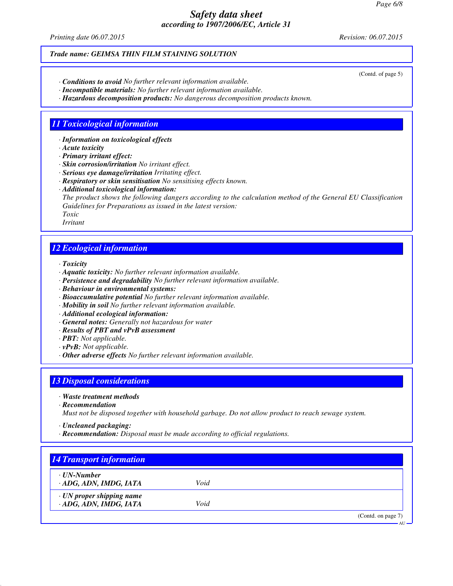*Printing date 06.07.2015 Revision: 06.07.2015*

### *Trade name: GEIMSA THIN FILM STAINING SOLUTION*

- *· Conditions to avoid No further relevant information available.*
- *· Incompatible materials: No further relevant information available.*
- *· Hazardous decomposition products: No dangerous decomposition products known.*

### *11 Toxicological information*

*· Information on toxicological effects*

- *· Acute toxicity*
- *· Primary irritant effect:*
- *· Skin corrosion/irritation No irritant effect.*
- *· Serious eye damage/irritation Irritating effect.*
- *· Respiratory or skin sensitisation No sensitising effects known.*
- *· Additional toxicological information:*

*The product shows the following dangers according to the calculation method of the General EU Classification Guidelines for Preparations as issued in the latest version:*

*Toxic*

*Irritant*

### *12 Ecological information*

*· Toxicity*

- *· Aquatic toxicity: No further relevant information available.*
- *· Persistence and degradability No further relevant information available.*
- *· Behaviour in environmental systems:*
- *· Bioaccumulative potential No further relevant information available.*
- *· Mobility in soil No further relevant information available.*
- *· Additional ecological information:*
- *· General notes: Generally not hazardous for water*
- *· Results of PBT and vPvB assessment*
- *· PBT: Not applicable.*
- *· vPvB: Not applicable.*
- *· Other adverse effects No further relevant information available.*

### *13 Disposal considerations*

- *· Waste treatment methods*
- *· Recommendation*
- *Must not be disposed together with household garbage. Do not allow product to reach sewage system.*
- *· Uncleaned packaging:*
- *· Recommendation: Disposal must be made according to official regulations.*

| ⋅ UN-Number                     |      |  |
|---------------------------------|------|--|
| ADG, ADN, IMDG, IATA            | Void |  |
| $\cdot$ UN proper shipping name |      |  |
| · ADG, ADN, IMDG, IATA          | Void |  |

#### (Contd. of page 5)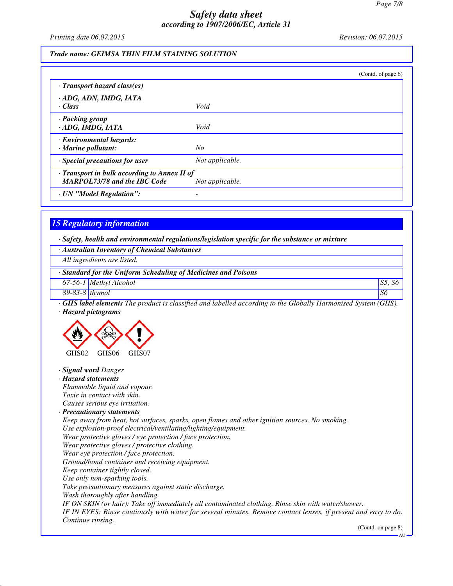*Printing date 06.07.2015 Revision: 06.07.2015*

# *Trade name: GEIMSA THIN FILM STAINING SOLUTION*

|                                                                                     |                 | (Contd. of page $6$ ) |
|-------------------------------------------------------------------------------------|-----------------|-----------------------|
| $\cdot$ Transport hazard class(es)                                                  |                 |                       |
| · ADG, ADN, IMDG, IATA<br>· Class                                                   | Void            |                       |
| · Packing group<br>· ADG, IMDG, IATA                                                | Void            |                       |
| · Environmental hazards:<br>$\cdot$ Marine pollutant:                               | No              |                       |
| · Special precautions for user                                                      | Not applicable. |                       |
| · Transport in bulk according to Annex II of<br><b>MARPOL73/78 and the IBC Code</b> | Not applicable. |                       |
| · UN "Model Regulation":                                                            |                 |                       |

# *15 Regulatory information*

*· Safety, health and environmental regulations/legislation specific for the substance or mixture*

| · Australian Inventory of Chemical Substances                                                                  |                    |
|----------------------------------------------------------------------------------------------------------------|--------------------|
| All ingredients are listed.                                                                                    |                    |
| Standard for the Uniform Scheduling of Medicines and Poisons                                                   |                    |
| 67-56-1 Methyl Alcohol                                                                                         | S5, S6             |
| 89-83-8 thymol                                                                                                 | S6                 |
| GHS label elements The product is classified and labelled according to the Globally Harmonised System (GHS).   |                    |
| · Hazard pictograms                                                                                            |                    |
| GHS02<br>GHS <sub>06</sub><br>GHS07                                                                            |                    |
| · Signal word Danger                                                                                           |                    |
| · Hazard statements                                                                                            |                    |
| Flammable liquid and vapour.                                                                                   |                    |
| Toxic in contact with skin.                                                                                    |                    |
| Causes serious eye irritation.                                                                                 |                    |
| · Precautionary statements                                                                                     |                    |
| Keep away from heat, hot surfaces, sparks, open flames and other ignition sources. No smoking.                 |                    |
| Use explosion-proof electrical/ventilating/lighting/equipment.                                                 |                    |
| Wear protective gloves / eye protection / face protection.                                                     |                    |
| Wear protective gloves / protective clothing.                                                                  |                    |
| Wear eye protection / face protection.                                                                         |                    |
| Ground/bond container and receiving equipment.                                                                 |                    |
| Keep container tightly closed.                                                                                 |                    |
| Use only non-sparking tools.                                                                                   |                    |
| Take precautionary measures against static discharge.                                                          |                    |
| Wash thoroughly after handling.                                                                                |                    |
| IF ON SKIN (or hair): Take off immediately all contaminated clothing. Rinse skin with water/shower.            |                    |
| IF IN EYES: Rinse cautiously with water for several minutes. Remove contact lenses, if present and easy to do. |                    |
| Continue rinsing.                                                                                              |                    |
|                                                                                                                | (Contd. on page 8) |
|                                                                                                                | AU                 |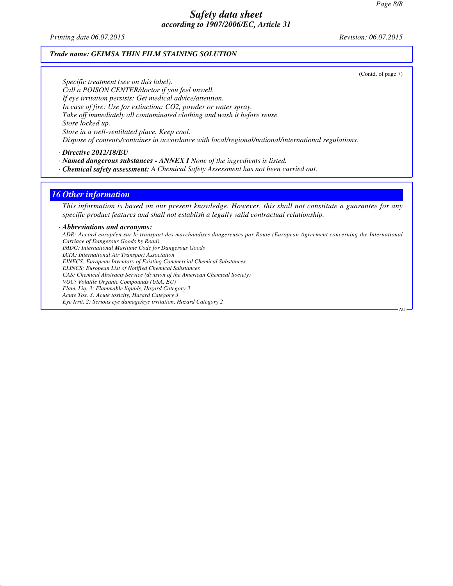*Printing date 06.07.2015 Revision: 06.07.2015*

#### *Trade name: GEIMSA THIN FILM STAINING SOLUTION*

(Contd. of page 7)

*Specific treatment (see on this label). Call a POISON CENTER/doctor if you feel unwell. If eye irritation persists: Get medical advice/attention. In case of fire: Use for extinction: CO2, powder or water spray. Take off immediately all contaminated clothing and wash it before reuse. Store locked up. Store in a well-ventilated place. Keep cool. Dispose of contents/container in accordance with local/regional/national/international regulations.*

*· Directive 2012/18/EU*

*· Named dangerous substances - ANNEX I None of the ingredients is listed.*

*· Chemical safety assessment: A Chemical Safety Assessment has not been carried out.*

#### *16 Other information*

*This information is based on our present knowledge. However, this shall not constitute a guarantee for any specific product features and shall not establish a legally valid contractual relationship.*

#### *· Abbreviations and acronyms:*

*ADR: Accord européen sur le transport des marchandises dangereuses par Route (European Agreement concerning the International Carriage of Dangerous Goods by Road) IMDG: International Maritime Code for Dangerous Goods IATA: International Air Transport Association EINECS: European Inventory of Existing Commercial Chemical Substances ELINCS: European List of Notified Chemical Substances CAS: Chemical Abstracts Service (division of the American Chemical Society) VOC: Volatile Organic Compounds (USA, EU) Flam. Liq. 3: Flammable liquids, Hazard Category 3 Acute Tox. 3: Acute toxicity, Hazard Category 3 Eye Irrit. 2: Serious eye damage/eye irritation, Hazard Category 2* AU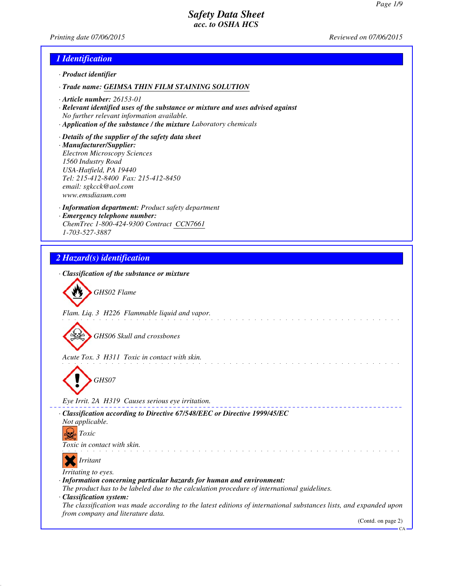*Printing date 07/06/2015 Reviewed on 07/06/2015*

# *1 Identification*

- *· Product identifier*
- *· Trade name: GEIMSA THIN FILM STAINING SOLUTION*
- *· Article number: 26153-01*
- *· Relevant identified uses of the substance or mixture and uses advised against No further relevant information available.*
- *· Application of the substance / the mixture Laboratory chemicals*
- *· Details of the supplier of the safety data sheet · Manufacturer/Supplier: Electron Microscopy Sciences 1560 Industry Road USA-Hatfield, PA 19440 Tel: 215-412-8400 Fax: 215-412-8450 email: sgkcck@aol.com www.emsdiasum.com*
- *· Information department: Product safety department · Emergency telephone number: ChemTrec 1-800-424-9300 Contract CCN7661 1-703-527-3887*

# *2 Hazard(s) identification*

| · Classification of the substance or mixture                                                                                                           |
|--------------------------------------------------------------------------------------------------------------------------------------------------------|
| GHS02 Flame                                                                                                                                            |
| Flam. Liq. 3 H226 Flammable liquid and vapor.                                                                                                          |
|                                                                                                                                                        |
| GHS06 Skull and crossbones                                                                                                                             |
| Acute Tox. 3 H311 Toxic in contact with skin.                                                                                                          |
| GHS07                                                                                                                                                  |
| Eye Irrit. 2A H319 Causes serious eye irritation.                                                                                                      |
| · Classification according to Directive 67/548/EEC or Directive 1999/45/EC                                                                             |
| Not applicable.<br><i>Toxic</i>                                                                                                                        |
| Toxic in contact with skin.                                                                                                                            |
| Irritant                                                                                                                                               |
| Irritating to eyes.<br>· Information concerning particular hazards for human and environment:                                                          |
| The product has to be labeled due to the calculation procedure of international guidelines.<br>· Classification system:                                |
| The classification was made according to the latest editions of international substances lists, and expanded upon<br>from company and literature data. |
| (Contd. on page 2)<br>CA                                                                                                                               |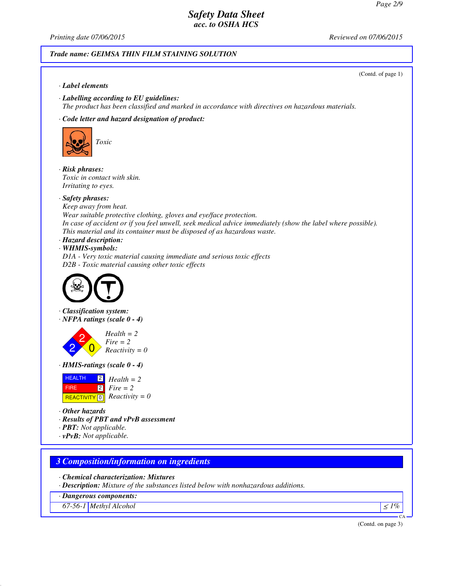*Printing date 07/06/2015 Reviewed on 07/06/2015*

### *Trade name: GEIMSA THIN FILM STAINING SOLUTION*

# (Contd. of page 1) *· Label elements · Labelling according to EU guidelines: The product has been classified and marked in accordance with directives on hazardous materials. · Code letter and hazard designation of product: Toxic · Risk phrases: Toxic in contact with skin. Irritating to eyes. · Safety phrases: Keep away from heat. Wear suitable protective clothing, gloves and eye/face protection. In case of accident or if you feel unwell, seek medical advice immediately (show the label where possible). This material and its container must be disposed of as hazardous waste. · Hazard description: · WHMIS-symbols: D1A - Very toxic material causing immediate and serious toxic effects D2B - Toxic material causing other toxic effects · Classification system: · NFPA ratings (scale 0 - 4)* 2 2  $\overline{0}$ *Health = 2 Fire = 2 Reactivity = 0 · HMIS-ratings (scale 0 - 4)* HEALTH FIRE  $R$ **REACTIVITY**  $\boxed{0}$  *Reactivity = 0*  $|2|$ 2 *Fire = 2 Health = 2 · Other hazards · Results of PBT and vPvB assessment · PBT: Not applicable. · vPvB: Not applicable. 3 Composition/information on ingredients · Chemical characterization: Mixtures · Description: Mixture of the substances listed below with nonhazardous additions. · Dangerous components:*

*67-56-1 Methyl Alcohol* <sup>≤</sup> *1%*

(Contd. on page 3)

CA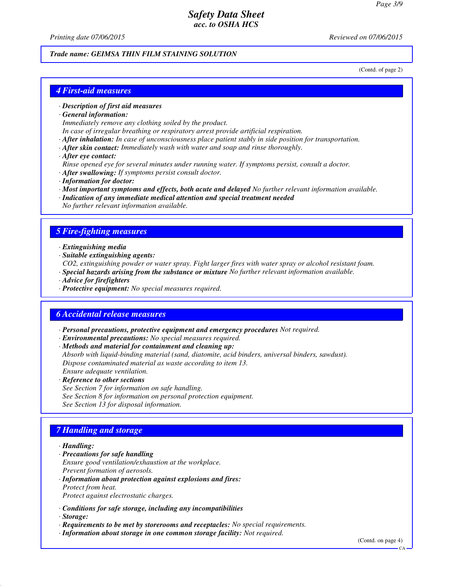*Printing date 07/06/2015 Reviewed on 07/06/2015*

#### *Trade name: GEIMSA THIN FILM STAINING SOLUTION*

(Contd. of page 2)

### *4 First-aid measures*

#### *· Description of first aid measures*

*· General information:*

*Immediately remove any clothing soiled by the product.*

*In case of irregular breathing or respiratory arrest provide artificial respiration.*

- *· After inhalation: In case of unconsciousness place patient stably in side position for transportation.*
- *· After skin contact: Immediately wash with water and soap and rinse thoroughly.*
- *· After eye contact:*
- *Rinse opened eye for several minutes under running water. If symptoms persist, consult a doctor.*
- *· After swallowing: If symptoms persist consult doctor.*
- *· Information for doctor:*
- *· Most important symptoms and effects, both acute and delayed No further relevant information available.*
- *· Indication of any immediate medical attention and special treatment needed No further relevant information available.*

### *5 Fire-fighting measures*

- *· Extinguishing media*
- *· Suitable extinguishing agents:*
- *CO2, extinguishing powder or water spray. Fight larger fires with water spray or alcohol resistant foam.*
- *· Special hazards arising from the substance or mixture No further relevant information available.*
- *· Advice for firefighters*
- *· Protective equipment: No special measures required.*

### *6 Accidental release measures*

- *· Personal precautions, protective equipment and emergency procedures Not required.*
- *· Environmental precautions: No special measures required.*
- *· Methods and material for containment and cleaning up:*

*Absorb with liquid-binding material (sand, diatomite, acid binders, universal binders, sawdust). Dispose contaminated material as waste according to item 13. Ensure adequate ventilation.*

- *· Reference to other sections*
- *See Section 7 for information on safe handling. See Section 8 for information on personal protection equipment. See Section 13 for disposal information.*

# *7 Handling and storage*

#### *· Handling:*

- *· Precautions for safe handling Ensure good ventilation/exhaustion at the workplace. Prevent formation of aerosols.*
- *· Information about protection against explosions and fires: Protect from heat. Protect against electrostatic charges.*
- *· Conditions for safe storage, including any incompatibilities*
- *· Storage:*
- *· Requirements to be met by storerooms and receptacles: No special requirements.*
- *· Information about storage in one common storage facility: Not required.*

(Contd. on page 4)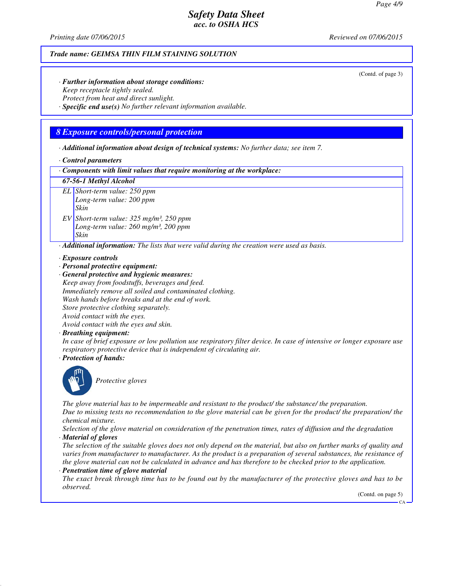*Printing date 07/06/2015 Reviewed on 07/06/2015*

#### *Trade name: GEIMSA THIN FILM STAINING SOLUTION*

(Contd. of page 3)

*· Further information about storage conditions: Keep receptacle tightly sealed. Protect from heat and direct sunlight.*

*· Specific end use(s) No further relevant information available.*

### *8 Exposure controls/personal protection*

*· Additional information about design of technical systems: No further data; see item 7.*

#### *· Control parameters*

*· Components with limit values that require monitoring at the workplace:*

#### *67-56-1 Methyl Alcohol*

*EL Short-term value: 250 ppm Long-term value: 200 ppm Skin*

*EV Short-term value: 325 mg/m³, 250 ppm Long-term value: 260 mg/m³, 200 ppm Skin*

*· Additional information: The lists that were valid during the creation were used as basis.*

*· Exposure controls*

*· Personal protective equipment:*

*· General protective and hygienic measures: Keep away from foodstuffs, beverages and feed.*

*Immediately remove all soiled and contaminated clothing.*

*Wash hands before breaks and at the end of work.*

*Store protective clothing separately.*

*Avoid contact with the eyes. Avoid contact with the eyes and skin.*

*· Breathing equipment:*

*In case of brief exposure or low pollution use respiratory filter device. In case of intensive or longer exposure use respiratory protective device that is independent of circulating air.*

*· Protection of hands:*



*Protective gloves*

*The glove material has to be impermeable and resistant to the product/ the substance/ the preparation. Due to missing tests no recommendation to the glove material can be given for the product/ the preparation/ the chemical mixture.*

*Selection of the glove material on consideration of the penetration times, rates of diffusion and the degradation · Material of gloves*

*The selection of the suitable gloves does not only depend on the material, but also on further marks of quality and varies from manufacturer to manufacturer. As the product is a preparation of several substances, the resistance of the glove material can not be calculated in advance and has therefore to be checked prior to the application.*

*· Penetration time of glove material*

*The exact break through time has to be found out by the manufacturer of the protective gloves and has to be observed.*

(Contd. on page 5)

CA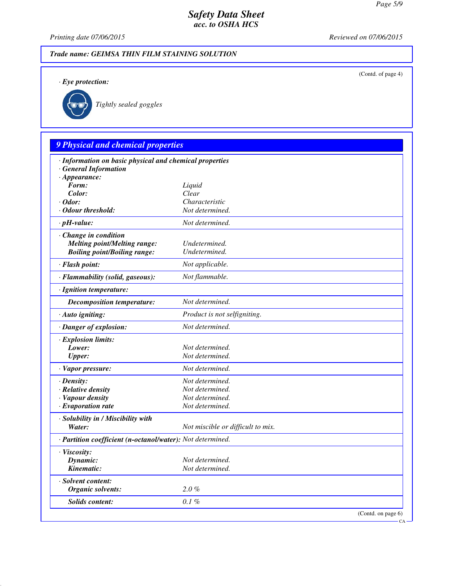(Contd. of page 4)

# *Safety Data Sheet acc. to OSHA HCS*

*Printing date 07/06/2015 Reviewed on 07/06/2015*

# *Trade name: GEIMSA THIN FILM STAINING SOLUTION*

*· Eye protection:*



*Tightly sealed goggles*

# *9 Physical and chemical properties*

| · Information on basic physical and chemical properties<br><b>General Information</b> |                                   |
|---------------------------------------------------------------------------------------|-----------------------------------|
| $\cdot$ Appearance:                                                                   |                                   |
| Form:                                                                                 | Liquid                            |
| Color:                                                                                | Clear                             |
| $\cdot$ Odor:                                                                         | Characteristic                    |
| · Odour threshold:                                                                    | Not determined.                   |
| $\cdot$ pH-value:                                                                     | Not determined.                   |
| $\cdot$ Change in condition                                                           |                                   |
| <b>Melting point/Melting range:</b>                                                   | Undetermined.                     |
| <b>Boiling point/Boiling range:</b>                                                   | Undetermined.                     |
| · Flash point:                                                                        | Not applicable.                   |
| · Flammability (solid, gaseous):                                                      | Not flammable.                    |
| · Ignition temperature:                                                               |                                   |
| <b>Decomposition temperature:</b>                                                     | Not determined.                   |
| · Auto igniting:                                                                      | Product is not selfigniting.      |
| · Danger of explosion:                                                                | Not determined.                   |
| · Explosion limits:                                                                   |                                   |
| Lower:                                                                                | Not determined.                   |
| <b>Upper:</b>                                                                         | Not determined.                   |
| · Vapor pressure:                                                                     | Not determined.                   |
| $\cdot$ Density:                                                                      | Not determined.                   |
| · Relative density                                                                    | Not determined.                   |
| · Vapour density                                                                      | Not determined.                   |
| $\cdot$ Evaporation rate                                                              | Not determined.                   |
| · Solubility in / Miscibility with                                                    |                                   |
| Water:                                                                                | Not miscible or difficult to mix. |
| · Partition coefficient (n-octanol/water): Not determined.                            |                                   |
| · Viscosity:                                                                          |                                   |
| Dynamic:                                                                              | Not determined.                   |
| Kinematic:                                                                            | Not determined.                   |
| · Solvent content:                                                                    |                                   |
| Organic solvents:                                                                     | $2.0 \%$                          |
| Solids content:                                                                       | 0.1%                              |
|                                                                                       | (Contd. on page 6)                |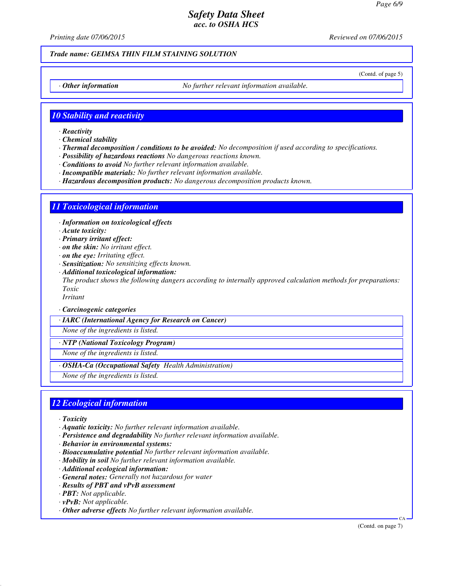*Printing date 07/06/2015 Reviewed on 07/06/2015*

### *Trade name: GEIMSA THIN FILM STAINING SOLUTION*

(Contd. of page 5)

*· Other information No further relevant information available.*

### *10 Stability and reactivity*

- *· Reactivity*
- *· Chemical stability*
- *· Thermal decomposition / conditions to be avoided: No decomposition if used according to specifications.*
- *· Possibility of hazardous reactions No dangerous reactions known.*
- *· Conditions to avoid No further relevant information available.*
- *· Incompatible materials: No further relevant information available.*
- *· Hazardous decomposition products: No dangerous decomposition products known.*

### *11 Toxicological information*

*· Information on toxicological effects*

- *· Acute toxicity:*
- *· Primary irritant effect:*
- *· on the skin: No irritant effect.*
- *· on the eye: Irritating effect.*
- *· Sensitization: No sensitizing effects known.*
- *· Additional toxicological information: The product shows the following dangers according to internally approved calculation methods for preparations: Toxic*

*Irritant*

*· Carcinogenic categories*

*· IARC (International Agency for Research on Cancer)*

*None of the ingredients is listed.*

*· NTP (National Toxicology Program)*

*None of the ingredients is listed.*

*· OSHA-Ca (Occupational Safety Health Administration)*

*None of the ingredients is listed.*

### *12 Ecological information*

- *· Toxicity*
- *· Aquatic toxicity: No further relevant information available.*
- *· Persistence and degradability No further relevant information available.*
- *· Behavior in environmental systems:*
- *· Bioaccumulative potential No further relevant information available.*
- *· Mobility in soil No further relevant information available.*
- *· Additional ecological information:*
- *· General notes: Generally not hazardous for water*
- *· Results of PBT and vPvB assessment*
- *· PBT: Not applicable.*
- *· vPvB: Not applicable.*
- *· Other adverse effects No further relevant information available.*

(Contd. on page 7)

CA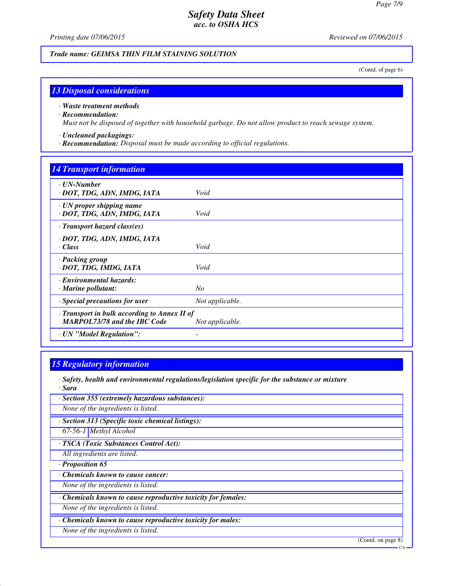*Printing date 07/06/2015 Reviewed on 07/06/2015*

*Trade name: GEIMSA THIN FILM STAINING SOLUTION*

(Contd. of page 6)

### *13 Disposal considerations*

#### *· Waste treatment methods*

#### *· Recommendation:*

*Must not be disposed of together with household garbage. Do not allow product to reach sewage system.*

### *· Uncleaned packagings:*

*· Recommendation: Disposal must be made according to official regulations.*

### *14 Transport information*

| $\cdot$ UN-Number<br>· DOT, TDG, ADN, IMDG, IATA                                          | Void                     |
|-------------------------------------------------------------------------------------------|--------------------------|
| $\cdot$ UN proper shipping name<br>· DOT, TDG, ADN, IMDG, IATA                            | Void                     |
| $\cdot$ Transport hazard class(es)                                                        |                          |
| · DOT, TDG, ADN, IMDG, IATA<br>$\cdot$ Class                                              | Void                     |
| · Packing group<br>· DOT, TDG, IMDG, IATA                                                 | Void                     |
| · Environmental hazards:<br>$\cdot$ Marine pollutant:                                     | No                       |
| · Special precautions for user                                                            | Not applicable.          |
| $\cdot$ Transport in bulk according to Annex II of<br><b>MARPOL73/78 and the IBC Code</b> | Not applicable.          |
| · UN "Model Regulation":                                                                  | $\overline{\phantom{0}}$ |

### *15 Regulatory information*

*· Safety, health and environmental regulations/legislation specific for the substance or mixture · Sara*

*· Section 355 (extremely hazardous substances):*

*None of the ingredients is listed.*

*· Section 313 (Specific toxic chemical listings):*

*67-56-1 Methyl Alcohol*

*· TSCA (Toxic Substances Control Act):*

*All ingredients are listed.*

*· Proposition 65*

*· Chemicals known to cause cancer:*

*None of the ingredients is listed.*

*· Chemicals known to cause reproductive toxicity for females:*

*None of the ingredients is listed.*

*· Chemicals known to cause reproductive toxicity for males:*

*None of the ingredients is listed.*

(Contd. on page 8)

CA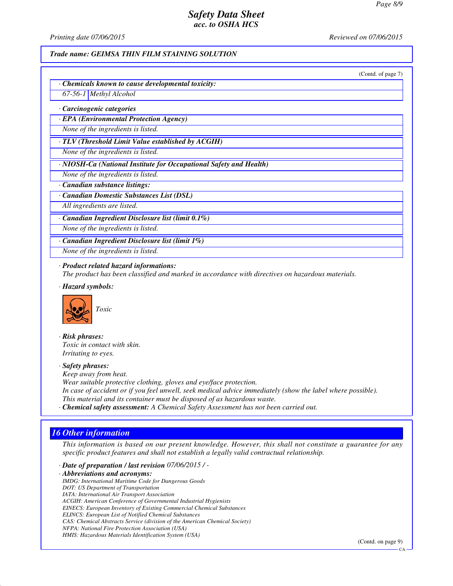*Printing date 07/06/2015 Reviewed on 07/06/2015*

#### *Trade name: GEIMSA THIN FILM STAINING SOLUTION*

(Contd. of page 7)

*· Chemicals known to cause developmental toxicity:*

*67-56-1 Methyl Alcohol*

*· Carcinogenic categories*

*· EPA (Environmental Protection Agency)*

*None of the ingredients is listed.*

*· TLV (Threshold Limit Value established by ACGIH)*

*None of the ingredients is listed.*

*· NIOSH-Ca (National Institute for Occupational Safety and Health)*

*None of the ingredients is listed.*

*· Canadian substance listings:*

*· Canadian Domestic Substances List (DSL)*

*All ingredients are listed.*

*· Canadian Ingredient Disclosure list (limit 0.1%)*

*None of the ingredients is listed.*

*· Canadian Ingredient Disclosure list (limit 1%)*

*None of the ingredients is listed.*

#### *· Product related hazard informations:*

*The product has been classified and marked in accordance with directives on hazardous materials.*

*· Hazard symbols:*



*· Risk phrases: Toxic in contact with skin. Irritating to eyes.*

# *· Safety phrases:*

*Keep away from heat. Wear suitable protective clothing, gloves and eye/face protection. In case of accident or if you feel unwell, seek medical advice immediately (show the label where possible). This material and its container must be disposed of as hazardous waste.*

*· Chemical safety assessment: A Chemical Safety Assessment has not been carried out.*

### *16 Other information*

*This information is based on our present knowledge. However, this shall not constitute a guarantee for any specific product features and shall not establish a legally valid contractual relationship.*

*· Date of preparation / last revision 07/06/2015 / -*

*· Abbreviations and acronyms:*

*IMDG: International Maritime Code for Dangerous Goods DOT: US Department of Transportation IATA: International Air Transport Association ACGIH: American Conference of Governmental Industrial Hygienists EINECS: European Inventory of Existing Commercial Chemical Substances ELINCS: European List of Notified Chemical Substances CAS: Chemical Abstracts Service (division of the American Chemical Society) NFPA: National Fire Protection Association (USA) HMIS: Hazardous Materials Identification System (USA)*

(Contd. on page 9)

CA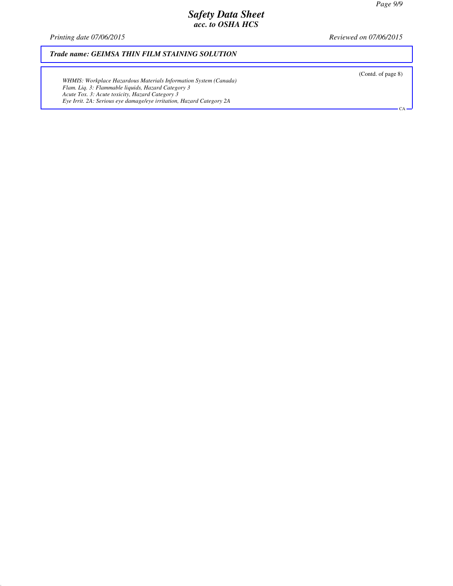*Printing date 07/06/2015 Reviewed on 07/06/2015*

### *Trade name: GEIMSA THIN FILM STAINING SOLUTION*

*WHMIS: Workplace Hazardous Materials Information System (Canada) Flam. Liq. 3: Flammable liquids, Hazard Category 3 Acute Tox. 3: Acute toxicity, Hazard Category 3 Eye Irrit. 2A: Serious eye damage/eye irritation, Hazard Category 2A*

(Contd. of page 8)

 $\overline{C}$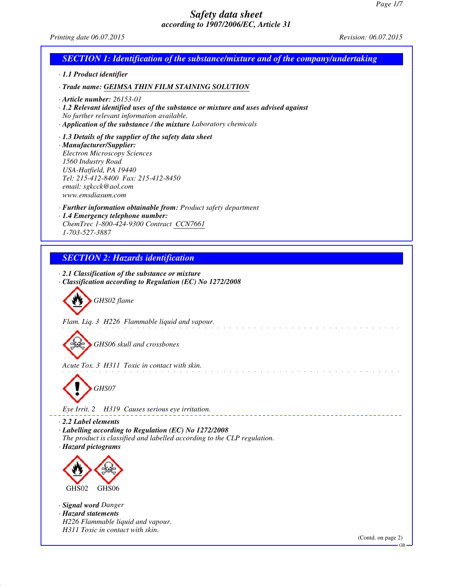*Printing date 06.07.2015 Revision: 06.07.2015*

| <b>SECTION 1: Identification of the substance/mixture and of the company/undertaking</b>                                                                                                                                                                                                                                             |
|--------------------------------------------------------------------------------------------------------------------------------------------------------------------------------------------------------------------------------------------------------------------------------------------------------------------------------------|
| · 1.1 Product identifier                                                                                                                                                                                                                                                                                                             |
| · Trade name: GEIMSA THIN FILM STAINING SOLUTION                                                                                                                                                                                                                                                                                     |
| $\cdot$ Article number: 26153-01<br>$\cdot$ 1.2 Relevant identified uses of the substance or mixture and uses advised against<br>No further relevant information available.<br>· Application of the substance / the mixture Laboratory chemicals                                                                                     |
| $\cdot$ 1.3 Details of the supplier of the safety data sheet<br>· Manufacturer/Supplier:<br><b>Electron Microscopy Sciences</b><br>1560 Industry Road<br>USA-Hatfield, PA 19440<br>Tel: 215-412-8400 Fax: 215-412-8450<br>email: sgkcck@aol.com<br>www.emsdiasum.com                                                                 |
| · Further information obtainable from: Product safety department<br>· 1.4 Emergency telephone number:<br>ChemTrec 1-800-424-9300 Contract CCN7661<br>1-703-527-3887                                                                                                                                                                  |
| <b>SECTION 2: Hazards identification</b>                                                                                                                                                                                                                                                                                             |
| $\cdot$ 2.1 Classification of the substance or mixture<br>· Classification according to Regulation (EC) No 1272/2008<br>GHS02 flame<br>Flam. Liq. 3 H226 Flammable liquid and vapour.<br>GHS06 skull and crossbones<br>Acute Tox. 3 H311 Toxic in contact with skin.<br>GHS07<br>H319 Causes serious eye irritation.<br>Eye Irrit. 2 |
| $\cdot$ 2.2 Label elements<br>$\cdot$ Labelling according to Regulation (EC) No 1272/2008<br>The product is classified and labelled according to the CLP regulation.<br>· Hazard pictograms<br>GHS02<br>GHS06<br>· Signal word Danger<br>· Hazard statements                                                                         |
| H226 Flammable liquid and vapour.<br>H311 Toxic in contact with skin.<br>(Contd. on page 2)<br><b>GB</b>                                                                                                                                                                                                                             |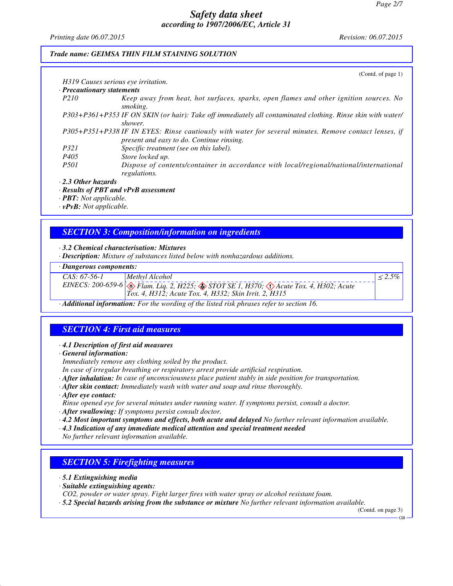*Printing date 06.07.2015 Revision: 06.07.2015*

### *Trade name: GEIMSA THIN FILM STAINING SOLUTION*

|                                            | (Contd. of page $1$ )                                                                                                                              |
|--------------------------------------------|----------------------------------------------------------------------------------------------------------------------------------------------------|
| H319 Causes serious eve irritation.        |                                                                                                                                                    |
| · Precautionary statements                 |                                                                                                                                                    |
| P <sub>210</sub>                           | Keep away from heat, hot surfaces, sparks, open flames and other ignition sources. No<br>smoking.                                                  |
|                                            | P303+P361+P353 IF ON SKIN (or hair): Take off immediately all contaminated clothing. Rinse skin with water/<br>shower.                             |
|                                            | P305+P351+P338 IF IN EYES: Rinse cautiously with water for several minutes. Remove contact lenses, if<br>present and easy to do. Continue rinsing. |
| <i>P321</i>                                | Specific treatment (see on this label).                                                                                                            |
| P405                                       | Store locked up.                                                                                                                                   |
| <i>P501</i>                                | Dispose of contents/container in accordance with local/regional/national/international<br>regulations.                                             |
| $\cdot$ 2.3 Other hazards                  |                                                                                                                                                    |
| $\cdot$ Results of PBT and vPvB assessment |                                                                                                                                                    |
| $\mathbf{p}$ <b>PRT</b> , Not applicable   |                                                                                                                                                    |

*· PBT: Not applicable.*

*· vPvB: Not applicable.*

# *SECTION 3: Composition/information on ingredients*

#### *· 3.2 Chemical characterisation: Mixtures*

*· Description: Mixture of substances listed below with nonhazardous additions.*

### *· Dangerous components:*

| CAS: 67-56-1 | Methyl Alcohol                                                                                                 |  |
|--------------|----------------------------------------------------------------------------------------------------------------|--|
|              | EINECS: 200-659-6 $\otimes$ Flam. Liq. 2, H225; $\otimes$ STOT SE 1, H370; $\otimes$ Acute Tox. 4, H302; Acute |  |
|              | $Tox. 4, H312$ ; Acute Tox. 4, H332; Skin Irrit. 2, H315                                                       |  |

*· Additional information: For the wording of the listed risk phrases refer to section 16.*

# *SECTION 4: First aid measures*

### *· 4.1 Description of first aid measures*

*· General information:*

*Immediately remove any clothing soiled by the product.*

*In case of irregular breathing or respiratory arrest provide artificial respiration.*

- *· After inhalation: In case of unconsciousness place patient stably in side position for transportation.*
- *· After skin contact: Immediately wash with water and soap and rinse thoroughly.*
- *· After eye contact:*
- *Rinse opened eye for several minutes under running water. If symptoms persist, consult a doctor.*
- *· After swallowing: If symptoms persist consult doctor.*
- *· 4.2 Most important symptoms and effects, both acute and delayed No further relevant information available.*
- *· 4.3 Indication of any immediate medical attention and special treatment needed*
- *No further relevant information available.*

# *SECTION 5: Firefighting measures*

- *· 5.1 Extinguishing media*
- *· Suitable extinguishing agents:*
- *CO2, powder or water spray. Fight larger fires with water spray or alcohol resistant foam.*
- *· 5.2 Special hazards arising from the substance or mixture No further relevant information available.*

(Contd. on page 3) GB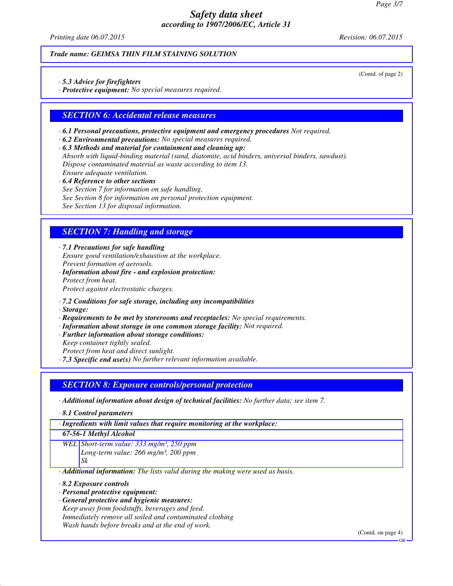*Printing date 06.07.2015 Revision: 06.07.2015*

*Trade name: GEIMSA THIN FILM STAINING SOLUTION*

*· 5.3 Advice for firefighters*

*· Protective equipment: No special measures required.*

### *SECTION 6: Accidental release measures*

*· 6.1 Personal precautions, protective equipment and emergency procedures Not required.*

*· 6.2 Environmental precautions: No special measures required.*

*· 6.3 Methods and material for containment and cleaning up: Absorb with liquid-binding material (sand, diatomite, acid binders, universal binders, sawdust). Dispose contaminated material as waste according to item 13. Ensure adequate ventilation.*

*· 6.4 Reference to other sections*

*See Section 7 for information on safe handling.*

*See Section 8 for information on personal protection equipment.*

*See Section 13 for disposal information.*

### *SECTION 7: Handling and storage*

*· 7.1 Precautions for safe handling Ensure good ventilation/exhaustion at the workplace. Prevent formation of aerosols.*

*· Information about fire - and explosion protection: Protect from heat. Protect against electrostatic charges.*

*· 7.2 Conditions for safe storage, including any incompatibilities*

*· Storage:*

*· Requirements to be met by storerooms and receptacles: No special requirements.*

*· Information about storage in one common storage facility: Not required.*

*· Further information about storage conditions:*

*Keep container tightly sealed.*

*Protect from heat and direct sunlight.*

*· 7.3 Specific end use(s) No further relevant information available.*

### *SECTION 8: Exposure controls/personal protection*

*· Additional information about design of technical facilities: No further data; see item 7.*

*· 8.1 Control parameters*

*· Ingredients with limit values that require monitoring at the workplace:*

*67-56-1 Methyl Alcohol*

*WEL Short-term value: 333 mg/m³, 250 ppm Long-term value: 266 mg/m³, 200 ppm Sk*

*· Additional information: The lists valid during the making were used as basis.*

*· 8.2 Exposure controls*

*· Personal protective equipment:*

*· General protective and hygienic measures:*

*Keep away from foodstuffs, beverages and feed. Immediately remove all soiled and contaminated clothing Wash hands before breaks and at the end of work.*

(Contd. on page 4)

(Contd. of page 2)

GB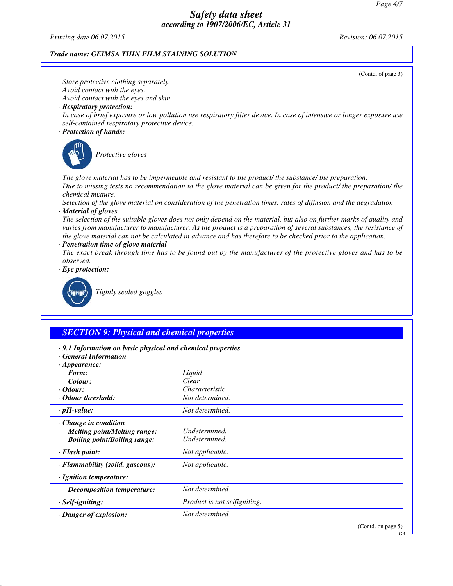GB

# *Safety data sheet according to 1907/2006/EC, Article 31*

*Printing date 06.07.2015 Revision: 06.07.2015*

### *Trade name: GEIMSA THIN FILM STAINING SOLUTION*

(Contd. of page 3) *Store protective clothing separately. Avoid contact with the eyes. Avoid contact with the eyes and skin. · Respiratory protection: In case of brief exposure or low pollution use respiratory filter device. In case of intensive or longer exposure use self-contained respiratory protective device. · Protection of hands: Protective gloves The glove material has to be impermeable and resistant to the product/ the substance/ the preparation. Due to missing tests no recommendation to the glove material can be given for the product/ the preparation/ the chemical mixture. Selection of the glove material on consideration of the penetration times, rates of diffusion and the degradation · Material of gloves The selection of the suitable gloves does not only depend on the material, but also on further marks of quality and varies from manufacturer to manufacturer. As the product is a preparation of several substances, the resistance of the glove material can not be calculated in advance and has therefore to be checked prior to the application. · Penetration time of glove material The exact break through time has to be found out by the manufacturer of the protective gloves and has to be observed. · Eye protection: Tightly sealed goggles SECTION 9: Physical and chemical properties*

| $\cdot$ 9.1 Information on basic physical and chemical properties |                              |                    |  |
|-------------------------------------------------------------------|------------------------------|--------------------|--|
| <b>General Information</b>                                        |                              |                    |  |
| $\cdot$ Appearance:                                               |                              |                    |  |
| Form:                                                             | Liquid                       |                    |  |
| Colour:                                                           | Clear                        |                    |  |
| $\cdot$ Odour:                                                    | Characteristic               |                    |  |
| · Odour threshold:                                                | Not determined.              |                    |  |
| $\cdot$ pH-value:                                                 | Not determined.              |                    |  |
| $\cdot$ Change in condition                                       |                              |                    |  |
| <b>Melting point/Melting range:</b>                               | Undetermined.                |                    |  |
| <b>Boiling point/Boiling range:</b>                               | Undetermined.                |                    |  |
| · Flash point:                                                    | Not applicable.              |                    |  |
| · Flammability (solid, gaseous):                                  | Not applicable.              |                    |  |
| · Ignition temperature:                                           |                              |                    |  |
| Decomposition temperature:                                        | Not determined.              |                    |  |
| · Self-igniting:                                                  | Product is not selfigniting. |                    |  |
| · Danger of explosion:                                            | Not determined.              |                    |  |
|                                                                   |                              | (Contd. on page 5) |  |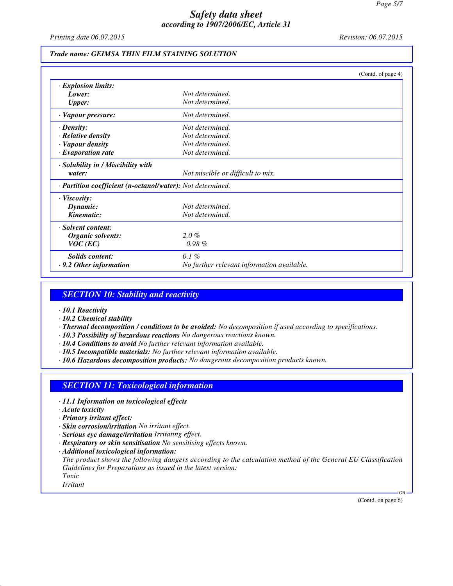*Printing date 06.07.2015 Revision: 06.07.2015*

#### *Trade name: GEIMSA THIN FILM STAINING SOLUTION*

|                                                            |                                            | (Contd. of page 4) |
|------------------------------------------------------------|--------------------------------------------|--------------------|
| · Explosion limits:                                        |                                            |                    |
| Lower:                                                     | Not determined.                            |                    |
| <b>Upper:</b>                                              | Not determined.                            |                    |
| · Vapour pressure:                                         | Not determined.                            |                    |
| $\cdot$ Density:                                           | Not determined.                            |                    |
| · Relative density                                         | Not determined.                            |                    |
| · Vapour density                                           | Not determined.                            |                    |
| $\cdot$ Evaporation rate                                   | Not determined.                            |                    |
| · Solubility in / Miscibility with                         |                                            |                    |
| water:                                                     | Not miscible or difficult to mix.          |                    |
| · Partition coefficient (n-octanol/water): Not determined. |                                            |                    |
| $\cdot$ Viscosity:                                         |                                            |                    |
| Dynamic:                                                   | Not determined.                            |                    |
| Kinematic:                                                 | Not determined.                            |                    |
| · Solvent content:                                         |                                            |                    |
| Organic solvents:                                          | $2.0\%$                                    |                    |
| $VOC$ (EC)                                                 | $0.98\%$                                   |                    |
| <b>Solids content:</b>                                     | $0.1\%$                                    |                    |
| $\cdot$ 9.2 Other information                              | No further relevant information available. |                    |

### *SECTION 10: Stability and reactivity*

- *· 10.1 Reactivity*
- *· 10.2 Chemical stability*
- *· Thermal decomposition / conditions to be avoided: No decomposition if used according to specifications.*
- *· 10.3 Possibility of hazardous reactions No dangerous reactions known.*
- *· 10.4 Conditions to avoid No further relevant information available.*
- *· 10.5 Incompatible materials: No further relevant information available.*
- *· 10.6 Hazardous decomposition products: No dangerous decomposition products known.*

### *SECTION 11: Toxicological information*

- *· 11.1 Information on toxicological effects*
- *· Acute toxicity*
- *· Primary irritant effect:*
- *· Skin corrosion/irritation No irritant effect.*
- *· Serious eye damage/irritation Irritating effect.*
- *· Respiratory or skin sensitisation No sensitising effects known.*
- *· Additional toxicological information:*

*The product shows the following dangers according to the calculation method of the General EU Classification Guidelines for Preparations as issued in the latest version:*

*Toxic Irritant*

(Contd. on page 6)

GB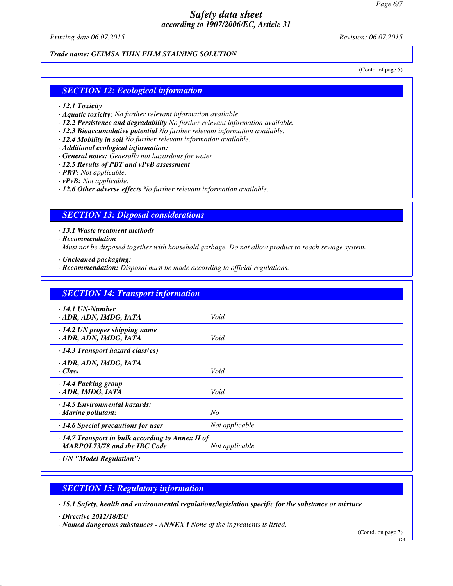*Printing date 06.07.2015 Revision: 06.07.2015*

*Trade name: GEIMSA THIN FILM STAINING SOLUTION*

(Contd. of page 5)

### *SECTION 12: Ecological information*

- *· 12.1 Toxicity*
- *· Aquatic toxicity: No further relevant information available.*
- *· 12.2 Persistence and degradability No further relevant information available.*
- *· 12.3 Bioaccumulative potential No further relevant information available.*
- *· 12.4 Mobility in soil No further relevant information available.*
- *· Additional ecological information:*
- *· General notes: Generally not hazardous for water*
- *· 12.5 Results of PBT and vPvB assessment*
- *· PBT: Not applicable.*
- *· vPvB: Not applicable.*
- *· 12.6 Other adverse effects No further relevant information available.*

### *SECTION 13: Disposal considerations*

*· 13.1 Waste treatment methods*

*· Recommendation*

*Must not be disposed together with household garbage. Do not allow product to reach sewage system.*

*· Uncleaned packaging:*

*· Recommendation: Disposal must be made according to official regulations.*

| <b>SECTION 14: Transport information</b>                                                       |                 |
|------------------------------------------------------------------------------------------------|-----------------|
| $\cdot$ 14.1 UN-Number<br>· ADR, ADN, IMDG, IATA                                               | Void            |
| $\cdot$ 14.2 UN proper shipping name<br>· ADR, ADN, IMDG, IATA                                 | Void            |
| $\cdot$ 14.3 Transport hazard class(es)                                                        |                 |
| · ADR, ADN, IMDG, IATA<br>· Class                                                              | Void            |
| $\cdot$ 14.4 Packing group<br>· ADR, IMDG, IATA                                                | Void            |
| · 14.5 Environmental hazards:<br>$\cdot$ Marine pollutant:                                     | N <sub>O</sub>  |
| $\cdot$ 14.6 Special precautions for user                                                      | Not applicable. |
| $\cdot$ 14.7 Transport in bulk according to Annex II of<br><b>MARPOL73/78 and the IBC Code</b> | Not applicable. |
| · UN "Model Regulation":                                                                       |                 |

### *SECTION 15: Regulatory information*

*· 15.1 Safety, health and environmental regulations/legislation specific for the substance or mixture*

*· Directive 2012/18/EU*

*· Named dangerous substances - ANNEX I None of the ingredients is listed.*

(Contd. on page 7)

GB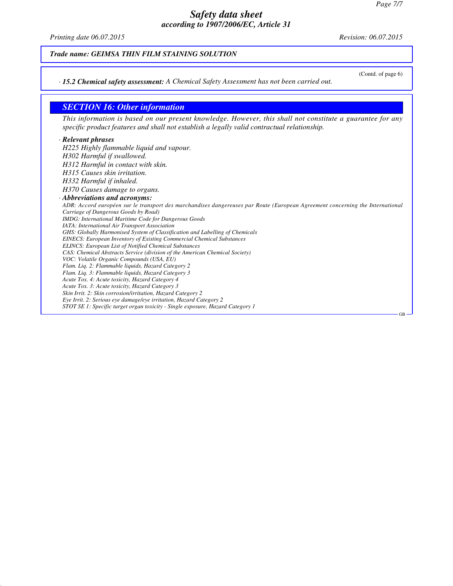*Printing date 06.07.2015 Revision: 06.07.2015*

(Contd. of page 6)

GB

*Trade name: GEIMSA THIN FILM STAINING SOLUTION*

*· 15.2 Chemical safety assessment: A Chemical Safety Assessment has not been carried out.*

### *SECTION 16: Other information*

*This information is based on our present knowledge. However, this shall not constitute a guarantee for any specific product features and shall not establish a legally valid contractual relationship.*

#### *· Relevant phrases*

*H225 Highly flammable liquid and vapour. H302 Harmful if swallowed. H312 Harmful in contact with skin. H315 Causes skin irritation. H332 Harmful if inhaled. H370 Causes damage to organs. · Abbreviations and acronyms: ADR: Accord européen sur le transport des marchandises dangereuses par Route (European Agreement concerning the International Carriage of Dangerous Goods by Road) IMDG: International Maritime Code for Dangerous Goods IATA: International Air Transport Association GHS: Globally Harmonised System of Classification and Labelling of Chemicals EINECS: European Inventory of Existing Commercial Chemical Substances ELINCS: European List of Notified Chemical Substances CAS: Chemical Abstracts Service (division of the American Chemical Society) VOC: Volatile Organic Compounds (USA, EU) Flam. Liq. 2: Flammable liquids, Hazard Category 2 Flam. Liq. 3: Flammable liquids, Hazard Category 3 Acute Tox. 4: Acute toxicity, Hazard Category 4 Acute Tox. 3: Acute toxicity, Hazard Category 3 Skin Irrit. 2: Skin corrosion/irritation, Hazard Category 2 Eye Irrit. 2: Serious eye damage/eye irritation, Hazard Category 2 STOT SE 1: Specific target organ toxicity - Single exposure, Hazard Category 1*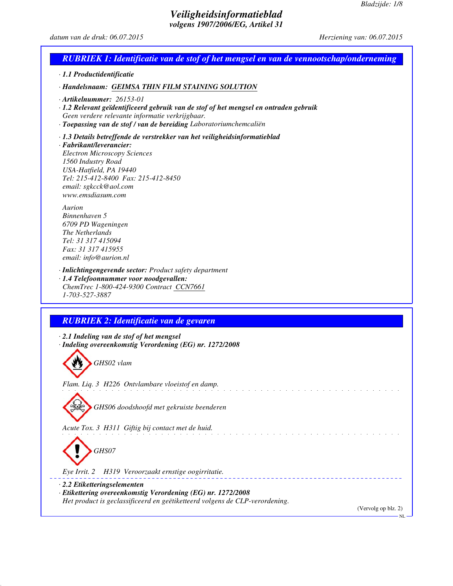# *Veiligheidsinformatieblad volgens 1907/2006/EG, Artikel 31*

# *datum van de druk: 06.07.2015 Herziening van: 06.07.2015*

| <b>RUBRIEK 1: Identificatie van de stof of het mengsel en van de vennootschap/onderneming</b>                                                                                                                                                                                      |
|------------------------------------------------------------------------------------------------------------------------------------------------------------------------------------------------------------------------------------------------------------------------------------|
| · 1.1 Productidentificatie                                                                                                                                                                                                                                                         |
| · Handelsnaam: GEIMSA THIN FILM STAINING SOLUTION                                                                                                                                                                                                                                  |
| $\cdot$ Artikelnummer: 26153-01<br>· 1.2 Relevant geïdentificeerd gebruik van de stof of het mengsel en ontraden gebruik<br>Geen verdere relevante informatie verkrijgbaar.<br>· Toepassing van de stof / van de bereiding Laboratoriumchemcaliën                                  |
| · 1.3 Details betreffende de verstrekker van het veiligheidsinformatieblad<br>· Fabrikant/leverancier:<br><b>Electron Microscopy Sciences</b><br>1560 Industry Road<br>USA-Hatfield, PA 19440<br>Tel: 215-412-8400 Fax: 215-412-8450<br>email: sgkcck@aol.com<br>www.emsdiasum.com |
| Aurion<br>Binnenhaven 5<br>6709 PD Wageningen<br><i>The Netherlands</i><br>Tel: 31 317 415094<br>Fax: 31 317 415955<br>email: info@aurion.nl                                                                                                                                       |
| · Inlichtingengevende sector: Product safety department<br>· 1.4 Telefoonnummer voor noodgevallen:<br>ChemTrec 1-800-424-9300 Contract CCN7661<br>1-703-527-3887                                                                                                                   |
|                                                                                                                                                                                                                                                                                    |
| <b>RUBRIEK 2: Identificatie van de gevaren</b>                                                                                                                                                                                                                                     |
| · 2.1 Indeling van de stof of het mengsel<br>· Indeling overeenkomstig Verordening (EG) nr. 1272/2008                                                                                                                                                                              |
| GHS02 vlam                                                                                                                                                                                                                                                                         |
| Flam. Liq. 3 H226 Ontvlambare vloeistof en damp.                                                                                                                                                                                                                                   |
| GHS06 doodshoofd met gekruiste beenderen                                                                                                                                                                                                                                           |
| Acute Tox. 3 H311 Giftig bij contact met de huid.                                                                                                                                                                                                                                  |
| GHS07                                                                                                                                                                                                                                                                              |
| H319 Veroorzaakt ernstige oogirritatie.<br>Eye Irrit. 2                                                                                                                                                                                                                            |
| $\cdot$ 2.2 Etiketteringselementen<br>· Etikettering overeenkomstig Verordening (EG) nr. 1272/2008<br>Het product is geclassificeerd en geëtiketteerd volgens de CLP-verordening.                                                                                                  |
| (Vervolg op blz. 2)                                                                                                                                                                                                                                                                |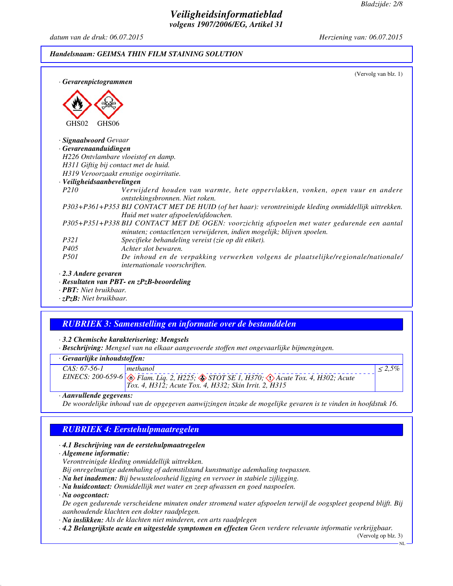# *Veiligheidsinformatieblad volgens 1907/2006/EG, Artikel 31*

*datum van de druk: 06.07.2015 Herziening van: 06.07.2015*

#### *Handelsnaam: GEIMSA THIN FILM STAINING SOLUTION*

| · Gevarenpictogrammen       | (Vervolg van blz. 1)                                                                                                                                                  |
|-----------------------------|-----------------------------------------------------------------------------------------------------------------------------------------------------------------------|
|                             |                                                                                                                                                                       |
|                             |                                                                                                                                                                       |
| GHS02                       | GHS <sub>06</sub>                                                                                                                                                     |
| · Signaalwoord Gevaar       |                                                                                                                                                                       |
| $\cdot$ Gevarenaanduidingen |                                                                                                                                                                       |
|                             | H226 Ontvlambare vloeistof en damp.                                                                                                                                   |
|                             | H311 Giftig bij contact met de huid.                                                                                                                                  |
|                             | H319 Veroorzaakt ernstige oogirritatie.                                                                                                                               |
| · Veiligheidsaanbevelingen  |                                                                                                                                                                       |
| <i>P210</i>                 | Verwijderd houden van warmte, hete oppervlakken, vonken, open vuur en andere<br>ontstekingsbronnen. Niet roken.                                                       |
|                             | P303+P361+P353 BIJ CONTACT MET DE HUID (of het haar): verontreinigde kleding onmiddellijk uittrekken.<br>Huid met water afspoelen/afdouchen.                          |
|                             | P305+P351+P338 BIJ CONTACT MET DE OGEN: voorzichtig afspoelen met water gedurende een aantal<br>minuten; contactlenzen verwijderen, indien mogelijk; blijven spoelen. |
| <i>P321</i>                 | Specifieke behandeling vereist (zie op dit etiket).                                                                                                                   |
| P405                        | Achter slot bewaren.                                                                                                                                                  |
| <i>P501</i>                 | De inhoud en de verpakking verwerken volgens de plaatselijke/regionale/nationale/<br>internationale voorschriften.                                                    |
| $\cdot$ 2.3 Andere gevaren  |                                                                                                                                                                       |
|                             | · Resultaten van PBT- en zPzB-beoordeling                                                                                                                             |

*· PBT: Niet bruikbaar. · zPzB: Niet bruikbaar.*

# *RUBRIEK 3: Samenstelling en informatie over de bestanddelen*

*· 3.2 Chemische karakterisering: Mengsels*

*· Beschrijving: Mengsel van na elkaar aangevoerde stoffen met ongevaarlijke bijmengingen.*

### *· Gevaarlijke inhoudstoffen:*

| $CAS: 67-56-1$ | methanol                                                                                                       |  |
|----------------|----------------------------------------------------------------------------------------------------------------|--|
|                | EINECS: 200-659-6 $\otimes$ Flam. Liq. 2, H225; $\otimes$ STOT SE 1, H370; $\otimes$ Acute Tox. 4, H302; Acute |  |
|                | <i>Tox. 4, H312; Acute Tox. 4, H332; Skin Irrit. 2, H315</i>                                                   |  |
|                |                                                                                                                |  |

*· Aanvullende gegevens:*

*De woordelijke inhoud van de opgegeven aanwijzingen inzake de mogelijke gevaren is te vinden in hoofdstuk 16.*

# *RUBRIEK 4: Eerstehulpmaatregelen*

#### *· 4.1 Beschrijving van de eerstehulpmaatregelen*

*· Algemene informatie:*

*Verontreinigde kleding onmiddellijk uittrekken.*

*Bij onregelmatige ademhaling of ademstilstand kunstmatige ademhaling toepassen.*

- *· Na het inademen: Bij bewusteloosheid ligging en vervoer in stabiele zijligging.*
- *· Na huidcontact: Onmiddellijk met water en zeep afwassen en goed naspoelen.*

*· Na oogcontact:*

*De ogen gedurende verscheidene minuten onder stromend water afspoelen terwijl de oogspleet geopend blijft. Bij aanhoudende klachten een dokter raadplegen.*

*· Na inslikken: Als de klachten niet minderen, een arts raadplegen*

*· 4.2 Belangrijkste acute en uitgestelde symptomen en effecten Geen verdere relevante informatie verkrijgbaar.*

(Vervolg op blz. 3)

NL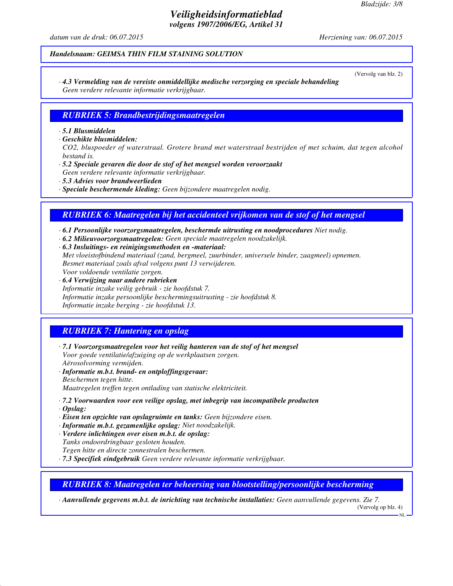# *Veiligheidsinformatieblad volgens 1907/2006/EG, Artikel 31*

*datum van de druk: 06.07.2015 Herziening van: 06.07.2015*

### *Handelsnaam: GEIMSA THIN FILM STAINING SOLUTION*

(Vervolg van blz. 2)

*· 4.3 Vermelding van de vereiste onmiddellijke medische verzorging en speciale behandeling Geen verdere relevante informatie verkrijgbaar.*

### *RUBRIEK 5: Brandbestrijdingsmaatregelen*

#### *· 5.1 Blusmiddelen*

*· Geschikte blusmiddelen:*

*CO2, bluspoeder of waterstraal. Grotere brand met waterstraal bestrijden of met schuim, dat tegen alcohol bestand is.*

*· 5.2 Speciale gevaren die door de stof of het mengsel worden veroorzaakt*

*Geen verdere relevante informatie verkrijgbaar.*

*· 5.3 Advies voor brandweerlieden*

*· Speciale beschermende kleding: Geen bijzondere maatregelen nodig.*

### *RUBRIEK 6: Maatregelen bij het accidenteel vrijkomen van de stof of het mengsel*

*· 6.1 Persoonlijke voorzorgsmaatregelen, beschermde uitrusting en noodprocedures Niet nodig.*

- *· 6.2 Milieuvoorzorgsmaatregelen: Geen speciale maatregelen noodzakelijk.*
- *· 6.3 Insluitings- en reinigingsmethoden en -materiaal: Met vloeistofbindend materiaal (zand, bergmeel, zuurbinder, universele binder, zaagmeel) opnemen. Besmet materiaal zoals afval volgens punt 13 verwijderen. Voor voldoende ventilatie zorgen.*
- *· 6.4 Verwijzing naar andere rubrieken Informatie inzake veilig gebruik - zie hoofdstuk 7. Informatie inzake persoonlijke beschermingsuitrusting - zie hoofdstuk 8. Informatie inzake berging - zie hoofdstuk 13.*

### *RUBRIEK 7: Hantering en opslag*

- *· 7.1 Voorzorgsmaatregelen voor het veilig hanteren van de stof of het mengsel Voor goede ventilatie/afzuiging op de werkplaatsen zorgen. Aërosolvorming vermijden.*
- *· Informatie m.b.t. brand- en ontploffingsgevaar: Beschermen tegen hitte. Maatregelen treffen tegen ontlading van statische elektriciteit.*
- *· 7.2 Voorwaarden voor een veilige opslag, met inbegrip van incompatibele producten*
- *· Opslag:*
- *· Eisen ten opzichte van opslagruimte en tanks: Geen bijzondere eisen.*
- *· Informatie m.b.t. gezamenlijke opslag: Niet noodzakelijk.*
- *· Verdere inlichtingen over eisen m.b.t. de opslag:*
- *Tanks ondoordringbaar gesloten houden.*
- *Tegen hitte en directe zonnestralen beschermen.*

*· 7.3 Specifiek eindgebruik Geen verdere relevante informatie verkrijgbaar.*

*RUBRIEK 8: Maatregelen ter beheersing van blootstelling/persoonlijke bescherming*

*· Aanvullende gegevens m.b.t. de inrichting van technische installaties: Geen aanvullende gegevens. Zie 7.* (Vervolg op blz. 4)

NL<sub>1</sub>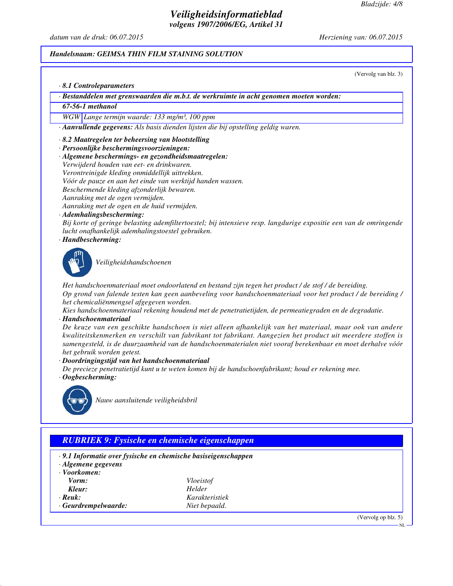(Vervolg van blz. 3)

## *Veiligheidsinformatieblad volgens 1907/2006/EG, Artikel 31*

*datum van de druk: 06.07.2015 Herziening van: 06.07.2015*

#### *Handelsnaam: GEIMSA THIN FILM STAINING SOLUTION*

*· 8.1 Controleparameters*

*· Bestanddelen met grenswaarden die m.b.t. de werkruimte in acht genomen moeten worden:*

*67-56-1 methanol*

*WGW Lange termijn waarde: 133 mg/m³, 100 ppm*

*· Aanvullende gegevens: Als basis dienden lijsten die bij opstelling geldig waren.*

#### *· 8.2 Maatregelen ter beheersing van blootstelling*

- *· Persoonlijke beschermingsvoorzieningen:*
- *· Algemene beschermings- en gezondheidsmaatregelen:*

*Verwijderd houden van eet- en drinkwaren.*

- *Verontreinigde kleding onmiddellijk uittrekken.*
- *Vóór de pauze en aan het einde van werktijd handen wassen.*
- *Beschermende kleding afzonderlijk bewaren.*

*Aanraking met de ogen vermijden.*

*Aanraking met de ogen en de huid vermijden.*

*· Ademhalingsbescherming:*

*Bij korte of geringe belasting ademfiltertoestel; bij intensieve resp. langdurige expositie een van de omringende lucht onafhankelijk ademhalingstoestel gebruiken.*

*· Handbescherming:*



*Veiligheidshandschoenen*

*Het handschoenmateriaal moet ondoorlatend en bestand zijn tegen het product / de stof / de bereiding. Op grond van falende testen kan geen aanbeveling voor handschoenmateriaal voor het product / de bereiding / het chemicaliënmengsel afgegeven worden.*

*Kies handschoenmateriaal rekening houdend met de penetratietijden, de permeatiegraden en de degradatie. · Handschoenmateriaal*

*De keuze van een geschikte handschoen is niet alleen afhankelijk van het materiaal, maar ook van andere kwaliteitskenmerken en verschilt van fabrikant tot fabrikant. Aangezien het product uit meerdere stoffen is samengesteld, is de duurzaamheid van de handschoenmaterialen niet vooraf berekenbaar en moet derhalve vóór het gebruik worden getest.*

*· Doordringingstijd van het handschoenmateriaal*

*De precieze penetratietijd kunt u te weten komen bij de handschoenfabrikant; houd er rekening mee. · Oogbescherming:*



*Nauw aansluitende veiligheidsbril*

## *RUBRIEK 9: Fysische en chemische eigenschappen*

- *· 9.1 Informatie over fysische en chemische basiseigenschappen*
- *· Algemene gegevens*
- *· Voorkomen:*

| Vorm:                      | Vloeistof      |
|----------------------------|----------------|
| Kleur:                     | Helder         |
| $\cdot$ Reuk:              | Karakteristiek |
| $\cdot$ Geurdrempelwaarde: | Niet bepaald.  |

(Vervolg op blz. 5)

NL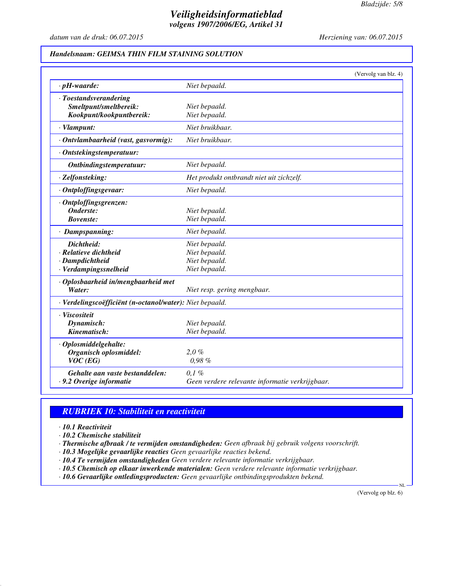## *Veiligheidsinformatieblad volgens 1907/2006/EG, Artikel 31*

*datum van de druk: 06.07.2015 Herziening van: 06.07.2015*

## *Handelsnaam: GEIMSA THIN FILM STAINING SOLUTION*

|                                                          |                                                 | (Vervolg van blz. 4) |
|----------------------------------------------------------|-------------------------------------------------|----------------------|
| $\cdot$ pH-waarde:                                       | Niet bepaald.                                   |                      |
| · Toestandsverandering                                   |                                                 |                      |
| Smeltpunt/smeltbereik:                                   | Niet bepaald.                                   |                      |
| Kookpunt/kookpuntbereik:                                 | Niet bepaald.                                   |                      |
| · Vlampunt:                                              | Niet bruikbaar.                                 |                      |
| · Ontvlambaarheid (vast, gasvormig):                     | Niet bruikbaar.                                 |                      |
| · Ontstekingstemperatuur:                                |                                                 |                      |
| Ontbindingstemperatuur:                                  | Niet bepaald.                                   |                      |
| · Zelfonsteking:                                         | Het produkt ontbrandt niet uit zichzelf.        |                      |
| · Ontploffingsgevaar:                                    | Niet bepaald.                                   |                      |
| · Ontploffingsgrenzen:                                   |                                                 |                      |
| Onderste:                                                | Niet bepaald.                                   |                      |
| <b>Bovenste:</b>                                         | Niet bepaald.                                   |                      |
| · Dampspanning:                                          | Niet bepaald.                                   |                      |
| Dichtheid:                                               | Niet bepaald.                                   |                      |
| · Relatieve dichtheid                                    | Niet bepaald.                                   |                      |
| · Dampdichtheid                                          | Niet bepaald.                                   |                      |
| · Verdampingssnelheid                                    | Niet bepaald.                                   |                      |
| · Oplosbaarheid in/mengbaarheid met                      |                                                 |                      |
| Water:                                                   | Niet resp. gering mengbaar.                     |                      |
| · Verdelingscoëfficiënt (n-octanol/water): Niet bepaald. |                                                 |                      |
| · Viscositeit                                            |                                                 |                      |
| Dynamisch:                                               | Niet bepaald.                                   |                      |
| Kinematisch:                                             | Niet bepaald.                                   |                      |
| · Oplosmiddelgehalte:                                    |                                                 |                      |
| Organisch oplosmiddel:                                   | $2.0\%$                                         |                      |
| $VOC$ (EG)                                               | 0.98%                                           |                      |
| Gehalte aan vaste bestanddelen:                          | $0.1 \%$                                        |                      |
| · 9.2 Overige informatie                                 | Geen verdere relevante informatie verkrijgbaar. |                      |

## *RUBRIEK 10: Stabiliteit en reactiviteit*

*· 10.1 Reactiviteit*

*· 10.2 Chemische stabiliteit*

*· Thermische afbraak / te vermijden omstandigheden: Geen afbraak bij gebruik volgens voorschrift.*

*· 10.3 Mogelijke gevaarlijke reacties Geen gevaarlijke reacties bekend.*

*· 10.4 Te vermijden omstandigheden Geen verdere relevante informatie verkrijgbaar.*

*· 10.5 Chemisch op elkaar inwerkende materialen: Geen verdere relevante informatie verkrijgbaar.*

*· 10.6 Gevaarlijke ontledingsproducten: Geen gevaarlijke ontbindingsprodukten bekend.*

(Vervolg op blz. 6)

N<sub>L</sub>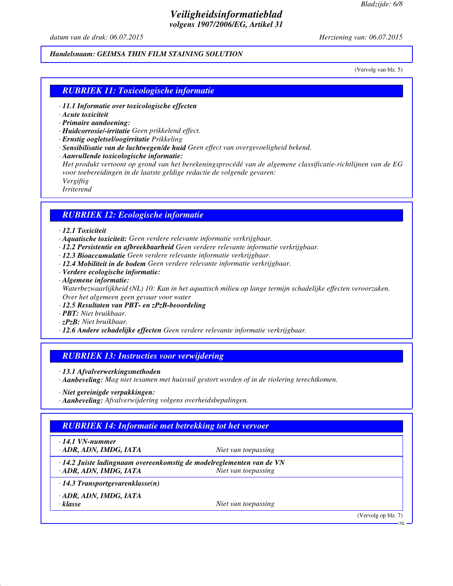## *Veiligheidsinformatieblad volgens 1907/2006/EG, Artikel 31*

*datum van de druk: 06.07.2015 Herziening van: 06.07.2015*

## *Handelsnaam: GEIMSA THIN FILM STAINING SOLUTION*

(Vervolg van blz. 5)

## *RUBRIEK 11: Toxicologische informatie*

- *· 11.1 Informatie over toxicologische effecten*
- *· Acute toxiciteit*
- *· Primaire aandoening:*
- *· Huidcorrosie/-irritatie Geen prikkelend effect.*
- *· Ernstig oogletsel/oogirritatie Prikkeling*
- *· Sensibilisatie van de luchtwegen/de huid Geen effect van overgevoeligheid bekend.*
- *· Aanvullende toxicologische informatie:*

*Het produkt vertoont op grond van het berekeningsprocédé van de algemene classificatie-richtlijnen van de EG voor toebereidingen in de laatste geldige redactie de volgende gevaren: Vergiftig Irriterend*

### *RUBRIEK 12: Ecologische informatie*

#### *· 12.1 Toxiciteit*

- *· Aquatische toxiciteit: Geen verdere relevante informatie verkrijgbaar.*
- *· 12.2 Persistentie en afbreekbaarheid Geen verdere relevante informatie verkrijgbaar.*
- *· 12.3 Bioaccumulatie Geen verdere relevante informatie verkrijgbaar.*
- *· 12.4 Mobiliteit in de bodem Geen verdere relevante informatie verkrijgbaar.*
- *· Verdere ecologische informatie:*
- *· Algemene informatie: Waterbezwaarlijkheid (NL) 10: Kan in het aquatisch milieu op lange termijn schadelijke effecten veroorzaken. Over het algemeen geen gevaar voor water*
- *· 12.5 Resultaten van PBT- en zPzB-beoordeling*
- *· PBT: Niet bruikbaar.*
- *· zPzB: Niet bruikbaar.*
- *· 12.6 Andere schadelijke effecten Geen verdere relevante informatie verkrijgbaar.*

### *RUBRIEK 13: Instructies voor verwijdering*

*· 13.1 Afvalverwerkingsmethoden*

*· Aanbeveling: Mag niet tesamen met huisvuil gestort worden of in de riolering terechtkomen.*

*· Aanbeveling: Afvalverwijdering volgens overheidsbepalingen.*

### *RUBRIEK 14: Informatie met betrekking tot het vervoer*

*· 14.1 VN-nummer*

*· ADR, ADN, IMDG, IATA Niet van toepassing*

*· 14.2 Juiste ladingnaam overeenkomstig de modelreglementen van de VN · ADR, ADN, IMDG, IATA Niet van toepassing*

*· 14.3 Transportgevarenklasse(n)*

*· ADR, ADN, IMDG, IATA*

*· klasse Niet van toepassing*

(Vervolg op blz. 7)

*<sup>·</sup> Niet gereinigde verpakkingen:*

NL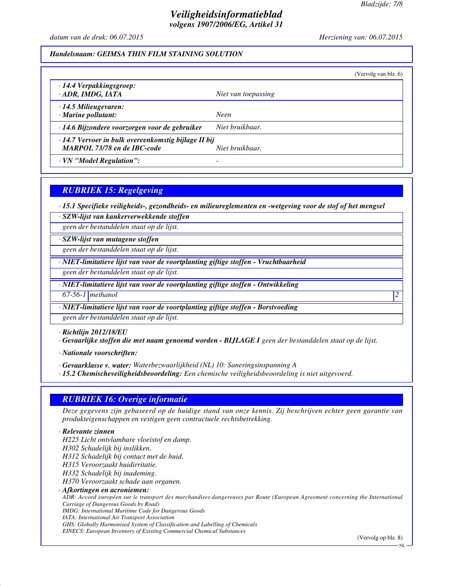## *Veiligheidsinformatieblad volgens 1907/2006/EG, Artikel 31*

*datum van de druk: 06.07.2015 Herziening van: 06.07.2015*

## *Handelsnaam: GEIMSA THIN FILM STAINING SOLUTION*

|                                                                                                      |                     | (Vervolg van blz. 6) |
|------------------------------------------------------------------------------------------------------|---------------------|----------------------|
| $\cdot$ 14.4 Verpakkingsgroep:<br>· ADR, IMDG, IATA                                                  | Niet van toepassing |                      |
| $\cdot$ 14.5 Milieugevaren:<br>$\cdot$ Marine pollutant:                                             | <b>Neen</b>         |                      |
| · 14.6 Bijzondere voorzorgen voor de gebruiker                                                       | Niet bruikbaar.     |                      |
| 14.7 Vervoer in bulk overeenkomstig bijlage II bij<br>MARPOL 73/78 en de IBC-code<br>Niet bruikbaar. |                     |                      |
| · VN "Model Regulation":                                                                             |                     |                      |

## *RUBRIEK 15: Regelgeving*

*· 15.1 Specifieke veiligheids-, gezondheids- en milieureglementen en -wetgeving voor de stof of het mengsel*

*· SZW-lijst van kankerverwekkende stoffen*

*geen der bestanddelen staat op de lijst.*

*· SZW-lijst van mutagene stoffen*

*geen der bestanddelen staat op de lijst.*

*· NIET-limitatieve lijst van voor de voortplanting giftige stoffen - Vruchtbaarheid*

*geen der bestanddelen staat op de lijst.*

*· NIET-limitatieve lijst van voor de voortplanting giftige stoffen - Ontwikkeling*

*67-56-1 methanol 2* 

*· NIET-limitatieve lijst van voor de voortplanting giftige stoffen - Borstvoeding*

*geen der bestanddelen staat op de lijst.*

*· Richtlijn 2012/18/EU*

*· Gevaarlijke stoffen die met naam genoemd worden - BIJLAGE I geen der bestanddelen staat op de lijst.*

*· Nationale voorschriften:*

*· Gevaarklasse v. water: Waterbezwaarlijkheid (NL) 10: Saneringsinspanning A*

*· 15.2 Chemischeveiligheidsbeoordeling: Een chemische veiligheidsbeoordeling is niet uitgevoerd.*

## *RUBRIEK 16: Overige informatie*

*Deze gegevens zijn gebaseerd op de huidige stand van onze kennis. Zij beschrijven echter geen garantie van produkteigenschappen en vestigen geen contractuele rechtsbetrekking.*

#### *· Relevante zinnen*

*H225 Licht ontvlambare vloeistof en damp.*

*H302 Schadelijk bij inslikken.*

*H312 Schadelijk bij contact met de huid.*

*H315 Veroorzaakt huidirritatie.*

*H332 Schadelijk bij inademing.*

*H370 Veroorzaakt schade aan organen.*

*· Afkortingen en acroniemen:*

*ADR: Accord européen sur le transport des marchandises dangereuses par Route (European Agreement concerning the International Carriage of Dangerous Goods by Road) IMDG: International Maritime Code for Dangerous Goods*

*IATA: International Air Transport Association*

*GHS: Globally Harmonised System of Classification and Labelling of Chemicals*

*EINECS: European Inventory of Existing Commercial Chemical Substances*

(Vervolg op blz. 8)

NL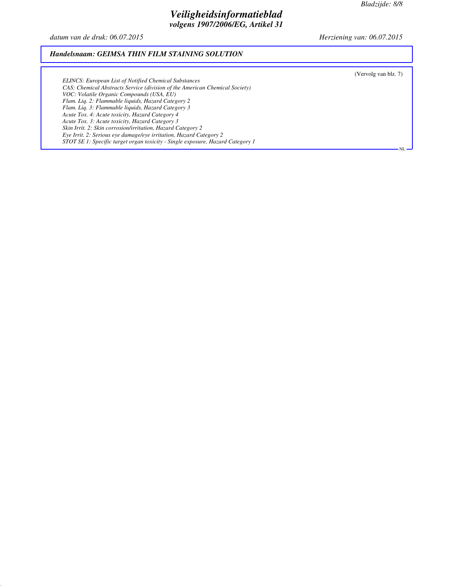(Vervolg van blz. 7)

NL

## *Veiligheidsinformatieblad volgens 1907/2006/EG, Artikel 31*

*datum van de druk: 06.07.2015 Herziening van: 06.07.2015*

#### *Handelsnaam: GEIMSA THIN FILM STAINING SOLUTION*

*ELINCS: European List of Notified Chemical Substances CAS: Chemical Abstracts Service (division of the American Chemical Society) VOC: Volatile Organic Compounds (USA, EU) Flam. Liq. 2: Flammable liquids, Hazard Category 2 Flam. Liq. 3: Flammable liquids, Hazard Category 3 Acute Tox. 4: Acute toxicity, Hazard Category 4 Acute Tox. 3: Acute toxicity, Hazard Category 3 Skin Irrit. 2: Skin corrosion/irritation, Hazard Category 2 Eye Irrit. 2: Serious eye damage/eye irritation, Hazard Category 2 STOT SE 1: Specific target organ toxicity - Single exposure, Hazard Category 1*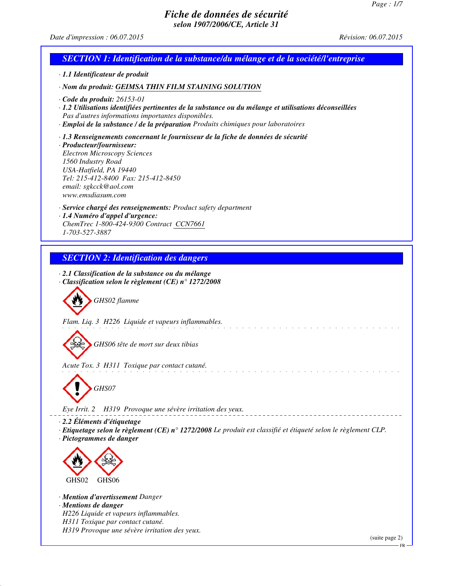## *Date d'impression : 06.07.2015 Révision: 06.07.2015*

| <b>SECTION 1: Identification de la substance/du mélange et de la société/l'entreprise</b>                                                                                                                                                                                                                                                                |
|----------------------------------------------------------------------------------------------------------------------------------------------------------------------------------------------------------------------------------------------------------------------------------------------------------------------------------------------------------|
| · 1.1 Identificateur de produit                                                                                                                                                                                                                                                                                                                          |
| · Nom du produit: GEIMSA THIN FILM STAINING SOLUTION                                                                                                                                                                                                                                                                                                     |
| $\cdot$ Code du produit: 26153-01<br>1.2 Utilisations identifiées pertinentes de la substance ou du mélange et utilisations déconseillées<br>Pas d'autres informations importantes disponibles.<br>· Emploi de la substance / de la préparation Produits chimiques pour laboratoires                                                                     |
| $\cdot$ 1.3 Renseignements concernant le fournisseur de la fiche de données de sécurité<br>· Producteur/fournisseur:<br><b>Electron Microscopy Sciences</b><br>1560 Industry Road<br>USA-Hatfield, PA 19440<br>Tel: 215-412-8400 Fax: 215-412-8450<br>email: sgkcck@aol.com<br>www.emsdiasum.com                                                         |
| · Service chargé des renseignements: Product safety department<br>· 1.4 Numéro d'appel d'urgence:<br>ChemTrec 1-800-424-9300 Contract CCN7661<br>1-703-527-3887                                                                                                                                                                                          |
| <b>SECTION 2: Identification des dangers</b>                                                                                                                                                                                                                                                                                                             |
| · 2.1 Classification de la substance ou du mélange<br>$\cdot$ Classification selon le règlement (CE) n° 1272/2008<br>GHS02 flamme<br>Flam. Liq. 3 H226 Liquide et vapeurs inflammables.<br>GHS06 tête de mort sur deux tibias<br>Acute Tox. 3 H311 Toxique par contact cutané.<br>GHS07<br>H319 Provoque une sévère irritation des yeux.<br>Eye Irrit. 2 |
| $\cdot$ 2.2 Éléments d'étiquetage<br>Etiquetage selon le règlement (CE) n° 1272/2008 Le produit est classifié et étiqueté selon le règlement CLP.<br>· Pictogrammes de danger<br>GHS02<br>GHS06<br>· <b>Mention d'avertissement</b> Danger<br>· Mentions de danger<br>H226 Liquide et vapeurs inflammables.<br>H311 Toxique par contact cutané.          |
| H319 Provoque une sévère irritation des yeux.<br>(suite page 2)                                                                                                                                                                                                                                                                                          |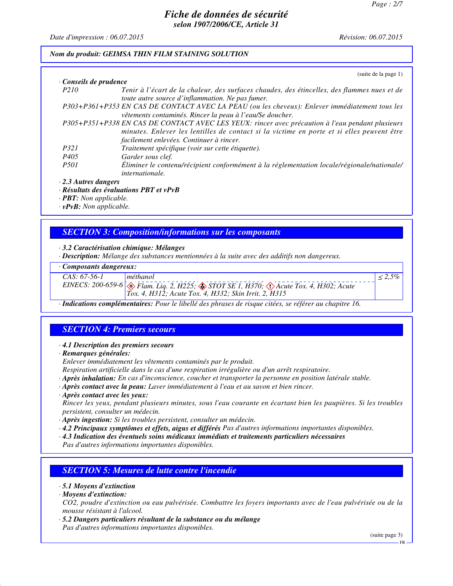*Date d'impression : 06.07.2015 Révision: 06.07.2015*

#### *Nom du produit: GEIMSA THIN FILM STAINING SOLUTION*

|                            | (suite de la page 1)                                                                                                                                                                                                                      |
|----------------------------|-------------------------------------------------------------------------------------------------------------------------------------------------------------------------------------------------------------------------------------------|
| Conseils de prudence       |                                                                                                                                                                                                                                           |
| P <sub>210</sub>           | Tenir à l'écart de la chaleur, des surfaces chaudes, des étincelles, des flammes nues et de<br>toute autre source d'inflammation. Ne pas fumer.                                                                                           |
|                            | P303+P361+P353 EN CAS DE CONTACT AVEC LA PEAU (ou les cheveux): Enlever immédiatement tous les<br>vêtements contaminés. Rincer la peau à l'eau/Se doucher.                                                                                |
|                            | P305+P351+P338 EN CAS DE CONTACT AVEC LES YEUX: rincer avec précaution à l'eau pendant plusieurs<br>minutes. Enlever les lentilles de contact si la victime en porte et si elles peuvent être<br>facilement enlevées. Continuer à rincer. |
| P321                       | Traitement spécifique (voir sur cette étiquette).                                                                                                                                                                                         |
| P405                       | Garder sous clef.                                                                                                                                                                                                                         |
| <i>P501</i>                | Éliminer le contenu/récipient conformément à la réglementation locale/régionale/nationale/<br><i>internationale.</i>                                                                                                                      |
| $\cdot$ 2.3 Autres dangers |                                                                                                                                                                                                                                           |
|                            | · Résultats des évaluations PBT et vPvB                                                                                                                                                                                                   |

*· PBT: Non applicable.*

*· vPvB: Non applicable.*

## *SECTION 3: Composition/informations sur les composants*

*· 3.2 Caractérisation chimique: Mélanges*

*· Description: Mélange des substances mentionnées à la suite avec des additifs non dangereux.*

## *· Composants dangereux:*

| $CAS: 67-56-1$ | méthanol                                                                                                                                                                   |  |
|----------------|----------------------------------------------------------------------------------------------------------------------------------------------------------------------------|--|
|                | EINECS: 200-659-6 $\otimes$ Flam. Liq. 2, H225; $\otimes$ STOT SE 1, H370; $\otimes$ Acute Tox. 4, H302; Acute<br>$Tox. 4, H312$ ; Acute Tox. 4, H332; Skin Irrit. 2, H315 |  |
|                |                                                                                                                                                                            |  |

*· Indications complémentaires: Pour le libellé des phrases de risque citées, se référer au chapitre 16.*

## *SECTION 4: Premiers secours*

*· 4.1 Description des premiers secours*

*· Remarques générales:*

*Enlever immédiatement les vêtements contaminés par le produit.*

*Respiration artificielle dans le cas d'une respiration irrégulière ou d'un arrêt respiratoire.*

- *· Après inhalation: En cas d'inconscience, coucher et transporter la personne en position latérale stable.*
- *· Après contact avec la peau: Laver immédiatement à l'eau et au savon et bien rincer.*

#### *· Après contact avec les yeux:*

*Rincer les yeux, pendant plusieurs minutes, sous l'eau courante en écartant bien les paupières. Si les troubles persistent, consulter un médecin.*

*· Après ingestion: Si les troubles persistent, consulter un médecin.*

*· 4.2 Principaux symptômes et effets, aigus et différés Pas d'autres informations importantes disponibles.*

*· 4.3 Indication des éventuels soins médicaux immédiats et traitements particuliers nécessaires*

*Pas d'autres informations importantes disponibles.*

## *SECTION 5: Mesures de lutte contre l'incendie*

#### *· 5.1 Moyens d'extinction*

*· Moyens d'extinction:*

*CO2, poudre d'extinction ou eau pulvérisée. Combattre les foyers importants avec de l'eau pulvérisée ou de la mousse résistant à l'alcool.*

*· 5.2 Dangers particuliers résultant de la substance ou du mélange Pas d'autres informations importantes disponibles.*

(suite page 3)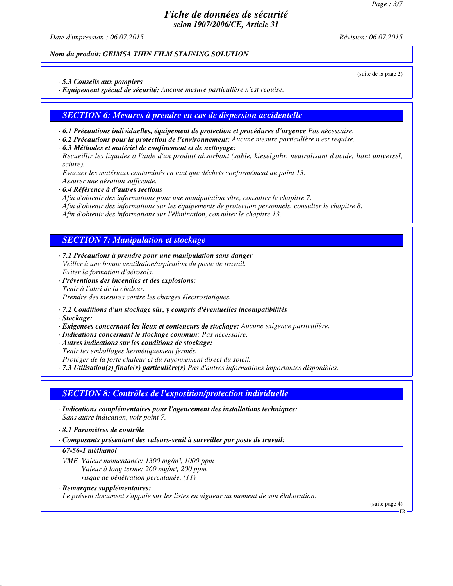*Date d'impression : 06.07.2015 Révision: 06.07.2015*

#### *Nom du produit: GEIMSA THIN FILM STAINING SOLUTION*

(suite de la page 2)

*· 5.3 Conseils aux pompiers*

*· Equipement spécial de sécurité: Aucune mesure particulière n'est requise.*

*SECTION 6: Mesures à prendre en cas de dispersion accidentelle*

- *· 6.1 Précautions individuelles, équipement de protection et procédures d'urgence Pas nécessaire.*
- *· 6.2 Précautions pour la protection de l'environnement: Aucune mesure particulière n'est requise.*
- *· 6.3 Méthodes et matériel de confinement et de nettoyage:*

*Recueillir les liquides à l'aide d'un produit absorbant (sable, kieselguhr, neutralisant d'acide, liant universel, sciure).*

*Evacuer les matériaux contaminés en tant que déchets conformément au point 13. Assurer une aération suffisante.*

*· 6.4 Référence à d'autres sections*

*Afin d'obtenir des informations pour une manipulation sûre, consulter le chapitre 7.*

*Afin d'obtenir des informations sur les équipements de protection personnels, consulter le chapitre 8.*

*Afin d'obtenir des informations sur l'élimination, consulter le chapitre 13.*

## *SECTION 7: Manipulation et stockage*

*· 7.1 Précautions à prendre pour une manipulation sans danger Veiller à une bonne ventilation/aspiration du poste de travail. Eviter la formation d'aérosols.*

*· Préventions des incendies et des explosions: Tenir à l'abri de la chaleur. Prendre des mesures contre les charges électrostatiques.*

- *· 7.2 Conditions d'un stockage sûr, y compris d'éventuelles incompatibilités*
- *· Stockage:*

*· Exigences concernant les lieux et conteneurs de stockage: Aucune exigence particulière.*

- *· Indications concernant le stockage commun: Pas nécessaire.*
- *· Autres indications sur les conditions de stockage:*

*Tenir les emballages hermétiquement fermés.*

*Protéger de la forte chaleur et du rayonnement direct du soleil.*

*· 7.3 Utilisation(s) finale(s) particulière(s) Pas d'autres informations importantes disponibles.*

## *SECTION 8: Contrôles de l'exposition/protection individuelle*

- *· Indications complémentaires pour l'agencement des installations techniques: Sans autre indication, voir point 7.*
- *· 8.1 Paramètres de contrôle*
- *· Composants présentant des valeurs-seuil à surveiller par poste de travail:*

*67-56-1 méthanol*

*VME Valeur momentanée: 1300 mg/m³, 1000 ppm Valeur à long terme: 260 mg/m³, 200 ppm risque de pénétration percutanée, (11)*

## *· Remarques supplémentaires:*

*Le présent document s'appuie sur les listes en vigueur au moment de son élaboration.*

(suite page 4)

FR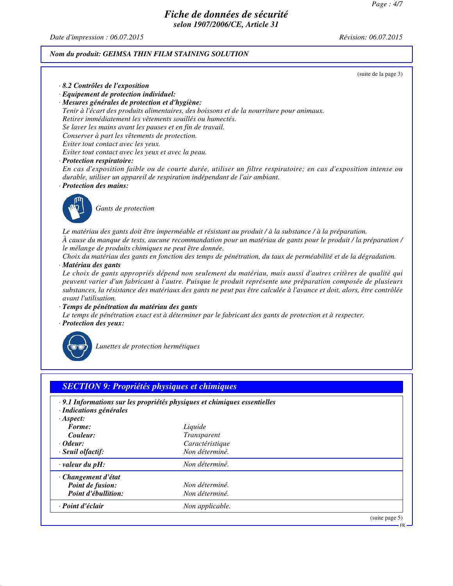*Date d'impression : 06.07.2015 Révision: 06.07.2015*

## *Nom du produit: GEIMSA THIN FILM STAINING SOLUTION*

|                                                                                                                | (suite de la page 3) |
|----------------------------------------------------------------------------------------------------------------|----------------------|
| · 8.2 Contrôles de l'exposition                                                                                |                      |
| $\cdot$ Equipement de protection individuel:                                                                   |                      |
| · Mesures générales de protection et d'hygiène:                                                                |                      |
| Tenir à l'écart des produits alimentaires, des boissons et de la nourriture pour animaux.                      |                      |
| Retirer immédiatement les vêtements souillés ou humectés.                                                      |                      |
| Se laver les mains avant les pauses et en fin de travail.                                                      |                      |
| Conserver à part les vêtements de protection.                                                                  |                      |
| Eviter tout contact avec les yeux.                                                                             |                      |
| Eviter tout contact avec les yeux et avec la peau.                                                             |                      |
| $\cdot$ Protection respiratoire:                                                                               |                      |
| En cas d'exposition faible ou de courte durée, utiliser un filtre respiratoire; en cas d'exposition intense ou |                      |
| durable, utiliser un appareil de respiration indépendant de l'air ambiant.                                     |                      |

*· Protection des mains:*



*Gants de protection*

*Le matériau des gants doit être imperméable et résistant au produit / à la substance / à la préparation. À cause du manque de tests, aucune recommandation pour un matériau de gants pour le produit / la préparation / le mélange de produits chimiques ne peut être donnée.*

*Choix du matériau des gants en fonction des temps de pénétration, du taux de perméabilité et de la dégradation. · Matériau des gants*

*Le choix de gants appropriés dépend non seulement du matériau, mais aussi d'autres critères de qualité qui peuvent varier d'un fabricant à l'autre. Puisque le produit représente une préparation composée de plusieurs substances, la résistance des matériaux des gants ne peut pas être calculée à l'avance et doit, alors, être contrôlée avant l'utilisation.*

*· Temps de pénétration du matériau des gants*

*Le temps de pénétration exact est à déterminer par le fabricant des gants de protection et à respecter. · Protection des yeux:*



*Lunettes de protection hermétiques*

|                         | · 9.1 Informations sur les propriétés physiques et chimiques essentielles |  |
|-------------------------|---------------------------------------------------------------------------|--|
| · Indications générales |                                                                           |  |
| $\cdot$ Aspect:         |                                                                           |  |
| Forme:                  | Liquide                                                                   |  |
| Couleur:                | Transparent                                                               |  |
| · Odeur:                | Caractéristique                                                           |  |
| · Seuil olfactif:       | Non déterminé.                                                            |  |
| $\cdot$ valeur du pH:   | Non déterminé.                                                            |  |
| · Changement d'état     |                                                                           |  |
| Point de fusion:        | Non déterminé.                                                            |  |
| Point d'ébullition:     | Non déterminé.                                                            |  |
| · Point d'éclair        | Non applicable.                                                           |  |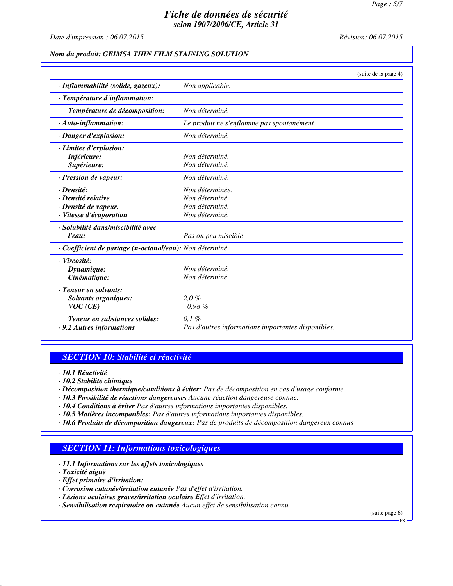*Date d'impression : 06.07.2015 Révision: 06.07.2015*

#### *Nom du produit: GEIMSA THIN FILM STAINING SOLUTION*

|                                                          | (suite de la page 4)                               |
|----------------------------------------------------------|----------------------------------------------------|
| · Inflammabilité (solide, gazeux):                       | Non applicable.                                    |
| · Température d'inflammation:                            |                                                    |
| Température de décomposition:                            | Non déterminé.                                     |
| $\cdot$ Auto-inflammation:                               | Le produit ne s'enflamme pas spontanément.         |
| · Danger d'explosion:                                    | Non déterminé.                                     |
| · Limites d'explosion:                                   |                                                    |
| Inférieure:                                              | Non déterminé.                                     |
| Supérieure:                                              | Non déterminé.                                     |
| · Pression de vapeur:                                    | Non déterminé.                                     |
| · Densité:                                               | Non déterminée.                                    |
| · Densité relative                                       | Non déterminé.                                     |
| · Densité de vapeur.                                     | Non déterminé.                                     |
| · Vitesse d'évaporation                                  | Non déterminé.                                     |
| · Solubilité dans/miscibilité avec                       |                                                    |
| l'eau:                                                   | Pas ou peu miscible                                |
| · Coefficient de partage (n-octanol/eau): Non déterminé. |                                                    |
| · Viscosité:                                             |                                                    |
| Dynamique:                                               | Non déterminé.                                     |
| Cinématique:                                             | Non déterminé.                                     |
| · Teneur en solvants:                                    |                                                    |
| <b>Solvants organiques:</b>                              | $2.0\%$                                            |
| VOC(CE)                                                  | 0.98%                                              |
| Teneur en substances solides:                            | $0.1 \%$                                           |
| · 9.2 Autres informations                                | Pas d'autres informations importantes disponibles. |

### *SECTION 10: Stabilité et réactivité*

*· 10.1 Réactivité*

- *· 10.2 Stabilité chimique*
- *· Décomposition thermique/conditions à éviter: Pas de décomposition en cas d'usage conforme.*
- *· 10.3 Possibilité de réactions dangereuses Aucune réaction dangereuse connue.*
- *· 10.4 Conditions à éviter Pas d'autres informations importantes disponibles.*
- *· 10.5 Matières incompatibles: Pas d'autres informations importantes disponibles.*
- *· 10.6 Produits de décomposition dangereux: Pas de produits de décomposition dangereux connus*

## *SECTION 11: Informations toxicologiques*

- *· 11.1 Informations sur les effets toxicologiques*
- *· Toxicité aiguë*
- *· Effet primaire d'irritation:*
- *· Corrosion cutanée/irritation cutanée Pas d'effet d'irritation.*
- *· Lésions oculaires graves/irritation oculaire Effet d'irritation.*
- *· Sensibilisation respiratoire ou cutanée Aucun effet de sensibilisation connu.*

(suite page 6)

FR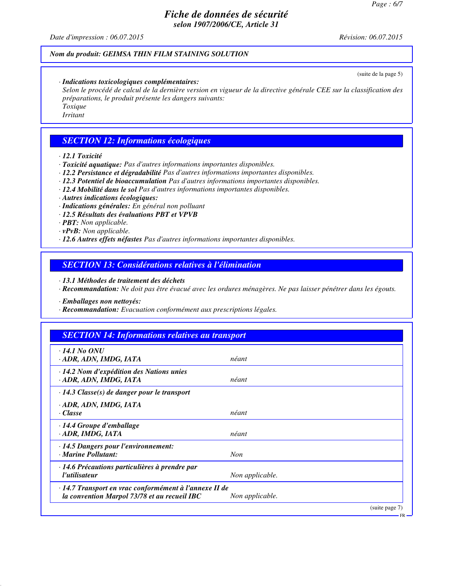*Date d'impression : 06.07.2015 Révision: 06.07.2015*

## *Nom du produit: GEIMSA THIN FILM STAINING SOLUTION*

*· Indications toxicologiques complémentaires:*

*Selon le procédé de calcul de la dernière version en vigueur de la directive générale CEE sur la classification des préparations, le produit présente les dangers suivants: Toxique Irritant*

### *SECTION 12: Informations écologiques*

*· 12.1 Toxicité*

*· Toxicité aquatique: Pas d'autres informations importantes disponibles.*

*· 12.2 Persistance et dégradabilité Pas d'autres informations importantes disponibles.*

*· 12.3 Potentiel de bioaccumulation Pas d'autres informations importantes disponibles.*

*· 12.4 Mobilité dans le sol Pas d'autres informations importantes disponibles.*

*· Autres indications écologiques:*

*· Indications générales: En général non polluant*

*· 12.5 Résultats des évaluations PBT et VPVB*

*· PBT: Non applicable.*

*· vPvB: Non applicable.*

*· 12.6 Autres effets néfastes Pas d'autres informations importantes disponibles.*

*SECTION 13: Considérations relatives à l'élimination*

*· 13.1 Méthodes de traitement des déchets*

*· Recommandation: Ne doit pas être évacué avec les ordures ménagères. Ne pas laisser pénétrer dans les égouts.*

*· Emballages non nettoyés:*

*· Recommandation: Evacuation conformément aux prescriptions légales.*

### *SECTION 14: Informations relatives au transport*

| $\cdot$ 14.1 No ONU<br>ADR, ADN, IMDG, IATA                                                            | néant           |
|--------------------------------------------------------------------------------------------------------|-----------------|
| · 14.2 Nom d'expédition des Nations unies<br>· ADR, ADN, IMDG, IATA                                    | néant           |
| $\cdot$ 14.3 Classe(s) de danger pour le transport                                                     |                 |
| · ADR, ADN, IMDG, IATA<br>· Classe                                                                     | néant           |
| · 14.4 Groupe d'emballage<br>· ADR, IMDG, IATA                                                         | néant           |
| · 14.5 Dangers pour l'environnement:<br>· Marine Pollutant:                                            | <b>Non</b>      |
| · 14.6 Précautions particulières à prendre par<br>l'utilisateur                                        | Non applicable. |
| · 14.7 Transport en vrac conformément à l'annexe II de<br>la convention Marpol 73/78 et au recueil IBC | Non applicable. |
|                                                                                                        | (suite page 7)  |

(suite de la page 5)

FR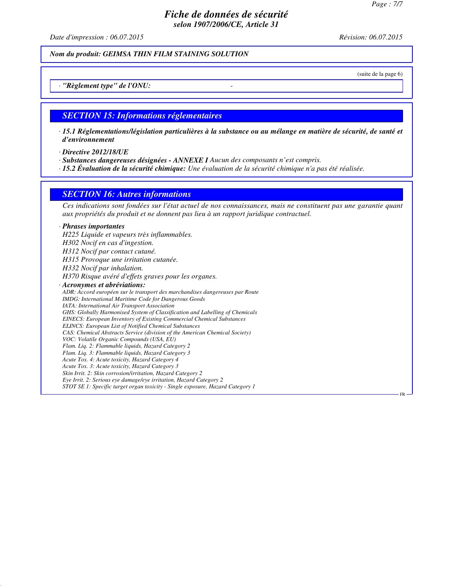*Date d'impression : 06.07.2015 Révision: 06.07.2015*

*Nom du produit: GEIMSA THIN FILM STAINING SOLUTION*

(suite de la page 6)

## *· "Règlement type" de l'ONU: -*

#### *SECTION 15: Informations réglementaires*

- *· 15.1 Réglementations/législation particulières à la substance ou au mélange en matière de sécurité, de santé et d'environnement*
- *· Directive 2012/18/UE*
- *· Substances dangereuses désignées ANNEXE I Aucun des composants n'est compris.*
- *· 15.2 Évaluation de la sécurité chimique: Une évaluation de la sécurité chimique n'a pas été réalisée.*

#### *SECTION 16: Autres informations*

*Ces indications sont fondées sur l'état actuel de nos connaissances, mais ne constituent pas une garantie quant aux propriétés du produit et ne donnent pas lieu à un rapport juridique contractuel.*

#### *· Phrases importantes*

*H225 Liquide et vapeurs très inflammables. H302 Nocif en cas d'ingestion. H312 Nocif par contact cutané. H315 Provoque une irritation cutanée. H332 Nocif par inhalation. H370 Risque avéré d'effets graves pour les organes. · Acronymes et abréviations: ADR: Accord européen sur le transport des marchandises dangereuses par Route IMDG: International Maritime Code for Dangerous Goods IATA: International Air Transport Association GHS: Globally Harmonised System of Classification and Labelling of Chemicals EINECS: European Inventory of Existing Commercial Chemical Substances ELINCS: European List of Notified Chemical Substances CAS: Chemical Abstracts Service (division of the American Chemical Society) VOC: Volatile Organic Compounds (USA, EU) Flam. Liq. 2: Flammable liquids, Hazard Category 2 Flam. Liq. 3: Flammable liquids, Hazard Category 3 Acute Tox. 4: Acute toxicity, Hazard Category 4 Acute Tox. 3: Acute toxicity, Hazard Category 3 Skin Irrit. 2: Skin corrosion/irritation, Hazard Category 2 Eye Irrit. 2: Serious eye damage/eye irritation, Hazard Category 2 STOT SE 1: Specific target organ toxicity - Single exposure, Hazard Category 1* FR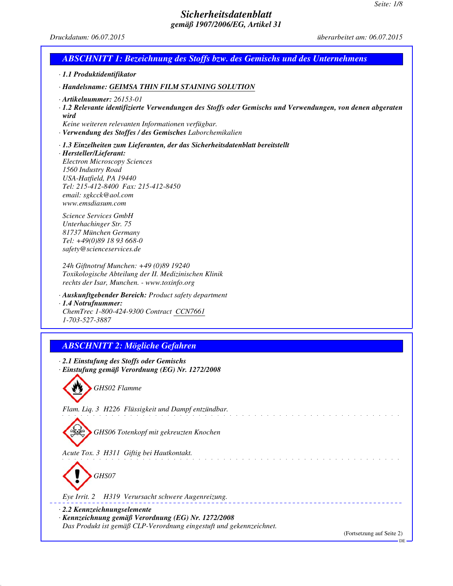# *Seite: 1/8 Sicherheitsdatenblatt gemäß 1907/2006/EG, Artikel 31 Druckdatum: 06.07.2015 überarbeitet am: 06.07.2015 ABSCHNITT 1: Bezeichnung des Stoffs bzw. des Gemischs und des Unternehmens · 1.1 Produktidentifikator · Handelsname: GEIMSA THIN FILM STAINING SOLUTION · Artikelnummer: 26153-01 · 1.2 Relevante identifizierte Verwendungen des Stoffs oder Gemischs und Verwendungen, von denen abgeraten wird Keine weiteren relevanten Informationen verfügbar. · Verwendung des Stoffes / des Gemisches Laborchemikalien · 1.3 Einzelheiten zum Lieferanten, der das Sicherheitsdatenblatt bereitstellt · Hersteller/Lieferant: Electron Microscopy Sciences 1560 Industry Road USA-Hatfield, PA 19440 Tel: 215-412-8400 Fax: 215-412-8450 email: sgkcck@aol.com www.emsdiasum.com Science Services GmbH Unterhachinger Str. 75 81737 München Germany Tel: +49(0)89 18 93 668-0 safety@scienceservices.de 24h Giftnotruf Munchen: +49 (0)89 19240 Toxikologische Abteilung der II. Medizinischen Klinik rechts der Isar, Munchen. - www.toxinfo.org · Auskunftgebender Bereich: Product safety department · 1.4 Notrufnummer: ChemTrec 1-800-424-9300 Contract CCN7661 1-703-527-3887 ABSCHNITT 2: Mögliche Gefahren · 2.1 Einstufung des Stoffs oder Gemischs · Einstufung gemäß Verordnung (EG) Nr. 1272/2008 GHS02 Flamme Flam. Liq. 3 H226 Flüssigkeit und Dampf entzündbar. GHS06 Totenkopf mit gekreuzten Knochen Acute Tox. 3 H311 Giftig bei Hautkontakt.*

*Eye Irrit. 2 H319 Verursacht schwere Augenreizung.*

*· 2.2 Kennzeichnungselemente*

*GHS07*

*· Kennzeichnung gemäß Verordnung (EG) Nr. 1272/2008 Das Produkt ist gemäß CLP-Verordnung eingestuft und gekennzeichnet.*

(Fortsetzung auf Seite 2)

\_ \_ \_ \_ \_ \_ \_ \_ \_ \_ \_

DE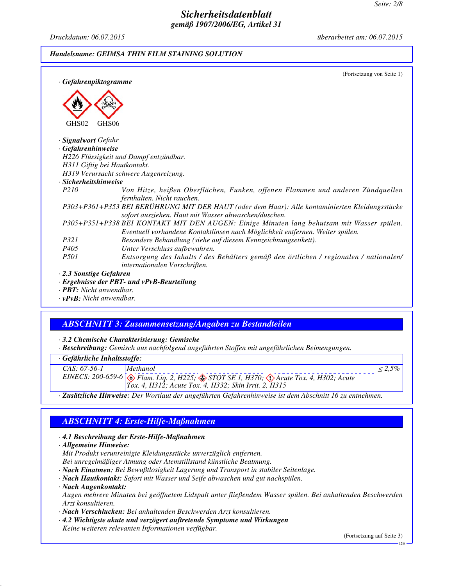*Druckdatum: 06.07.2015 überarbeitet am: 06.07.2015*

#### *Handelsname: GEIMSA THIN FILM STAINING SOLUTION*

|                                | (Fortsetzung von Seite 1)                                                                                                                                                  |
|--------------------------------|----------------------------------------------------------------------------------------------------------------------------------------------------------------------------|
| · Gefahrenpiktogramme          |                                                                                                                                                                            |
| GHS02                          | GHS <sub>06</sub>                                                                                                                                                          |
| · Signalwort Gefahr            |                                                                                                                                                                            |
| · Gefahrenhinweise             |                                                                                                                                                                            |
|                                | H226 Flüssigkeit und Dampf entzündbar.                                                                                                                                     |
|                                | H311 Giftig bei Hautkontakt.                                                                                                                                               |
|                                | H319 Verursacht schwere Augenreizung.                                                                                                                                      |
| $\cdot$ Sicherheitshinweise    |                                                                                                                                                                            |
| P <sub>210</sub>               | Von Hitze, heißen Oberflächen, Funken, offenen Flammen und anderen Zündquellen<br>fernhalten. Nicht rauchen.                                                               |
|                                | P303+P361+P353 BEI BERÜHRUNG MIT DER HAUT (oder dem Haar): Alle kontaminierten Kleidungsstücke<br>sofort ausziehen. Haut mit Wasser abwaschen/duschen.                     |
|                                | P305+P351+P338 BEI KONTAKT MIT DEN AUGEN: Einige Minuten lang behutsam mit Wasser spülen.<br>Eventuell vorhandene Kontaktlinsen nach Möglichkeit entfernen. Weiter spülen. |
| <i>P321</i>                    | Besondere Behandlung (siehe auf diesem Kennzeichnungsetikett).                                                                                                             |
| P <sub>405</sub>               | Unter Verschluss aufbewahren.                                                                                                                                              |
| <i>P501</i>                    | Entsorgung des Inhalts / des Behälters gemäß den örtlichen / regionalen / nationalen/<br>internationalen Vorschriften.                                                     |
| 2.3 Sonstige Gefahren          |                                                                                                                                                                            |
|                                | · Ergebnisse der PBT- und vPvB-Beurteilung                                                                                                                                 |
| <b>· PBT:</b> Nicht anwendbar. |                                                                                                                                                                            |

*· vPvB: Nicht anwendbar.*

### *ABSCHNITT 3: Zusammensetzung/Angaben zu Bestandteilen*

*· 3.2 Chemische Charakterisierung: Gemische*

*· Beschreibung: Gemisch aus nachfolgend angeführten Stoffen mit ungefährlichen Beimengungen.*

| $CAS: 67-56-1$ | Methanol                                                                                                       |  |
|----------------|----------------------------------------------------------------------------------------------------------------|--|
|                | EINECS: 200-659-6 $\otimes$ Flam. Liq. 2, H225; $\otimes$ STOT SE 1, H370; $\otimes$ Acute Tox. 4, H302; Acute |  |
|                | <i>Tox. 4, H312; Acute Tox. 4, H332; Skin Irrit. 2, H315</i>                                                   |  |
|                |                                                                                                                |  |

*· Zusätzliche Hinweise: Der Wortlaut der angeführten Gefahrenhinweise ist dem Abschnitt 16 zu entnehmen.*

## *ABSCHNITT 4: Erste-Hilfe-Maßnahmen*

#### *· 4.1 Beschreibung der Erste-Hilfe-Maßnahmen*

*· Allgemeine Hinweise:*

*Mit Produkt verunreinigte Kleidungsstücke unverzüglich entfernen.*

*Bei unregelmäßiger Atmung oder Atemstillstand künstliche Beatmung.*

*· Nach Einatmen: Bei Bewußtlosigkeit Lagerung und Transport in stabiler Seitenlage.*

*· Nach Hautkontakt: Sofort mit Wasser und Seife abwaschen und gut nachspülen.*

*· Nach Augenkontakt:*

*Augen mehrere Minuten bei geöffnetem Lidspalt unter fließendem Wasser spülen. Bei anhaltenden Beschwerden Arzt konsultieren.*

- *· Nach Verschlucken: Bei anhaltenden Beschwerden Arzt konsultieren.*
- *· 4.2 Wichtigste akute und verzögert auftretende Symptome und Wirkungen Keine weiteren relevanten Informationen verfügbar.*

(Fortsetzung auf Seite 3)

DE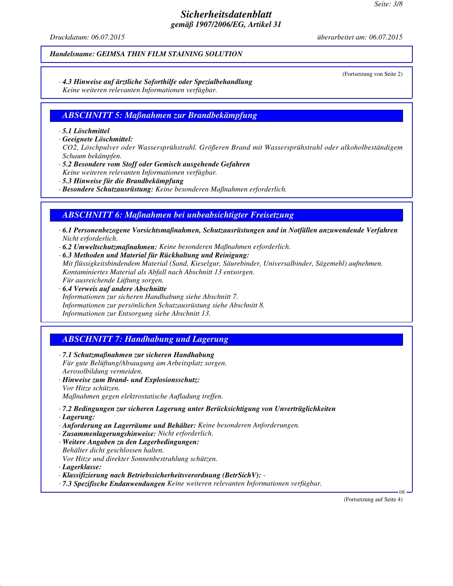*Druckdatum: 06.07.2015 überarbeitet am: 06.07.2015*

#### *Handelsname: GEIMSA THIN FILM STAINING SOLUTION*

(Fortsetzung von Seite 2)

#### *· 4.3 Hinweise auf ärztliche Soforthilfe oder Spezialbehandlung Keine weiteren relevanten Informationen verfügbar.*

### *ABSCHNITT 5: Maßnahmen zur Brandbekämpfung*

#### *· 5.1 Löschmittel*

*· Geeignete Löschmittel:*

*CO2, Löschpulver oder Wassersprühstrahl. Größeren Brand mit Wassersprühstrahl oder alkoholbeständigem Schaum bekämpfen.*

- *· 5.2 Besondere vom Stoff oder Gemisch ausgehende Gefahren*
- *Keine weiteren relevanten Informationen verfügbar.*
- *· 5.3 Hinweise für die Brandbekämpfung*
- *· Besondere Schutzausrüstung: Keine besonderen Maßnahmen erforderlich.*

### *ABSCHNITT 6: Maßnahmen bei unbeabsichtigter Freisetzung*

- *· 6.1 Personenbezogene Vorsichtsmaßnahmen, Schutzausrüstungen und in Notfällen anzuwendende Verfahren Nicht erforderlich.*
- *· 6.2 Umweltschutzmaßnahmen: Keine besonderen Maßnahmen erforderlich.*
- *· 6.3 Methoden und Material für Rückhaltung und Reinigung:*

*Mit flüssigkeitsbindendem Material (Sand, Kieselgur, Säurebinder, Universalbinder, Sägemehl) aufnehmen. Kontaminiertes Material als Abfall nach Abschnitt 13 entsorgen.*

- *Für ausreichende Lüftung sorgen.*
- *· 6.4 Verweis auf andere Abschnitte Informationen zur sicheren Handhabung siehe Abschnitt 7. Informationen zur persönlichen Schutzausrüstung siehe Abschnitt 8. Informationen zur Entsorgung siehe Abschnitt 13.*

## *ABSCHNITT 7: Handhabung und Lagerung*

- *· 7.1 Schutzmaßnahmen zur sicheren Handhabung Für gute Belüftung/Absaugung am Arbeitsplatz sorgen. Aerosolbildung vermeiden.*
- *· Hinweise zum Brand- und Explosionsschutz: Vor Hitze schützen. Maßnahmen gegen elektrostatische Aufladung treffen.*
- *· 7.2 Bedingungen zur sicheren Lagerung unter Berücksichtigung von Unverträglichkeiten*
- *· Lagerung:*
- *· Anforderung an Lagerräume und Behälter: Keine besonderen Anforderungen.*
- *· Zusammenlagerungshinweise: Nicht erforderlich.*
- *· Weitere Angaben zu den Lagerbedingungen: Behälter dicht geschlossen halten.*
- *Vor Hitze und direkter Sonnenbestrahlung schützen.*
- *· Lagerklasse:*
- *· Klassifizierung nach Betriebssicherheitsverordnung (BetrSichV):*
- *· 7.3 Spezifische Endanwendungen Keine weiteren relevanten Informationen verfügbar.*

(Fortsetzung auf Seite 4)

DE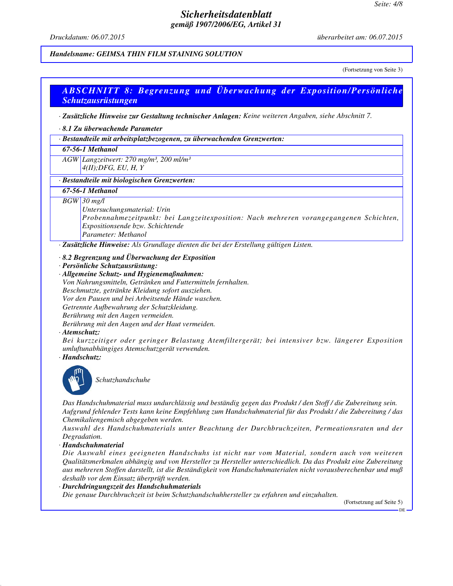*Druckdatum: 06.07.2015 überarbeitet am: 06.07.2015*

#### *Handelsname: GEIMSA THIN FILM STAINING SOLUTION*

(Fortsetzung von Seite 3)

## *ABSCHNITT 8: Begrenzung und Überwachung der Exposition/Persönliche Schutzausrüstungen*

*· Zusätzliche Hinweise zur Gestaltung technischer Anlagen: Keine weiteren Angaben, siehe Abschnitt 7.*

#### *· 8.1 Zu überwachende Parameter*

*· Bestandteile mit arbeitsplatzbezogenen, zu überwachenden Grenzwerten:*

#### *67-56-1 Methanol*

*AGW Langzeitwert: 270 mg/m³, 200 ml/m³ 4(II);DFG, EU, H, Y*

#### *· Bestandteile mit biologischen Grenzwerten:*

#### *67-56-1 Methanol*

*BGW 30 mg/l*

*Untersuchungsmaterial: Urin*

*Probennahmezeitpunkt: bei Langzeitexposition: Nach mehreren vorangegangenen Schichten, Expositionsende bzw. Schichtende Parameter: Methanol*

*· Zusätzliche Hinweise: Als Grundlage dienten die bei der Erstellung gültigen Listen.*

- *· 8.2 Begrenzung und Überwachung der Exposition*
- *· Persönliche Schutzausrüstung:*

*· Allgemeine Schutz- und Hygienemaßnahmen: Von Nahrungsmitteln, Getränken und Futtermitteln fernhalten. Beschmutzte, getränkte Kleidung sofort ausziehen. Vor den Pausen und bei Arbeitsende Hände waschen. Getrennte Aufbewahrung der Schutzkleidung. Berührung mit den Augen vermeiden. Berührung mit den Augen und der Haut vermeiden.*

*· Atemschutz:*

*Bei kurzzeitiger oder geringer Belastung Atemfiltergerät; bei intensiver bzw. längerer Exposition umluftunabhängiges Atemschutzgerät verwenden.*

*· Handschutz:*



*Schutzhandschuhe*

*Das Handschuhmaterial muss undurchlässig und beständig gegen das Produkt / den Stoff / die Zubereitung sein. Aufgrund fehlender Tests kann keine Empfehlung zum Handschuhmaterial für das Produkt / die Zubereitung / das Chemikaliengemisch abgegeben werden.*

*Auswahl des Handschuhmaterials unter Beachtung der Durchbruchzeiten, Permeationsraten und der Degradation.*

*· Handschuhmaterial*

*Die Auswahl eines geeigneten Handschuhs ist nicht nur vom Material, sondern auch von weiteren Qualitätsmerkmalen abhängig und von Hersteller zu Hersteller unterschiedlich. Da das Produkt eine Zubereitung aus mehreren Stoffen darstellt, ist die Beständigkeit von Handschuhmaterialen nicht vorausberechenbar und muß deshalb vor dem Einsatz überprüft werden.*

#### *· Durchdringungszeit des Handschuhmaterials*

*Die genaue Durchbruchzeit ist beim Schutzhandschuhhersteller zu erfahren und einzuhalten.*

(Fortsetzung auf Seite 5)

DE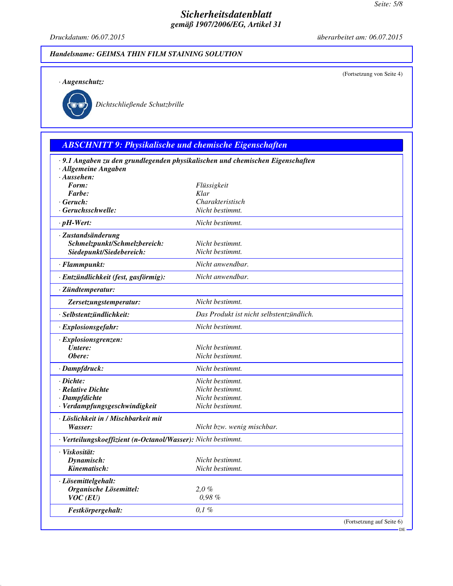*Druckdatum: 06.07.2015 überarbeitet am: 06.07.2015*

(Fortsetzung von Seite 4)

### *Handelsname: GEIMSA THIN FILM STAINING SOLUTION*

*· Augenschutz:*



*Dichtschließende Schutzbrille*

# *ABSCHNITT 9: Physikalische und chemische Eigenschaften*

| · Allgemeine Angaben                                         | · 9.1 Angaben zu den grundlegenden physikalischen und chemischen Eigenschaften |
|--------------------------------------------------------------|--------------------------------------------------------------------------------|
| $\cdot$ Aussehen:                                            |                                                                                |
| Form:                                                        | Flüssigkeit                                                                    |
| Farbe:                                                       | Klar                                                                           |
| $\cdot$ Geruch:                                              | Charakteristisch                                                               |
| · Geruchsschwelle:                                           | Nicht bestimmt.                                                                |
| $\cdot$ pH-Wert:                                             | Nicht bestimmt.                                                                |
| · Zustandsänderung                                           |                                                                                |
| Schmelzpunkt/Schmelzbereich:                                 | Nicht bestimmt.                                                                |
| Siedepunkt/Siedebereich:                                     | Nicht bestimmt.                                                                |
| · Flammpunkt:                                                | Nicht anwendbar.                                                               |
| · Entzündlichkeit (fest, gasförmig):                         | Nicht anwendbar.                                                               |
| · Zündtemperatur:                                            |                                                                                |
| Zersetzungstemperatur:                                       | Nicht bestimmt.                                                                |
| · Selbstentzündlichkeit:                                     | Das Produkt ist nicht selbstentzündlich.                                       |
| · Explosionsgefahr:                                          | Nicht bestimmt.                                                                |
| · Explosionsgrenzen:                                         |                                                                                |
| Untere:                                                      | Nicht bestimmt.                                                                |
| Obere:                                                       | Nicht bestimmt.                                                                |
| · Dampfdruck:                                                | Nicht bestimmt.                                                                |
| · Dichte:                                                    | Nicht bestimmt.                                                                |
| · Relative Dichte                                            | Nicht bestimmt.                                                                |
| · Dampfdichte                                                | Nicht bestimmt.                                                                |
| · Verdampfungsgeschwindigkeit                                | Nicht bestimmt.                                                                |
| · Löslichkeit in / Mischbarkeit mit                          |                                                                                |
| Wasser:                                                      | Nicht bzw. wenig mischbar.                                                     |
| · Verteilungskoeffizient (n-Octanol/Wasser): Nicht bestimmt. |                                                                                |
| · Viskosität:                                                |                                                                                |
| Dynamisch:                                                   | Nicht bestimmt.                                                                |
| Kinematisch:                                                 | Nicht bestimmt.                                                                |
| · Lösemittelgehalt:                                          |                                                                                |
| Organische Lösemittel:                                       | 2,0%                                                                           |
| $VOC$ (EU)                                                   | 0,98%                                                                          |
| Festkörpergehalt:                                            | 0,1%                                                                           |
|                                                              | (Fortsetzung auf Seite 6)<br>$DE -$                                            |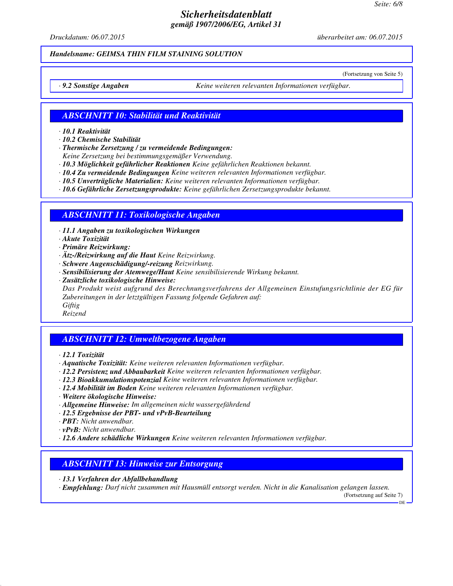*Druckdatum: 06.07.2015 überarbeitet am: 06.07.2015*

(Fortsetzung von Seite 5)

#### *Handelsname: GEIMSA THIN FILM STAINING SOLUTION*

*· 9.2 Sonstige Angaben Keine weiteren relevanten Informationen verfügbar.*

#### *ABSCHNITT 10: Stabilität und Reaktivität*

*· 10.1 Reaktivität*

*· 10.2 Chemische Stabilität*

*· Thermische Zersetzung / zu vermeidende Bedingungen:*

*Keine Zersetzung bei bestimmungsgemäßer Verwendung.*

*· 10.3 Möglichkeit gefährlicher Reaktionen Keine gefährlichen Reaktionen bekannt.*

*· 10.4 Zu vermeidende Bedingungen Keine weiteren relevanten Informationen verfügbar.*

*· 10.5 Unverträgliche Materialien: Keine weiteren relevanten Informationen verfügbar.*

*· 10.6 Gefährliche Zersetzungsprodukte: Keine gefährlichen Zersetzungsprodukte bekannt.*

### *ABSCHNITT 11: Toxikologische Angaben*

*· 11.1 Angaben zu toxikologischen Wirkungen*

*· Akute Toxizität*

*· Primäre Reizwirkung:*

*· Ätz-/Reizwirkung auf die Haut Keine Reizwirkung.*

*· Schwere Augenschädigung/-reizung Reizwirkung.*

*· Sensibilisierung der Atemwege/Haut Keine sensibilisierende Wirkung bekannt.*

*· Zusätzliche toxikologische Hinweise:*

*Das Produkt weist aufgrund des Berechnungsverfahrens der Allgemeinen Einstufungsrichtlinie der EG für Zubereitungen in der letztgültigen Fassung folgende Gefahren auf: Giftig*

*Reizend*

## *ABSCHNITT 12: Umweltbezogene Angaben*

*· 12.1 Toxizität*

*· Aquatische Toxizität: Keine weiteren relevanten Informationen verfügbar.*

*· 12.2 Persistenz und Abbaubarkeit Keine weiteren relevanten Informationen verfügbar.*

- *· 12.3 Bioakkumulationspotenzial Keine weiteren relevanten Informationen verfügbar.*
- *· 12.4 Mobilität im Boden Keine weiteren relevanten Informationen verfügbar.*
- *· Weitere ökologische Hinweise:*
- *· Allgemeine Hinweise: Im allgemeinen nicht wassergefährdend*
- *· 12.5 Ergebnisse der PBT- und vPvB-Beurteilung*
- *· PBT: Nicht anwendbar.*

*· vPvB: Nicht anwendbar.*

*· 12.6 Andere schädliche Wirkungen Keine weiteren relevanten Informationen verfügbar.*

## *ABSCHNITT 13: Hinweise zur Entsorgung*

*· 13.1 Verfahren der Abfallbehandlung*

*· Empfehlung: Darf nicht zusammen mit Hausmüll entsorgt werden. Nicht in die Kanalisation gelangen lassen.* (Fortsetzung auf Seite 7)

DE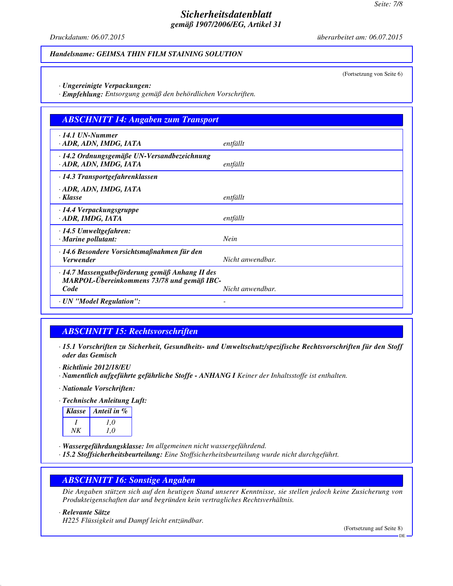*Druckdatum: 06.07.2015 überarbeitet am: 06.07.2015*

#### *Handelsname: GEIMSA THIN FILM STAINING SOLUTION*

(Fortsetzung von Seite 6)

- *· Ungereinigte Verpackungen:*
- *· Empfehlung: Entsorgung gemäß den behördlichen Vorschriften.*

| <b>ABSCHNITT 14: Angaben zum Transport</b>                                                    |                  |
|-----------------------------------------------------------------------------------------------|------------------|
| $\cdot$ 14.1 UN-Nummer<br>· ADR, ADN, IMDG, IATA                                              | entfällt         |
| ⋅14.2 Ordnungsgemäße UN-Versandbezeichnung<br>· ADR, ADN, IMDG, IATA                          | entfällt         |
| $\cdot$ 14.3 Transportgefahrenklassen                                                         |                  |
| · ADR, ADN, IMDG, IATA<br>· Klasse                                                            | entfällt         |
| $\cdot$ 14.4 Verpackungsgruppe<br>· ADR, IMDG, IATA                                           | entfällt         |
| $\cdot$ 14.5 Umweltgefahren:<br>· Marine pollutant:                                           | Nein             |
| · 14.6 Besondere Vorsichtsmaßnahmen für den<br><i><b>Verwender</b></i>                        | Nicht anwendbar. |
| · 14.7 Massengutbeförderung gemäß Anhang II des<br>MARPOL-Übereinkommens 73/78 und gemäß IBC- |                  |
| Code                                                                                          | Nicht anwendbar. |
| · UN "Model Regulation":                                                                      |                  |

## *ABSCHNITT 15: Rechtsvorschriften*

- *· 15.1 Vorschriften zu Sicherheit, Gesundheits- und Umweltschutz/spezifische Rechtsvorschriften für den Stoff oder das Gemisch*
- *· Richtlinie 2012/18/EU*
- *· Namentlich aufgeführte gefährliche Stoffe ANHANG I Keiner der Inhaltsstoffe ist enthalten.*
- *· Nationale Vorschriften:*
- *· Technische Anleitung Luft:*

|    | Klasse   Anteil in $\%$ |
|----|-------------------------|
|    | 1.0                     |
| NK | 1.0                     |

*· Wassergefährdungsklasse: Im allgemeinen nicht wassergefährdend.*

*· 15.2 Stoffsicherheitsbeurteilung: Eine Stoffsicherheitsbeurteilung wurde nicht durchgeführt.*

### *ABSCHNITT 16: Sonstige Angaben*

*Die Angaben stützen sich auf den heutigen Stand unserer Kenntnisse, sie stellen jedoch keine Zusicherung von Produkteigenschaften dar und begründen kein vertragliches Rechtsverhältnis.*

## *· Relevante Sätze*

*H225 Flüssigkeit und Dampf leicht entzündbar.*

(Fortsetzung auf Seite 8)

DE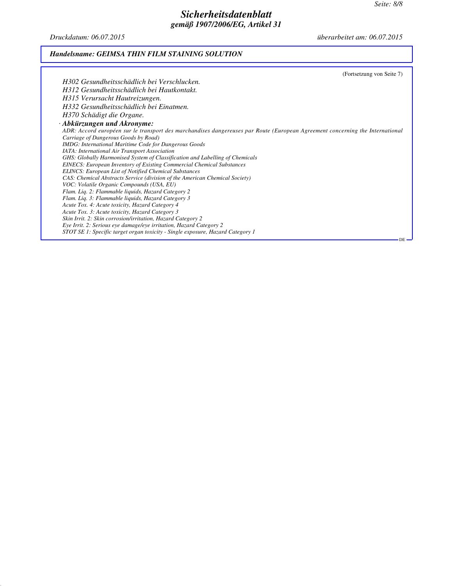*Druckdatum: 06.07.2015 überarbeitet am: 06.07.2015*

## *Handelsname: GEIMSA THIN FILM STAINING SOLUTION*

| (Fortsetzung von Seite 7)                                                                                                     |
|-------------------------------------------------------------------------------------------------------------------------------|
| H302 Gesundheitsschädlich bei Verschlucken.                                                                                   |
| H312 Gesundheitsschädlich bei Hautkontakt.                                                                                    |
| H315 Verursacht Hautreizungen.                                                                                                |
| H332 Gesundheitsschädlich bei Einatmen.                                                                                       |
| H370 Schädigt die Organe.                                                                                                     |
|                                                                                                                               |
| $\cdot$ Abkürzungen und Akronyme:                                                                                             |
| ADR: Accord européen sur le transport des marchandises dangereuses par Route (European Agreement concerning the International |
| Carriage of Dangerous Goods by Road)                                                                                          |
| <b>IMDG:</b> International Maritime Code for Dangerous Goods                                                                  |
| <b>IATA</b> : International Air Transport Association                                                                         |
| GHS: Globally Harmonised System of Classification and Labelling of Chemicals                                                  |
| <b>EINECS:</b> European Inventory of Existing Commercial Chemical Substances                                                  |
| <b>ELINCS: European List of Notified Chemical Substances</b>                                                                  |
| CAS: Chemical Abstracts Service (division of the American Chemical Society)                                                   |
| VOC: Volatile Organic Compounds (USA, EU)                                                                                     |
| Flam. Liq. 2: Flammable liquids, Hazard Category 2                                                                            |
| Flam. Liq. 3: Flammable liquids, Hazard Category 3                                                                            |
| Acute Tox. 4: Acute toxicity, Hazard Category 4                                                                               |
| Acute Tox. 3: Acute toxicity, Hazard Category 3                                                                               |
| Skin Irrit. 2: Skin corrosion/irritation, Hazard Category 2                                                                   |
| Eye Irrit. 2: Serious eye damage/eye irritation, Hazard Category 2                                                            |
| STOT SE 1: Specific target organ toxicity - Single exposure, Hazard Category 1                                                |
| $DE -$                                                                                                                        |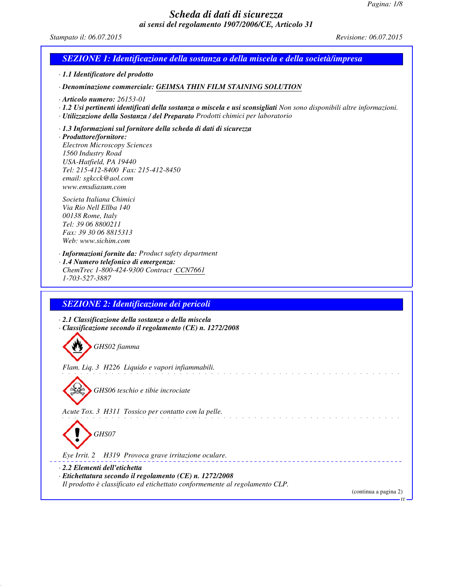*Stampato il: 06.07.2015 Revisione: 06.07.2015*

### *SEZIONE 1: Identificazione della sostanza o della miscela e della società/impresa*

*· 1.1 Identificatore del prodotto*

*· Denominazione commerciale: GEIMSA THIN FILM STAINING SOLUTION*

*· Articolo numero: 26153-01*

*· 1.2 Usi pertinenti identificati della sostanza o miscela e usi sconsigliati Non sono disponibili altre informazioni.*

a shekara ta 1912

- *· Utilizzazione della Sostanza / del Preparato Prodotti chimici per laboratorio*
- *· 1.3 Informazioni sul fornitore della scheda di dati di sicurezza*

*· Produttore/fornitore: Electron Microscopy Sciences 1560 Industry Road USA-Hatfield, PA 19440 Tel: 215-412-8400 Fax: 215-412-8450 email: sgkcck@aol.com www.emsdiasum.com*

*Societa Italiana Chimici Via Rio Nell Ellba 140 00138 Rome, Italy Tel: 39 06 8800211 Fax: 39 30 06 8815313 Web: www.sichim.com*

*· Informazioni fornite da: Product safety department*

*· 1.4 Numero telefonico di emergenza: ChemTrec 1-800-424-9300 Contract CCN7661 1-703-527-3887*

### *SEZIONE 2: Identificazione dei pericoli*

*· 2.1 Classificazione della sostanza o della miscela · Classificazione secondo il regolamento (CE) n. 1272/2008*

*GHS02 fiamma*

*Flam. Liq. 3 H226 Liquido e vapori infiammabili.*

*GHS06 teschio e tibie incrociate*

*Acute Tox. 3 H311 Tossico per contatto con la pelle.*



*Eye Irrit. 2 H319 Provoca grave irritazione oculare.*

*· 2.2 Elementi dell'etichetta · Etichettatura secondo il regolamento (CE) n. 1272/2008 Il prodotto è classificato ed etichettato conformemente al regolamento CLP.*

(continua a pagina 2)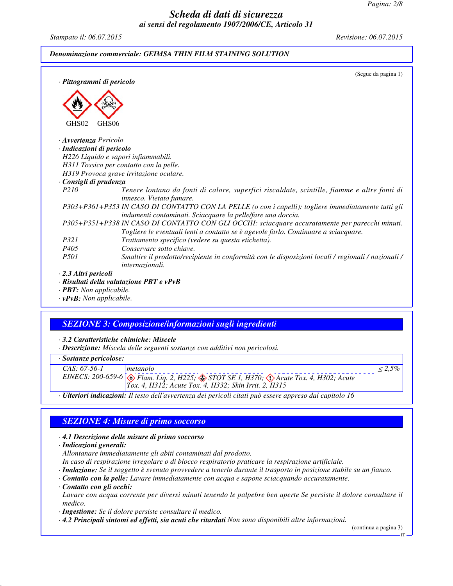*Stampato il: 06.07.2015 Revisione: 06.07.2015*

#### *Denominazione commerciale: GEIMSA THIN FILM STAINING SOLUTION*

| · Pittogrammi di pericolo            | (Segue da pagina 1)                                                                                                                                                                    |
|--------------------------------------|----------------------------------------------------------------------------------------------------------------------------------------------------------------------------------------|
|                                      |                                                                                                                                                                                        |
|                                      |                                                                                                                                                                                        |
| GHS02<br>GHS <sub>06</sub>           |                                                                                                                                                                                        |
| Avvertenza Pericolo                  |                                                                                                                                                                                        |
| · Indicazioni di pericolo            |                                                                                                                                                                                        |
|                                      | H226 Liquido e vapori infiammabili.                                                                                                                                                    |
|                                      | H311 Tossico per contatto con la pelle.                                                                                                                                                |
|                                      | H319 Provoca grave irritazione oculare.                                                                                                                                                |
| · Consigli di prudenza               |                                                                                                                                                                                        |
| P <sub>210</sub>                     | Tenere lontano da fonti di calore, superfici riscaldate, scintille, fiamme e altre fonti di<br>innesco. Vietato fumare.                                                                |
|                                      | P303+P361+P353 IN CASO DI CONTATTO CON LA PELLE (o con i capelli): togliere immediatamente tutti gli<br>indumenti contaminati. Sciacquare la pelle/fare una doccia.                    |
|                                      | P305+P351+P338 IN CASO DI CONTATTO CON GLI OCCHI: sciacquare accuratamente per parecchi minuti.<br>Togliere le eventuali lenti a contatto se è agevole farlo. Continuare a sciacquare. |
| P321                                 | Trattamento specifico (vedere su questa etichetta).                                                                                                                                    |
| P405                                 | Conservare sotto chiave.                                                                                                                                                               |
| <i>P501</i>                          | Smaltire il prodotto/recipiente in conformità con le disposizioni locali / regionali / nazionali /<br>internazionali.                                                                  |
| $\cdot$ 2.3 Altri pericoli           |                                                                                                                                                                                        |
| $\cdot$ <b>PBT:</b> Non applicabile. | $\cdot$ Risultati della valutazione PBT e vPvB                                                                                                                                         |

*· vPvB: Non applicabile.*

## *SEZIONE 3: Composizione/informazioni sugli ingredienti*

*· 3.2 Caratteristiche chimiche: Miscele*

*· Descrizione: Miscela delle seguenti sostanze con additivi non pericolosi.*

|  | · Sostanze pericolose: |
|--|------------------------|
|  |                        |

| $CAS: 67-56-1$ | metanolo                                                                                                       |  |
|----------------|----------------------------------------------------------------------------------------------------------------|--|
|                | EINECS: 200-659-6 $\otimes$ Flam. Liq. 2, H225; $\otimes$ STOT SE 1, H370; $\otimes$ Acute Tox. 4, H302; Acute |  |
|                | <i>Tox.</i> 4, <i>H312; Acute Tox.</i> 4, <i>H332; Skin Irrit.</i> 2, <i>H315</i>                              |  |

*· Ulteriori indicazioni: Il testo dell'avvertenza dei pericoli citati può essere appreso dal capitolo 16*

## *SEZIONE 4: Misure di primo soccorso*

*· 4.1 Descrizione delle misure di primo soccorso*

*· Indicazioni generali:*

*Allontanare immediatamente gli abiti contaminati dal prodotto.*

*In caso di respirazione irregolare o di blocco respiratorio praticare la respirazione artificiale.*

*· Inalazione: Se il soggetto è svenuto provvedere a tenerlo durante il trasporto in posizione stabile su un fianco.*

*· Contatto con la pelle: Lavare immediatamente con acqua e sapone sciacquando accuratamente.*

*· Contatto con gli occhi:*

*Lavare con acqua corrente per diversi minuti tenendo le palpebre ben aperte Se persiste il dolore consultare il medico.*

*· Ingestione: Se il dolore persiste consultare il medico.*

*· 4.2 Principali sintomi ed effetti, sia acuti che ritardati Non sono disponibili altre informazioni.*

(continua a pagina 3)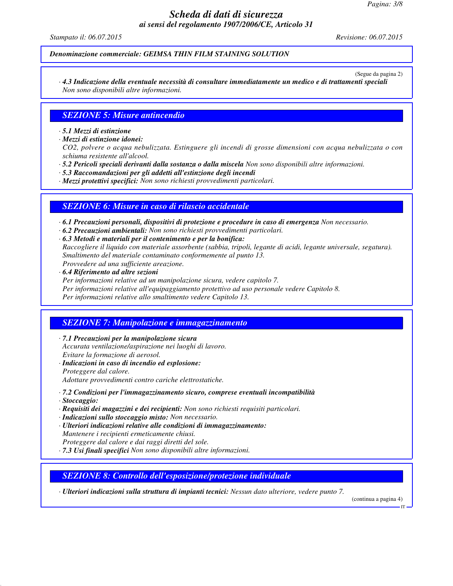*Stampato il: 06.07.2015 Revisione: 06.07.2015*

*Denominazione commerciale: GEIMSA THIN FILM STAINING SOLUTION*

(Segue da pagina 2)

*· 4.3 Indicazione della eventuale necessità di consultare immediatamente un medico e di trattamenti speciali Non sono disponibili altre informazioni.*

#### *SEZIONE 5: Misure antincendio*

*· 5.1 Mezzi di estinzione*

*· Mezzi di estinzione idonei:*

*CO2, polvere o acqua nebulizzata. Estinguere gli incendi di grosse dimensioni con acqua nebulizzata o con schiuma resistente all'alcool.*

*· 5.2 Pericoli speciali derivanti dalla sostanza o dalla miscela Non sono disponibili altre informazioni.*

*· 5.3 Raccomandazioni per gli addetti all'estinzione degli incendi*

*· Mezzi protettivi specifici: Non sono richiesti provvedimenti particolari.*

#### *SEZIONE 6: Misure in caso di rilascio accidentale*

*· 6.1 Precauzioni personali, dispositivi di protezione e procedure in caso di emergenza Non necessario.*

- *· 6.2 Precauzioni ambientali: Non sono richiesti provvedimenti particolari.*
- *· 6.3 Metodi e materiali per il contenimento e per la bonifica: Raccogliere il liquido con materiale assorbente (sabbia, tripoli, legante di acidi, legante universale, segatura). Smaltimento del materiale contaminato conformemente al punto 13. Provvedere ad una sufficiente areazione.*
- *· 6.4 Riferimento ad altre sezioni*

*Per informazioni relative ad un manipolazione sicura, vedere capitolo 7.*

*Per informazioni relative all'equipaggiamento protettivo ad uso personale vedere Capitolo 8.*

*Per informazioni relative allo smaltimento vedere Capitolo 13.*

#### *SEZIONE 7: Manipolazione e immagazzinamento*

*· 7.1 Precauzioni per la manipolazione sicura Accurata ventilazione/aspirazione nei luoghi di lavoro. Evitare la formazione di aerosol.*

- *· Indicazioni in caso di incendio ed esplosione:*
- *Proteggere dal calore.*

*Adottare provvedimenti contro cariche elettrostatiche.*

#### *· 7.2 Condizioni per l'immagazzinamento sicuro, comprese eventuali incompatibilità*

- *· Stoccaggio:*
- *· Requisiti dei magazzini e dei recipienti: Non sono richiesti requisiti particolari.*
- *· Indicazioni sullo stoccaggio misto: Non necessario.*
- *· Ulteriori indicazioni relative alle condizioni di immagazzinamento: Mantenere i recipienti ermeticamente chiusi. Proteggere dal calore e dai raggi diretti del sole.*
- *· 7.3 Usi finali specifici Non sono disponibili altre informazioni.*

## *SEZIONE 8: Controllo dell'esposizione/protezione individuale*

*· Ulteriori indicazioni sulla struttura di impianti tecnici: Nessun dato ulteriore, vedere punto 7.*

(continua a pagina 4)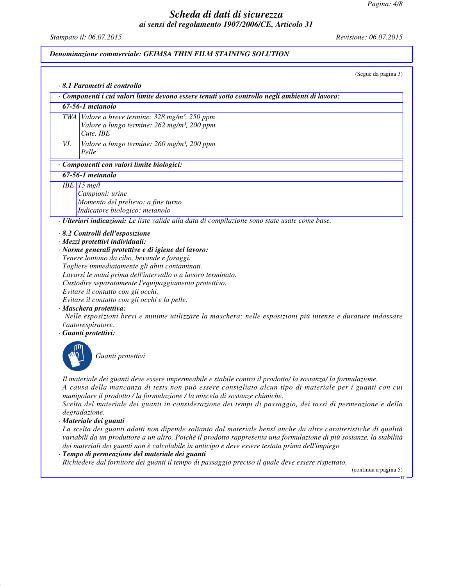*Stampato il: 06.07.2015 Revisione: 06.07.2015*

#### *Denominazione commerciale: GEIMSA THIN FILM STAINING SOLUTION*

(Segue da pagina 3)

*· 8.1 Parametri di controllo*

|  | Componenti i cui valori limite devono essere tenuti sotto controllo negli ambienti di lavoro: |
|--|-----------------------------------------------------------------------------------------------|
|  |                                                                                               |

### *67-56-1 metanolo*

*TWA Valore a breve termine: 328 mg/m³, 250 ppm Valore a lungo termine: 262 mg/m³, 200 ppm Cute, IBE*

*VL Valore a lungo termine: 260 mg/m³, 200 ppm Pelle*

#### *· Componenti con valori limite biologici:*

*67-56-1 metanolo*

*IBE 15 mg/l*

*Campioni: urine Momento del prelievo: a fine turno Indicatore biologico: metanolo*

*· Ulteriori indicazioni: Le liste valide alla data di compilazione sono state usate come base.*

*· 8.2 Controlli dell'esposizione*

*· Mezzi protettivi individuali:*

*· Norme generali protettive e di igiene del lavoro:*

*Tenere lontano da cibo, bevande e foraggi. Togliere immediatamente gli abiti contaminati. Lavarsi le mani prima dell'intervallo o a lavoro terminato. Custodire separatamente l'equipaggiamento protettivo. Evitare il contatto con gli occhi. Evitare il contatto con gli occhi e la pelle.*

*· Maschera protettiva:*

 *Nelle esposizioni brevi e minime utilizzare la maschera; nelle esposizioni più intense e durature indossare l'autorespiratore.*

#### *· Guanti protettivi:*



*Guanti protettivi*

*Il materiale dei guanti deve essere impermeabile e stabile contro il prodotto/ la sostanza/ la formulazione. A causa della mancanza di tests non può essere consigliato alcun tipo di materiale per i guanti con cui manipolare il prodotto / la formulazione / la miscela di sostanze chimiche.*

*Scelta del materiale dei guanti in considerazione dei tempi di passaggio, dei tassi di permeazione e della degradazione.*

*· Materiale dei guanti*

*La scelta dei guanti adatti non dipende soltanto dal materiale bensí anche da altre caratteristiche di qualità variabili da un produttore a un altro. Poiché il prodotto rappresenta una formulazione di più sostanze, la stabilità dei materiali dei guanti non è calcolabile in anticipo e deve essere testata prima dell'impiego*

#### *· Tempo di permeazione del materiale dei guanti*

*Richiedere dal fornitore dei guanti il tempo di passaggio preciso il quale deve essere rispettato.*

(continua a pagina 5)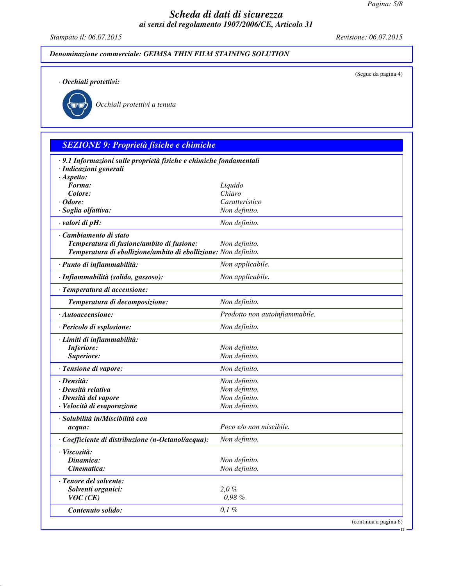*Stampato il: 06.07.2015 Revisione: 06.07.2015*

(Segue da pagina 4)

IT

*Denominazione commerciale: GEIMSA THIN FILM STAINING SOLUTION*

*· Occhiali protettivi:*



*Occhiali protettivi a tenuta*

# *SEZIONE 9: Proprietà fisiche e chimiche*

| · 9.1 Informazioni sulle proprietà fisiche e chimiche fondamentali<br>· Indicazioni generali |                                |
|----------------------------------------------------------------------------------------------|--------------------------------|
| $\cdot$ Aspetto:                                                                             |                                |
| Forma:                                                                                       | Liquido                        |
| Colore:                                                                                      | Chiaro                         |
| · Odore:                                                                                     | Caratteristico                 |
| · Soglia olfattiva:                                                                          | Non definito.                  |
| valori di pH:                                                                                | Non definito.                  |
| · Cambiamento di stato                                                                       |                                |
| Temperatura di fusione/ambito di fusione:                                                    | Non definito.                  |
| Temperatura di ebollizione/ambito di ebollizione: Non definito.                              |                                |
| · Punto di infiammabilità:                                                                   | Non applicabile.               |
| · Infiammabilità (solido, gassoso):                                                          | Non applicabile.               |
| · Temperatura di accensione:                                                                 |                                |
| Temperatura di decomposizione:                                                               | Non definito.                  |
| $\cdot$ Autoaccensione:                                                                      | Prodotto non autoinfiammabile. |
| · Pericolo di esplosione:                                                                    | Non definito.                  |
| · Limiti di infiammabilità:                                                                  |                                |
| Inferiore:                                                                                   | Non definito.                  |
| Superiore:                                                                                   | Non definito.                  |
| · Tensione di vapore:                                                                        | Non definito.                  |
| · Densità:                                                                                   | Non definito.                  |
| · Densità relativa                                                                           | Non definito.                  |
| · Densità del vapore                                                                         | Non definito.                  |
| · Velocità di evaporazione                                                                   | Non definito.                  |
| · Solubilità in/Miscibilità con                                                              |                                |
| acqua:                                                                                       | Poco e/o non miscibile.        |
| · Coefficiente di distribuzione (n-Octanol/acqua):                                           | Non definito.                  |
| · Viscosità:                                                                                 |                                |
| Dinamica:                                                                                    | Non definito.                  |
| Cinematica:                                                                                  | Non definito.                  |
| · Tenore del solvente:                                                                       |                                |
| Solventi organici:                                                                           | 2.0 %                          |
| $VOC$ (CE)                                                                                   | 0,98 %                         |
| Contenuto solido:                                                                            | $0,1\%$                        |
|                                                                                              | (continua a pagina 6)          |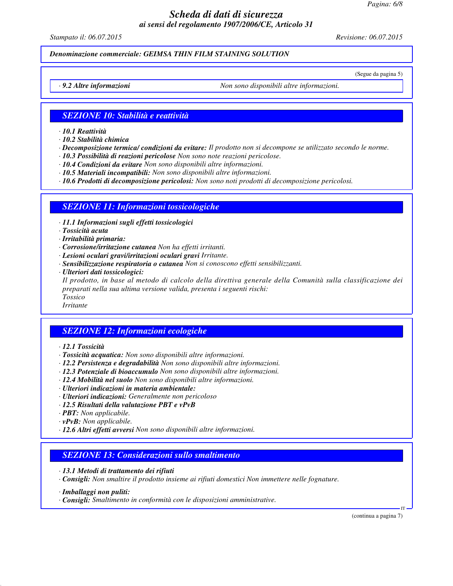*Pagina: 6/8*

## *Scheda di dati di sicurezza ai sensi del regolamento 1907/2006/CE, Articolo 31*

*Stampato il: 06.07.2015 Revisione: 06.07.2015*

*Denominazione commerciale: GEIMSA THIN FILM STAINING SOLUTION*

(Segue da pagina 5)

*· 9.2 Altre informazioni Non sono disponibili altre informazioni.*

#### *SEZIONE 10: Stabilità e reattività*

*· 10.1 Reattività*

*· 10.2 Stabilità chimica*

*· Decomposizione termica/ condizioni da evitare: Il prodotto non si decompone se utilizzato secondo le norme.*

- *· 10.3 Possibilità di reazioni pericolose Non sono note reazioni pericolose.*
- *· 10.4 Condizioni da evitare Non sono disponibili altre informazioni.*
- *· 10.5 Materiali incompatibili: Non sono disponibili altre informazioni.*

*· 10.6 Prodotti di decomposizione pericolosi: Non sono noti prodotti di decomposizione pericolosi.*

#### *SEZIONE 11: Informazioni tossicologiche*

- *· 11.1 Informazioni sugli effetti tossicologici*
- *· Tossicità acuta*
- *· Irritabilità primaria:*
- *· Corrosione/irritazione cutanea Non ha effetti irritanti.*
- *· Lesioni oculari gravi/irritazioni oculari gravi Irritante.*
- *· Sensibilizzazione respiratoria o cutanea Non si conoscono effetti sensibilizzanti.*
- *· Ulteriori dati tossicologici:*

*Il prodotto, in base al metodo di calcolo della direttiva generale della Comunità sulla classificazione dei preparati nella sua ultima versione valida, presenta i seguenti rischi:*

*Tossico*

## *Irritante*

### *SEZIONE 12: Informazioni ecologiche*

- *· 12.1 Tossicità*
- *· Tossicità acquatica: Non sono disponibili altre informazioni.*
- *· 12.2 Persistenza e degradabilità Non sono disponibili altre informazioni.*
- *· 12.3 Potenziale di bioaccumulo Non sono disponibili altre informazioni.*
- *· 12.4 Mobilità nel suolo Non sono disponibili altre informazioni.*
- *· Ulteriori indicazioni in materia ambientale:*
- *· Ulteriori indicazioni: Generalmente non pericoloso*
- *· 12.5 Risultati della valutazione PBT e vPvB*
- *· PBT: Non applicabile.*
- *· vPvB: Non applicabile.*
- *· 12.6 Altri effetti avversi Non sono disponibili altre informazioni.*

### *SEZIONE 13: Considerazioni sullo smaltimento*

- *· 13.1 Metodi di trattamento dei rifiuti*
- *· Consigli: Non smaltire il prodotto insieme ai rifiuti domestici Non immettere nelle fognature.*
- *· Imballaggi non puliti:*
- *· Consigli: Smaltimento in conformità con le disposizioni amministrative.*

(continua a pagina 7)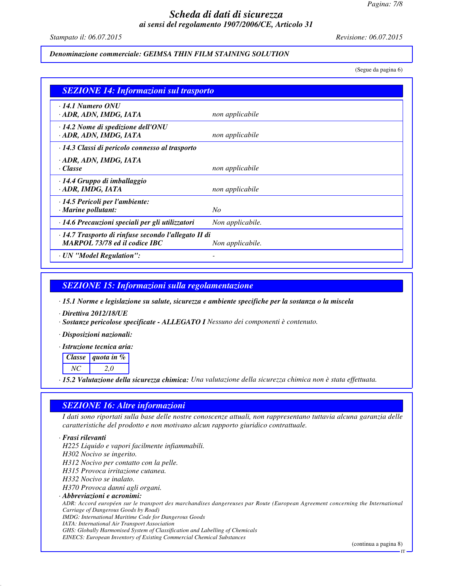*Stampato il: 06.07.2015 Revisione: 06.07.2015*

#### *Denominazione commerciale: GEIMSA THIN FILM STAINING SOLUTION*

(Segue da pagina 6)

| <b>SEZIONE 14: Informazioni sul trasporto</b>                                         |                  |
|---------------------------------------------------------------------------------------|------------------|
| $\cdot$ 14.1 Numero ONU<br>· ADR, ADN, IMDG, IATA                                     | non applicabile  |
| $\cdot$ 14.2 Nome di spedizione dell'ONU<br>· ADR, ADN, IMDG, IATA                    | non applicabile  |
| · 14.3 Classi di pericolo connesso al trasporto                                       |                  |
| · ADR, ADN, IMDG, IATA<br>· Classe                                                    | non applicabile  |
| $\cdot$ 14.4 Gruppo di imballaggio<br>· ADR, IMDG, IATA                               | non applicabile  |
| · 14.5 Pericoli per l'ambiente:<br>$\cdot$ Marine pollutant:                          | $N_{O}$          |
| · 14.6 Precauzioni speciali per gli utilizzatori                                      | Non applicabile. |
| · 14.7 Trasporto di rinfuse secondo l'allegato II di<br>MARPOL 73/78 ed il codice IBC | Non applicabile. |
| · UN "Model Regulation":                                                              |                  |

#### *SEZIONE 15: Informazioni sulla regolamentazione*

*· 15.1 Norme e legislazione su salute, sicurezza e ambiente specifiche per la sostanza o la miscela*

- *· Direttiva 2012/18/UE*
- *· Sostanze pericolose specificate ALLEGATO I Nessuno dei componenti è contenuto.*
- *· Disposizioni nazionali:*
- *· Istruzione tecnica aria:*

|     | Classe <i>quota</i> in $\%$ |
|-----|-----------------------------|
| NG. | 20                          |

*· 15.2 Valutazione della sicurezza chimica: Una valutazione della sicurezza chimica non è stata effettuata.*

#### *SEZIONE 16: Altre informazioni*

*I dati sono riportati sulla base delle nostre conoscenze attuali, non rappresentano tuttavia alcuna garanzia delle caratteristiche del prodotto e non motivano alcun rapporto giuridico contrattuale.*

#### *· Frasi rilevanti*

*H225 Liquido e vapori facilmente infiammabili. H302 Nocivo se ingerito. H312 Nocivo per contatto con la pelle. H315 Provoca irritazione cutanea. H332 Nocivo se inalato. H370 Provoca danni agli organi. · Abbreviazioni e acronimi: ADR: Accord européen sur le transport des marchandises dangereuses par Route (European Agreement concerning the International Carriage of Dangerous Goods by Road) IMDG: International Maritime Code for Dangerous Goods IATA: International Air Transport Association*

*GHS: Globally Harmonised System of Classification and Labelling of Chemicals*

*EINECS: European Inventory of Existing Commercial Chemical Substances*

(continua a pagina 8)

IT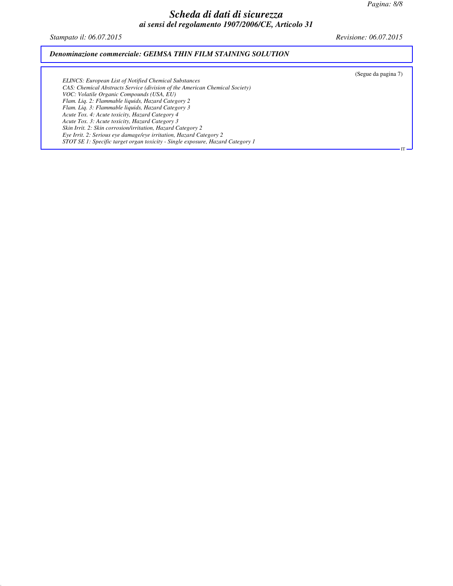*Stampato il: 06.07.2015 Revisione: 06.07.2015*

#### *Denominazione commerciale: GEIMSA THIN FILM STAINING SOLUTION*

(Segue da pagina 7)

IT

*ELINCS: European List of Notified Chemical Substances CAS: Chemical Abstracts Service (division of the American Chemical Society) VOC: Volatile Organic Compounds (USA, EU) Flam. Liq. 2: Flammable liquids, Hazard Category 2 Flam. Liq. 3: Flammable liquids, Hazard Category 3 Acute Tox. 4: Acute toxicity, Hazard Category 4 Acute Tox. 3: Acute toxicity, Hazard Category 3 Skin Irrit. 2: Skin corrosion/irritation, Hazard Category 2 Eye Irrit. 2: Serious eye damage/eye irritation, Hazard Category 2 STOT SE 1: Specific target organ toxicity - Single exposure, Hazard Category 1*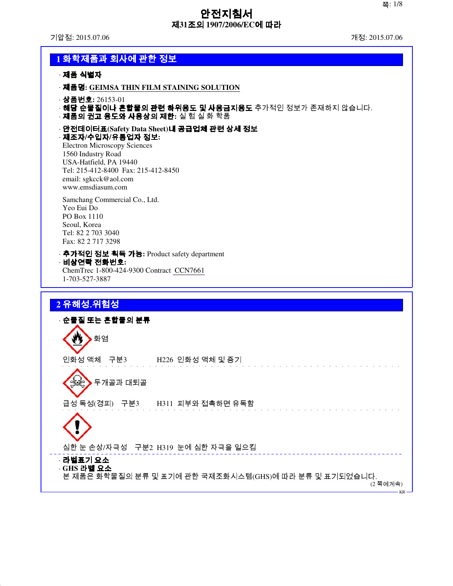기압점: 2015.07.06 개정: 2015.07.06

## **1** 화학제품과 회사에 관한 정보 · 제품 식별자 · 제품명**: GEIMSA THIN FILM STAINING SOLUTION** · 상품번호**:** 26153-01 ·해당 순물질이나 혼합물의 관련 하위용도 및 사용금지용도 추가적인 정보가 존재하지 않습니다. · 제품의 권고 용도와 사용상의 제한**:** 실 험 실 화 학품 · 안전데이터표**(Safety Data Sheet)**내 공급업체 관련 상세 정보 · 제조자**/**수입자**/**유통업자 정보**:** Electron Microscopy Sciences 1560 Industry Road USA-Hatfield, PA 19440 Tel: 215-412-8400 Fax: 215-412-8450 email: sgkcck@aol.com www.emsdiasum.com Samchang Commercial Co., Ltd. Yeo Eui Do PO Box 1110 Seoul, Korea Tel: 82 2 703 3040 Fax: 82 2 717 3298 · 추가적인 정보 획득 가능**:** Product safety department · 비상연락 전화번호**:** ChemTrec 1-800-424-9300 Contract CCN7661 1-703-527-3887 **2** 유해성․위험성 · 순물질 또는 혼합물의 분류

₩ 화염 인화성 액체 구분3 H226 인화성 액체 및 증기 **승수 두개골과 대퇴골** 급성 독성(경피) 구분3 H311 피부와 접촉하면 유독함 심한 눈 손상/자극성 구분2 H319 눈에 심한 자극을 일으킴 · 라벨표기 요소 · **GHS** 라벨 요소 본 제품은 화학물질의 분류 및 표기에 관한 국제조화시스템(GHS)에 따라 분류 및 표기되었습니다. (2 쪽에계속) v<sub>D</sub>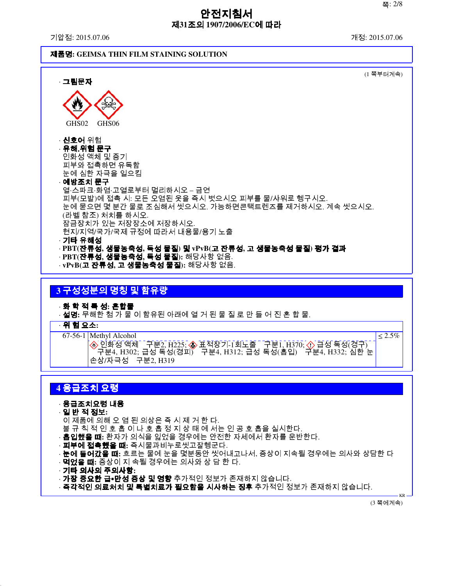기압점: 2015.07.06 개정: 2015.07.06

#### 제품명**: GEIMSA THIN FILM STAINING SOLUTION**



## **3** 구성성분의 명칭 및 함유량

· 화 학 적 특 성**:** 혼합물

· 설명**:** 무해한 첨 가 물 이 함유된 아래에 열 거 된 물 질 로 만 들 어 진 혼 합 물.

· 위 험 요소**:**

67-56-1 Methyl Alcohol

```
<u>인화성 액체 「구분2, H225; ◈ 표적장기-1회노출 「구분1, H370; <mark>√</mark>》급성 독성(경구)</u>
\checkmark 구분4, H302; 급성 독성(경피\checkmark 구분4, H312; 급성 독성(흡입) \checkmark 분4, H332; 심한 눈
손상/자극성 구분2, H319
```
## **4** 응급조치 요령

## · 응급조치요령 내용

· 일 반 적 정보**:** 이 제품에 의해 오 염 된 의상은 즉 시 제 거 한 다. 불 규 칙 적 인 호 흡 이 나 호 흡 정 지 상 태 에 서는 인 공 호 흡을 실시한다. · 흡입했을 때**:** 환자가 의식을 잃었을 경우에는 안전한 자세에서 환자를 운반한다. · 피부에 접촉했을 때**:** 즉시물과비누로씻고잘헹군다. · 눈에 들어갔을 때**:** 흐르는 물에 눈을 몇분동안 씻어내고나서, 증상이 지속될 경우에는 의사와 상담한 다 · 먹었을 때**:** 증상이 지 속될 경우에는 의사와 상 담 한 다. · 기타 의사의 주의사항**:** · **가장 중요한 급∙만성 증상 및 영향** 추가적인 정보가 존재하지 않습니다. · **즉각적인 의료처치 및 특별치료가 필요함을 시사하는 징후** 추가적인 정보가 존재하지 않습니다.

(3 쪽에계속)

KR

≤ 2.5%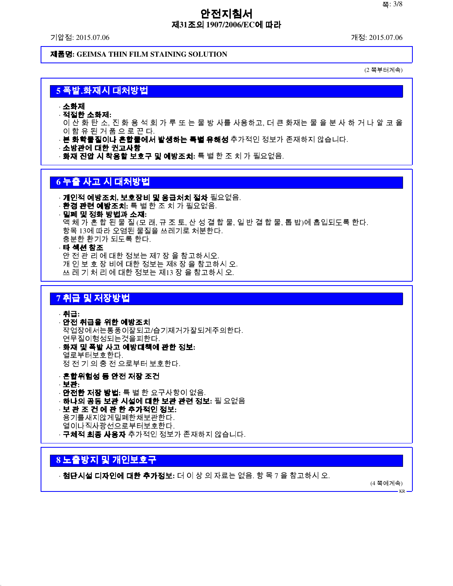기압점: 2015.07.06 개정: 2015.07.06

제품명**: GEIMSA THIN FILM STAINING SOLUTION**

(2 쪽부터계속)

## **5** 폭발․화재시 대처방법

· 소화제

· 적절한 소화제**:**

이 산 화 탄 소, 진 화 용 석 회 가 루 또 는 물 방 사를 사용하고, 더 큰 화재는 물 을 분 사 하 거 나 알 코 올 이 함 유 된 거 품 으 로 끈 다.

· **본 화학물질이나 혼합물에서 발생하는 특별 유해성** 추가적인 정보가 존재하지 않습니다.

· 소방관에 대한 권고사항

· 화재 진압 시 착용할 보호구 및 예방조치**:** 특 별 한 조 치 가 필요없음.

## **6** 누출 사고 시 대처방법

· 개인적 예방조치**,** 보호장비 및 응급처치 절차 필요없음. · 환경 관련 예방조치**:** 특 별 한 조 치 가 필요없음. · 밀폐 및 정화 방법과 소재**:** 액 체 가 혼 합 된 물 질 (모 래, 규 조 토, 산 성 결 합 물, 일 반 결 합 물, 톱 밥)에 흡입되도록 한다. 항목 13에 따라 오염된 물질을 쓰레기로 처분한다. 충분한 환기가 되도록 한다. · 타 섹션 참조 안 전 관 리 에 대한 정보는 제7 장 을 참고하시오.

개 인 보 호 장 비에 대한 정보는 제8 장 을 참고하시 오. 쓰 레 기 처 리 에 대한 정보는 제13 장 을 참고하시 오.

### **7** 취급 및 저장방법

· 취급**:** · 안전 취급을 위한 예방조치 작업장에서는통풍이잘되고/습기제거가잘되게주의한다. 연무질이형성되는것을피한다. · 화재 및 폭발 사고 예방대책에 관한 정보**:** 열로부터보호한다.

정 전 기 의 충 전 으로부터 보호한다.

· 혼합위험성 등 안전 저장 조건 · 보관**:** · 안전한 저장 방법**:** 특 별 한 요구사항이 없음. · 하나의 공동 보관 시설에 대한 보관 관련 정보**:** 필 요없음 · 보 관 조 건 에 관 한 추가적인 정보**:** 용기를새지않게밀폐한채보관한다. 열이나직사광선으로부터보호한다. · **구체적 최종 사용자** 추가적인 정보가 존재하지 않습니다.

## **8** 노출방지 및 개인보호구

· 첨단시설 디자인에 대한 추가정보**:** 더 이 상 의 자료는 없음. 항 목 7 을 참고하시 오.

(4 쪽에계속)

KR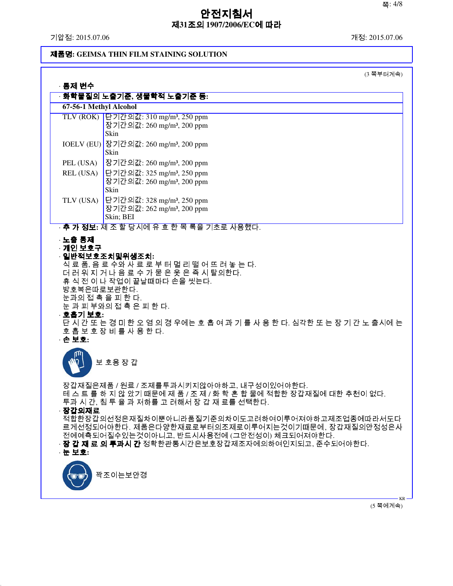기압점: 2015.07.06 개정: 2015.07.06

## 제품명**: GEIMSA THIN FILM STAINING SOLUTION**

(3 쪽부터계속)

| · 통제 변수                                                 |                                                                                                                                                                                                                 |
|---------------------------------------------------------|-----------------------------------------------------------------------------------------------------------------------------------------------------------------------------------------------------------------|
| 67-56-1 Methyl Alcohol                                  | · 화학물질의 노출기준, 생물학적 노출기준 등:                                                                                                                                                                                      |
|                                                         | TLV (ROK) 단기간의값: 310 mg/m <sup>3</sup> , 250 ppm<br>장기간의값: 260 mg/m <sup>3</sup> , 200 ppm<br>Skin                                                                                                              |
|                                                         | IOELV (EU) 장기간의값: 260 mg/m <sup>3</sup> , 200 ppm<br>Skin                                                                                                                                                       |
| PEL (USA)                                               | 장기간의값: 260 mg/m <sup>3</sup> , 200 ppm                                                                                                                                                                          |
| REL (USA)                                               | 단기간의값: 325 mg/m <sup>3</sup> , 250 ppm<br>장기간의값: 260 mg/m <sup>3</sup> , 200 ppm<br>Skin                                                                                                                        |
| TLV (USA)                                               | 단기간의값: 328 mg/m <sup>3</sup> , 250 ppm<br>장기간의값: 262 mg/m <sup>3</sup> , 200 ppm<br>Skin; BEI                                                                                                                   |
|                                                         | · <b>추 가 정보:</b> 제 조 할 당시에 유 효 한 목 록을 기초로 사용했다.                                                                                                                                                                 |
| 방호복은따로보관한다.<br>눈과의 접 촉 을 피 한 다.<br>· 호흡기 보호:<br>· 손 보호: | 휴 식 전 이 나 작업이 끝날때마다 손을 씻는다.<br>눈 과 피 부와의 접 촉 은 피 한 다.<br>단 시 간 또 는 경 미 한 오 염 의 경 우에는 호 흡 여 과 기 를 사 용 한 다. 심각한 또 는 장 기 간 노 출시에 는<br>호흡 보 호 장 비 를 사 용 한 다.                                                        |
|                                                         | 보 호용 장 갑                                                                                                                                                                                                        |
| <b>장간이재료</b>                                            | 장갑재질은제품 / 원료 / 조제를투과시키지않아야하고, 내구성이있어야한다.<br>테 스 트 를 하 지 않 았기 때문에 제 품 / 조 제 / 화 학 혼 합 물에 적합한 장갑재질에 대한 추천이 없다.<br>투과 시 간, 침 투 율 과 저하를 고 려해서 장 갑 재 료를 선택한다.                                                        |
| · 눈 보호:                                                 | 적합한장갑의선정은재질차이뿐아니라품질기준의차이도고려하여이루어져야하고제조업종에따라서도다<br>르게선정되어야한다. 제품은다양한재료로부터의조제로이루어지는것이기때문에, 장갑재질의안정성은사<br>전에예측되어질수있는것이아니고, 반드시사용전에 (그안전성이) 체크되어져야한다.<br>· <b>장 갑 재 료 의 투과시 간</b> 정확한관통시간은보호장갑제조자에의하여인지되고. 준수되어야한다. |
|                                                         | 꽉조이는보안경                                                                                                                                                                                                         |

(5 쪽에계속)

KR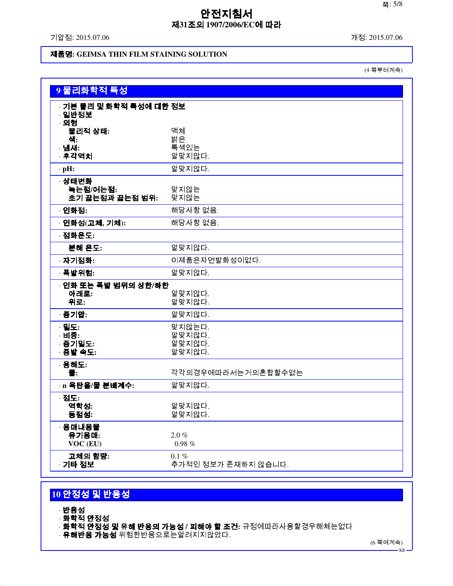기압점: 2015.07.06 개정: 2015.07.06

### 제품명**: GEIMSA THIN FILM STAINING SOLUTION**

(4 쪽부터계속)

| 9 물리화학적 특성                                |                                      |
|-------------------------------------------|--------------------------------------|
| · 기본 물리 및 화학적 특성에 대한 정보<br>· 일반정보<br>· 외형 |                                      |
| 물리적 상태:<br>색:<br>· 냄새:<br>· 후각역치          | 액체<br>밝은<br>특색있는<br>알맞지않다.           |
| $\cdot$ pH:                               | 알맞지않다.                               |
| · 상태변화<br>녹는점/어는점:<br>초기 끓는점과 끓는점 범위:     | 맞지않는<br>맞지않는                         |
| · 인화점:                                    | 해당사항 없음.                             |
| · 인화성(고체, 기체):                            | 해당사항 없음.                             |
| · 점화온도:                                   |                                      |
| 분해 온도:                                    | 알맞지않다.                               |
| · 자기점화:                                   | 이제품은자연발화성이없다.                        |
| 폭발위험:                                     | 알맞지않다.                               |
| · 인화 또는 폭발 범위의 상한/하한<br>아래로:<br>위로:       | 알맞지않다.<br>알맞지않다.                     |
| 증기압:                                      | 알맞지않다.                               |
| · 밀도:<br>· 비중:<br>· 증기밀도:<br>· 증발 속도:     | 맞지않는다.<br>알맞지않다.<br>알맞지않다.<br>알맞지않다. |
| · 용해도:<br>물:                              | 각각의경우에따라서는거의혼합할수없는                   |
| · n 옥탄올/물 분배계수:                           | 알맞지않다.                               |
| · 점도:<br>역학성:<br>동점성:                     | 알맞지않다.<br>알맞지않다.                     |
| · 용매내용물<br>유기용매:<br>VOC (EU)              | $2.0 \%$<br>$0.98~\%$                |
| 고체의 함량:<br>· 기타 정보                        | $0.1 \%$<br>추가적인 정보가 존재하지 않습니다.      |

# **10** 안정성 및 반응성

- · 반응성
- · 화학적 안정성
- · 화학적 안정성 및 유해 반응의 가능성 **/** 피해야 할 조건**:** 규정에따라사용할경우해체는없다
- · **유해반응 가능성** 위험한반응으로는알려지지않았다.

(6 쪽에계속)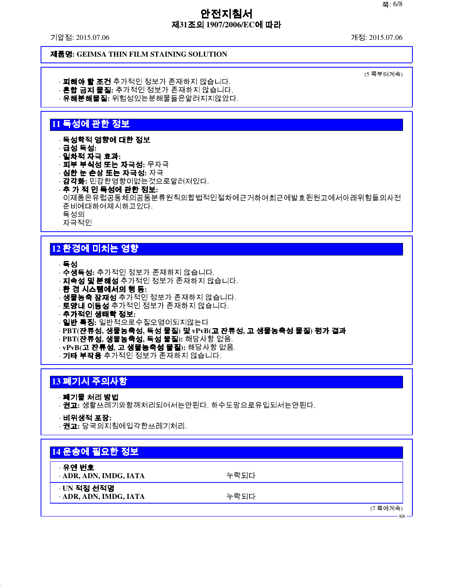기압점: 2015.07.06 개정: 2015.07.06

(5 쪽부터계속)

#### 제품명**: GEIMSA THIN FILM STAINING SOLUTION**

· **피해야 할 조건** 추가적인 정보가 존재하지 않습니다. · 혼합 금지 물질**:** 추가적인 정보가 존재하지 않습니다.

· 유해분해물질**:** 위험성있는분해물들은알려지지않았다.

## **11** 독성에 관한 정보

· 독성학적 영향에 대한 정보

- · 급성 독성**:**
- · 일차적 자극 효과**:**
- · 피부 부식성 또는 자극성**:** 무자극
- · 심한 눈 손상 또는 자극성**:** 자극 · 감각화**:** 민감한영향이없는것으로알려져있다.
- · 추 가 적 인 독성에 관한 정보**:** 이제품은유럽공동체의공동분류원칙의합법적인절차에근거하여최근에발효된원고에서아래위험들의사전 준비에대하여제시하고있다. 독성의 자극적인

## **12** 환경에 미치는 영향

· 독성

- · 수생독성**:** 추가적인 정보가 존재하지 않습니다.
- · 지속성 및 분해성 추가적인 정보가 존재하지 않습니다.
- · 환 경 시스템에서의 행 동**:**
- · **생물농축 잠재성** 추가적인 정보가 존재하지 않습니다.
- · **토양내 이동성** 추가적인 정보가 존재하지 않습니다.
- · 추가적인 생태학 정보**:**
- · 일반 특징**:** 일반적으로수질오염이되지않는다
- · **PBT(**잔류성**,** 생물농축성**,** 독성 물질**)** 및 **vPvB(**고 잔류성**,** 고 생물농축성 물질**)** 평가 결과
- · **PBT(**잔류성**,** 생물농축성**,** 독성 물질**):** 해당사항 없음.
- · **vPvB(**고 잔류성**,** 고 생물농축성 물질**):** 해당사항 없음.
- · **기타 부작용** 추가적인 정보가 존재하지 않습니다.

## **13** 폐기시 주의사항

#### · 폐기물 처리 방법

- · 권고**:** 생활쓰레기와함께처리되어서는안된다. 하수도망으로유입되서는안된다.
- · 비위생적 포장**:**
- · 권고**:** 당국의지침에입각한쓰레기처리.

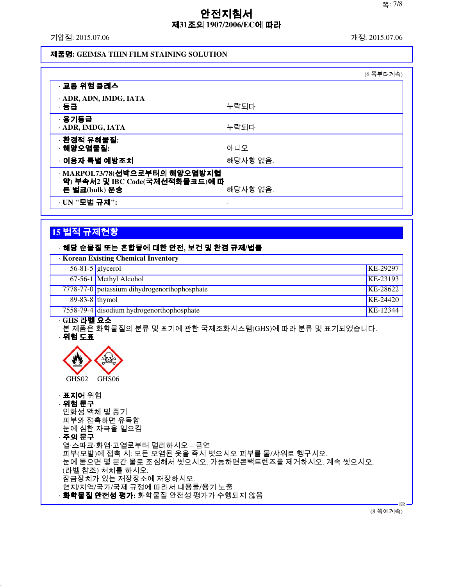기압점: 2015.07.06 개정: 2015.07.06

#### 제품명**: GEIMSA THIN FILM STAINING SOLUTION**

|                                                                                   |          | (6 쪽부터계속) |
|-----------------------------------------------------------------------------------|----------|-----------|
| · 교통 위험 클래스                                                                       |          |           |
| · ADR, ADN, IMDG, IATA<br>·동급                                                     | 누락되다     |           |
| · 용기등급<br>· ADR, IMDG, IATA                                                       | 누락되다     |           |
| · 환경적 유해물질:<br>해양오염물질:                                                            | 아니오      |           |
| ◦이용자 특별 예방조치                                                                      | 해당사항 없음. |           |
| · MARPOL73/78(선박으로부터의 해양오염방지협<br>약) 부속서2 및 IBC Code(국제선적화물코드)에 따<br>른 벌크(bulk) 운송 | 해당사항 없음. |           |
| · UN "모범 규제":                                                                     |          |           |

## **15** 법적 규제현황

#### · 해당 순물질 또는 혼합물에 대한 안전**,** 보건 및 환경 규제**/**법률

| <b>Korean Existing Chemical Inventory</b> |                                              |          |
|-------------------------------------------|----------------------------------------------|----------|
|                                           | $56-81-5$ glycerol                           | KE-29297 |
|                                           | 67-56-1 Methyl Alcohol                       | KE-23193 |
|                                           | 7778-77-0 potassium dihydrogenorthophosphate | KE-28622 |
| $89-83-8$ thymol                          |                                              | KE-24420 |
|                                           | 7558-79-4 disodium hydrogenorthophosphate    | KE-12344 |
| <b>CHC 기베 ㅇㅅ</b>                          |                                              |          |

· **GHS** 라벨 요소

본 제품은 화학물질의 분류 및 표기에 관한 국제조화시스템(GHS)에 따라 분류 및 표기되었습니다. · 위험 도표



· 표지어 위험 · 위험 문구 인화성 액체 및 증기 피부와 접촉하면 유독함 눈에 심한 자극을 일으킴 · 주의 문구 열·스파크·화염·고열로부터 멀리하시오 – 금연 피부(모발)에 접촉 시: 모든 오염된 옷을 즉시 벗으시오 피부를 물/샤워로 헹구시오. 눈에 묻으면 몇 분간 물로 조심해서 씻으시오. 가능하면콘택트렌즈를 제거하시오. 계속 씻으시오. (라벨 참조) 처치를 하시오. 잠금장치가 있는 저장장소에 저장하시오. 현지/지역/국가/국제 규정에 따라서 내용물/용기 노출 · 화학물질 안전성 평가**:** 화학물질 안전성 평가가 수행되지 않음

(8 쪽에계속)

KR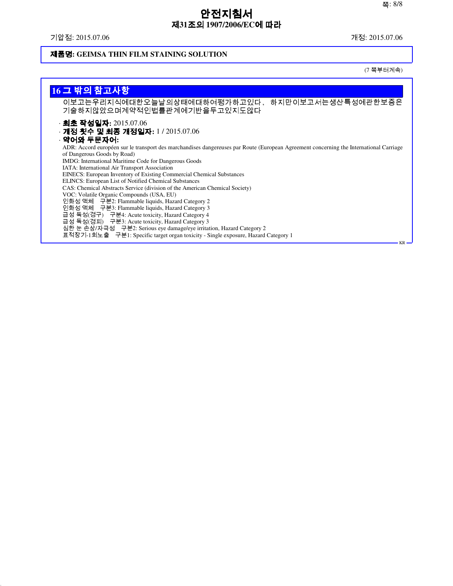기압점: 2015.07.06 개정: 2015.07.06

## 제품명**: GEIMSA THIN FILM STAINING SOLUTION**

(7 쪽부터계속)

| 16 그 밖의 참고사항                                                                                                                                                                                                                   |
|--------------------------------------------------------------------------------------------------------------------------------------------------------------------------------------------------------------------------------|
| 이보고는우리지식에대한오늘날의상태에대하여평가하고있다,<br>하지만이보고서는생산특성에관한보증은<br>기술하지않았으며계약적인법률관계에기반을두고있지도않다                                                                                                                                              |
| · 최초 작성일자: 2015.07.06<br>· <b>개정 횟수 및 최종 개정일자:</b> 1 / 2015.07.06<br>· 약어와 두문자어:                                                                                                                                               |
| ADR: Accord européen sur le transport des marchandises dangereuses par Route (European Agreement concerning the International Carriage<br>of Dangerous Goods by Road)<br>IMDG: International Maritime Code for Dangerous Goods |
| IATA: International Air Transport Association<br>EINECS: European Inventory of Existing Commercial Chemical Substances<br>ELINCS: European List of Notified Chemical Substances                                                |
| CAS: Chemical Abstracts Service (division of the American Chemical Society)<br>VOC: Volatile Organic Compounds (USA, EU)<br>인화성액체 구분2: Flammable liquids, Hazard Category 2                                                    |
| 인화성액체 구분3: Flammable liquids, Hazard Category 3<br>급성 독성(경구) 구분4: Acute toxicity, Hazard Category 4<br>급성 독성(경피) 구분3: Acute toxicity, Hazard Category 3                                                                        |
| 심한 눈 손상/자극성 구분2: Serious eye damage/eye irritation, Hazard Category 2<br>표적장기-1회노출 구분1: Specific target organ toxicity - Single exposure, Hazard Category 1                                                                    |
| $KR -$                                                                                                                                                                                                                         |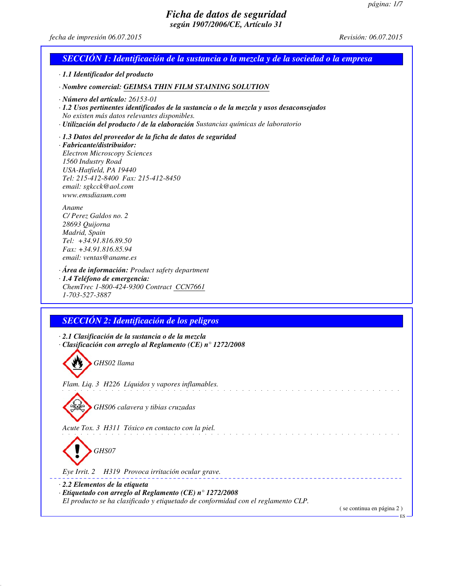*fecha de impresión 06.07.2015 Revisión: 06.07.2015*

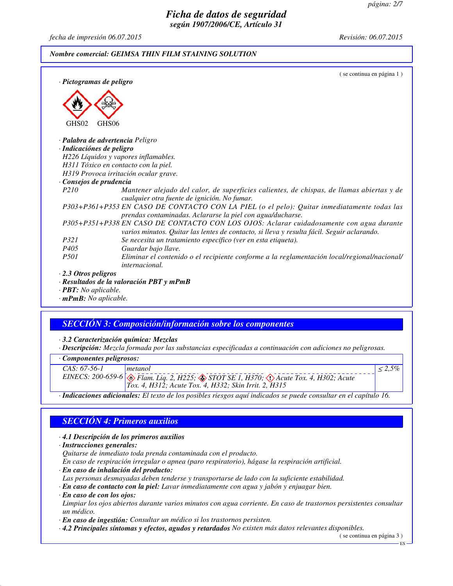*fecha de impresión 06.07.2015 Revisión: 06.07.2015*

### *Nombre comercial: GEIMSA THIN FILM STAINING SOLUTION*

| · Pictogramas de peligro           | (se continua en página 1)                                                                                                                                                              |
|------------------------------------|----------------------------------------------------------------------------------------------------------------------------------------------------------------------------------------|
|                                    |                                                                                                                                                                                        |
| GHS02                              | GHS06                                                                                                                                                                                  |
|                                    | $\cdot$ Palabra de advertencia Peligro                                                                                                                                                 |
| · Indicaciónes de peligro          |                                                                                                                                                                                        |
|                                    | H226 Líquidos y vapores inflamables.                                                                                                                                                   |
|                                    | H311 Tóxico en contacto con la piel.                                                                                                                                                   |
|                                    | H319 Provoca irritación ocular grave.                                                                                                                                                  |
| Consejos de prudencia              |                                                                                                                                                                                        |
| P <sub>210</sub>                   | Mantener alejado del calor, de superficies calientes, de chispas, de llamas abiertas y de<br>cualquier otra fuente de ignición. No fumar.                                              |
|                                    | P303+P361+P353 EN CASO DE CONTACTO CON LA PIEL (o el pelo): Quitar inmediatamente todas las<br>prendas contaminadas. Aclararse la piel con agua/ducharse.                              |
|                                    | P305+P351+P338 EN CASO DE CONTACTO CON LOS OJOS: Aclarar cuidadosamente con agua durante<br>varios minutos. Quitar las lentes de contacto, si lleva y resulta fácil. Seguir aclarando. |
| <i>P321</i>                        | Se necesita un tratamiento específico (ver en esta etiqueta).                                                                                                                          |
| P <sub>405</sub>                   | Guardar bajo llave.                                                                                                                                                                    |
| <i>P501</i>                        | Eliminar el contenido o el recipiente conforme a la reglamentación local/regional/nacional/<br><i>internacional.</i>                                                                   |
| $\cdot$ 2.3 Otros peligros         |                                                                                                                                                                                        |
|                                    | · Resultados de la valoración PBT y mPmB                                                                                                                                               |
| $\cdot$ <b>PBT</b> : No aplicable. |                                                                                                                                                                                        |

*· mPmB: No aplicable.*

# *SECCIÓN 3: Composición/información sobre los componentes*

*· 3.2 Caracterización química: Mezclas*

*· Descripción: Mezcla formada por las substancias especificadas a continuación con adiciones no peligrosas.*

| Componentes peligrosos: |  |
|-------------------------|--|
|-------------------------|--|

| $CAS: 67-56-1$ | metanol                                                                                                        |  |  |
|----------------|----------------------------------------------------------------------------------------------------------------|--|--|
|                | EINECS: 200-659-6 $\otimes$ Flam. Liq. 2, H225; $\otimes$ STOT SE 1, H370; $\otimes$ Acute Tox. 4, H302; Acute |  |  |
|                | Tox. 4, H312; Acute Tox. 4, H332; Skin Irrit. 2, H315                                                          |  |  |
|                |                                                                                                                |  |  |

*· Indicaciones adicionales: El texto de los posibles riesgos aquí indicados se puede consultar en el capítulo 16.*

### *SECCIÓN 4: Primeros auxilios*

*· 4.1 Descripción de los primeros auxilios*

*· Instrucciones generales:*

*Quitarse de inmediato toda prenda contaminada con el producto.*

*En caso de respiración irregular o apnea (paro respiratorio), hágase la respiración artificial.*

*· En caso de inhalación del producto:*

*Las personas desmayadas deben tenderse y transportarse de lado con la suficiente estabilidad.*

*· En caso de contacto con la piel: Lavar inmediatamente con agua y jabón y enjuagar bien.*

*· En caso de con los ojos:*

*Limpiar los ojos abiertos durante varios minutos con agua corriente. En caso de trastornos persistentes consultar un médico.*

*· En caso de ingestión: Consultar un médico si los trastornos persisten.*

*· 4.2 Principales síntomas y efectos, agudos y retardados No existen más datos relevantes disponibles.*

( se continua en página 3 )

ES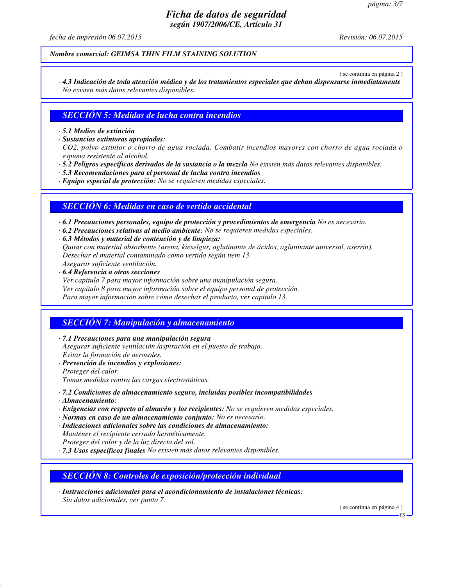*fecha de impresión 06.07.2015 Revisión: 06.07.2015*

*Nombre comercial: GEIMSA THIN FILM STAINING SOLUTION*

( se continua en página 2 )

*· 4.3 Indicación de toda atención médica y de los tratamientos especiales que deban dispensarse inmediatamente No existen más datos relevantes disponibles.*

### *SECCIÓN 5: Medidas de lucha contra incendios*

*· 5.1 Medios de extinción*

*· Sustancias extintoras apropiadas:*

*CO2, polvo extintor o chorro de agua rociada. Combatir incendios mayores con chorro de agua rociada o espuma resistente al alcohol.*

- *· 5.2 Peligros específicos derivados de la sustancia o la mezcla No existen más datos relevantes disponibles.*
- *· 5.3 Recomendaciones para el personal de lucha contra incendios*

*· Equipo especial de protección: No se requieren medidas especiales.*

### *SECCIÓN 6: Medidas en caso de vertido accidental*

*· 6.1 Precauciones personales, equipo de protección y procedimientos de emergencia No es necesario.*

- *· 6.2 Precauciones relativas al medio ambiente: No se requieren medidas especiales.*
- *· 6.3 Métodos y material de contención y de limpieza: Quitar con material absorbente (arena, kieselgur, aglutinante de ácidos, aglutinante universal, aserrín).*

*Desechar el material contaminado como vertido según item 13.*

*Asegurar suficiente ventilación.*

*· 6.4 Referencia a otras secciones Ver capítulo 7 para mayor información sobre una manipulación segura. Ver capítulo 8 para mayor información sobre el equipo personal de protección. Para mayor información sobre cómo desechar el producto, ver capítulo 13.*

### *SECCIÓN 7: Manipulación y almacenamiento*

*· 7.1 Precauciones para una manipulación segura*

*Asegurar suficiente ventilación /aspiración en el puesto de trabajo. Evitar la formación de aerosoles.*

*· Prevención de incendios y explosiones:*

*Proteger del calor.*

*Tomar medidas contra las cargas electrostáticas.*

- *· 7.2 Condiciones de almacenamiento seguro, incluidas posibles incompatibilidades*
- *· Almacenamiento:*
- *· Exigencias con respecto al almacén y los recipientes: No se requieren medidas especiales.*
- *· Normas en caso de un almacenamiento conjunto: No es necesario.*
- *· Indicaciones adicionales sobre las condiciones de almacenamiento: Mantener el recipiente cerrado herméticamente.*
- *Proteger del calor y de la luz directa del sol.*

*· 7.3 Usos específicos finales No existen más datos relevantes disponibles.*

### *SECCIÓN 8: Controles de exposición/protección individual*

*· Instrucciones adicionales para el acondicionamiento de instalaciones técnicas: Sin datos adicionales, ver punto 7.*

( se continua en página 4 )

ES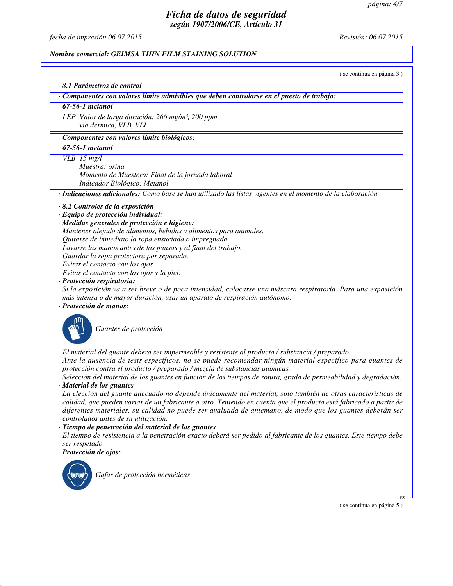*fecha de impresión 06.07.2015 Revisión: 06.07.2015*

#### *Nombre comercial: GEIMSA THIN FILM STAINING SOLUTION*

( se continua en página 3 )

#### *· 8.1 Parámetros de control*

*· Componentes con valores límite admisibles que deben controlarse en el puesto de trabajo:*

### *67-56-1 metanol*

*LEP Valor de larga duración: 266 mg/m³, 200 ppm vía dérmica, VLB, VLI*

### *· Componentes con valores límite biológicos:*

*67-56-1 metanol*

#### *VLB 15 mg/l*

*Muestra: orina Momento de Muestero: Final de la jornada laboral Indicador Biológico: Metanol*

*· Indicaciones adicionales: Como base se han utilizado las listas vigentes en el momento de la elaboración.*

### *· 8.2 Controles de la exposición*

*· Equipo de protección individual:*

#### *· Medidas generales de protección e higiene:*

- *Mantener alejado de alimentos, bebidas y alimentos para animales.*
- *Quitarse de inmediato la ropa ensuciada o impregnada.*
- *Lavarse las manos antes de las pausas y al final del trabajo.*
- *Guardar la ropa protectora por separado.*
- *Evitar el contacto con los ojos.*

*Evitar el contacto con los ojos y la piel.*

*· Protección respiratoria:*

*Si la exposición va a ser breve o de poca intensidad, colocarse una máscara respiratoria. Para una exposición más intensa o de mayor duración, usar un aparato de respiración autónomo.*

### *· Protección de manos:*



*Guantes de protección*

*El material del guante deberá ser impermeable y resistente al producto / substancia / preparado. Ante la ausencia de tests específicos, no se puede recomendar ningún material específico para guantes de*

*protección contra el producto / preparado / mezcla de substancias químicas.*

*Selección del material de los guantes en función de los tiempos de rotura, grado de permeabilidad y degradación. · Material de los guantes*

*La elección del guante adecuado no depende únicamente del material, sino también de otras características de calidad, que pueden variar de un fabricante a otro. Teniendo en cuenta que el producto está fabricado a partir de diferentes materiales, su calidad no puede ser avaluada de antemano, de modo que los guantes deberán ser controlados antes de su utilización.*

#### *· Tiempo de penetración del material de los guantes*

*El tiempo de resistencia a la penetración exacto deberá ser pedido al fabricante de los guantes. Este tiempo debe ser respetado.*

*· Protección de ojos:*



*Gafas de protección herméticas*

( se continua en página 5 )

ES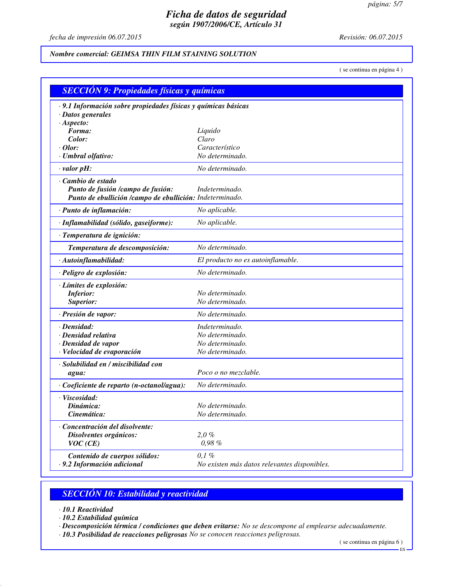*fecha de impresión 06.07.2015 Revisión: 06.07.2015*

### *Nombre comercial: GEIMSA THIN FILM STAINING SOLUTION*

( se continua en página 4 )

|                                                                | <b>SECCIÓN 9: Propiedades físicas y químicas</b> |  |  |  |  |
|----------------------------------------------------------------|--------------------------------------------------|--|--|--|--|
| · 9.1 Información sobre propiedades físicas y químicas básicas |                                                  |  |  |  |  |
| · Datos generales                                              |                                                  |  |  |  |  |
| $·$ Aspecto:                                                   |                                                  |  |  |  |  |
| Forma:<br>Color:                                               | Liquido<br>Claro                                 |  |  |  |  |
| $·$ Olor:                                                      | Característico                                   |  |  |  |  |
| · Umbral olfativo:                                             | No determinado.                                  |  |  |  |  |
| $\cdot$ valor pH:                                              | No determinado.                                  |  |  |  |  |
| · Cambio de estado                                             |                                                  |  |  |  |  |
| Punto de fusión /campo de fusión:                              | Indeterminado.                                   |  |  |  |  |
| Punto de ebullición /campo de ebullición: Indeterminado.       |                                                  |  |  |  |  |
| · Punto de inflamación:                                        | No aplicable.                                    |  |  |  |  |
| · Inflamabilidad (sólido, gaseiforme):                         | No aplicable.                                    |  |  |  |  |
| · Temperatura de ignición:                                     |                                                  |  |  |  |  |
| Temperatura de descomposición:                                 | No determinado.                                  |  |  |  |  |
| · Autoinflamabilidad:                                          | El producto no es autoinflamable.                |  |  |  |  |
| · Peligro de explosión:                                        | No determinado.                                  |  |  |  |  |
| · Límites de explosión:                                        |                                                  |  |  |  |  |
| <b>Inferior:</b>                                               | No determinado.                                  |  |  |  |  |
| Superior:                                                      | No determinado.                                  |  |  |  |  |
| · Presión de vapor:                                            | No determinado.                                  |  |  |  |  |
| $\cdot$ Densidad:                                              | Indeterminado.                                   |  |  |  |  |
| · Densidad relativa                                            | No determinado.                                  |  |  |  |  |
| · Densidad de vapor                                            | No determinado.                                  |  |  |  |  |
| · Velocidad de evaporación                                     | No determinado.                                  |  |  |  |  |
| · Solubilidad en / miscibilidad con                            |                                                  |  |  |  |  |
| agua:                                                          | Poco o no mezclable.                             |  |  |  |  |
| · Coeficiente de reparto (n-octanol/agua):                     | No determinado.                                  |  |  |  |  |
| · Viscosidad:                                                  |                                                  |  |  |  |  |
| Dinámica:                                                      | No determinado.                                  |  |  |  |  |
| Cinemática:                                                    | No determinado.                                  |  |  |  |  |
| Concentración del disolvente:                                  |                                                  |  |  |  |  |
| Disolventes orgánicos:                                         | 2,0%                                             |  |  |  |  |
| VOC(CE)                                                        | 0,98%                                            |  |  |  |  |
| Contenido de cuerpos sólidos:                                  | $0,1\%$                                          |  |  |  |  |
| · 9.2 Información adicional                                    | No existen más datos relevantes disponibles.     |  |  |  |  |

# *SECCIÓN 10: Estabilidad y reactividad*

*· 10.1 Reactividad*

*· 10.2 Estabilidad química*

*· Descomposición térmica / condiciones que deben evitarse: No se descompone al emplearse adecuadamente.*

*· 10.3 Posibilidad de reacciones peligrosas No se conocen reacciones peligrosas.*

( se continua en página 6 )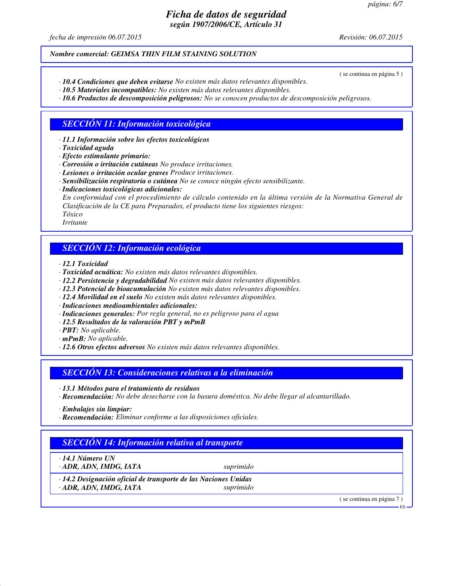*fecha de impresión 06.07.2015 Revisión: 06.07.2015*

( se continua en página 5 )

### *Nombre comercial: GEIMSA THIN FILM STAINING SOLUTION*

- *· 10.4 Condiciones que deben evitarse No existen más datos relevantes disponibles.*
- *· 10.5 Materiales incompatibles: No existen más datos relevantes disponibles.*
- *· 10.6 Productos de descomposición peligrosos: No se conocen productos de descomposición peligrosos.*

## *SECCIÓN 11: Información toxicológica*

*· 11.1 Información sobre los efectos toxicológicos*

- *· Efecto estimulante primario:*
- *· Corrosión o irritación cutáneas No produce irritaciones.*
- *· Lesiones o irritación ocular graves Produce irritaciones.*
- *· Sensibilización respiratoria o cutánea No se conoce ningún efecto sensibilizante.*
- *· Indicaciones toxicológicas adicionales:*

*En conformidad con el procedimiento de cálculo contenido en la última versión de la Normativa General de Clasificación de la CE para Preparados, el producto tiene los siguientes riesgos: Tóxico*

*Irritante*

## *SECCIÓN 12: Información ecológica*

- *· 12.1 Toxicidad*
- *· Toxicidad acuática: No existen más datos relevantes disponibles.*
- *· 12.2 Persistencia y degradabilidad No existen más datos relevantes disponibles.*
- *· 12.3 Potencial de bioacumulación No existen más datos relevantes disponibles.*
- *· 12.4 Movilidad en el suelo No existen más datos relevantes disponibles.*
- *· Indicaciones medioambientales adicionales:*
- *· Indicaciones generales: Por regla general, no es peligroso para el agua*
- *· 12.5 Resultados de la valoración PBT y mPmB*
- *· PBT: No aplicable.*
- *· mPmB: No aplicable.*
- *· 12.6 Otros efectos adversos No existen más datos relevantes disponibles.*

### *SECCIÓN 13: Consideraciones relativas a la eliminación*

- *· 13.1 Métodos para el tratamiento de residuos*
- *· Recomendación: No debe desecharse con la basura doméstica. No debe llegar al alcantarillado.*
- *· Embalajes sin limpiar:*
- *· Recomendación: Eliminar conforme a las disposiciones oficiales.*

# *SECCIÓN 14: Información relativa al transporte*

*· 14.1 Número UN · ADR, ADN, IMDG, IATA suprimido*

*· 14.2 Designación oficial de transporte de las Naciones Unidas · ADR, ADN, IMDG, IATA suprimido*

( se continua en página 7 )

ES

*<sup>·</sup> Toxicidad aguda*